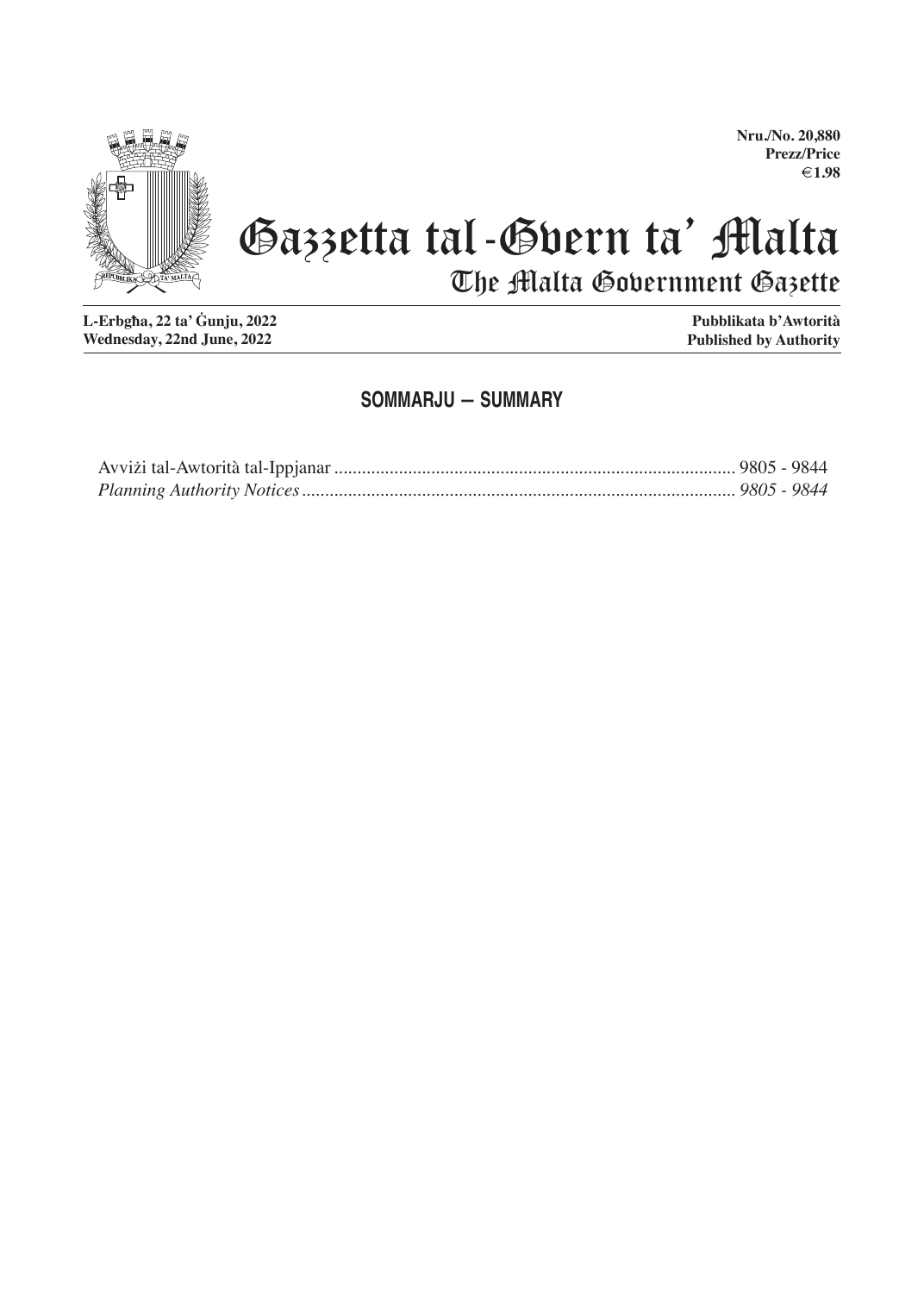

# Gazzetta tal-Gvern ta' Malta The Malta Government Gazette

**L-Erbgħa, 22 ta' Ġunju, 2022 Wednesday, 22nd June, 2022**

**Pubblikata b'Awtorità Published by Authority**

#### **SOMMARJU — SUMMARY**

#### **Nru./No. 20,880 Prezz/Price €1.98**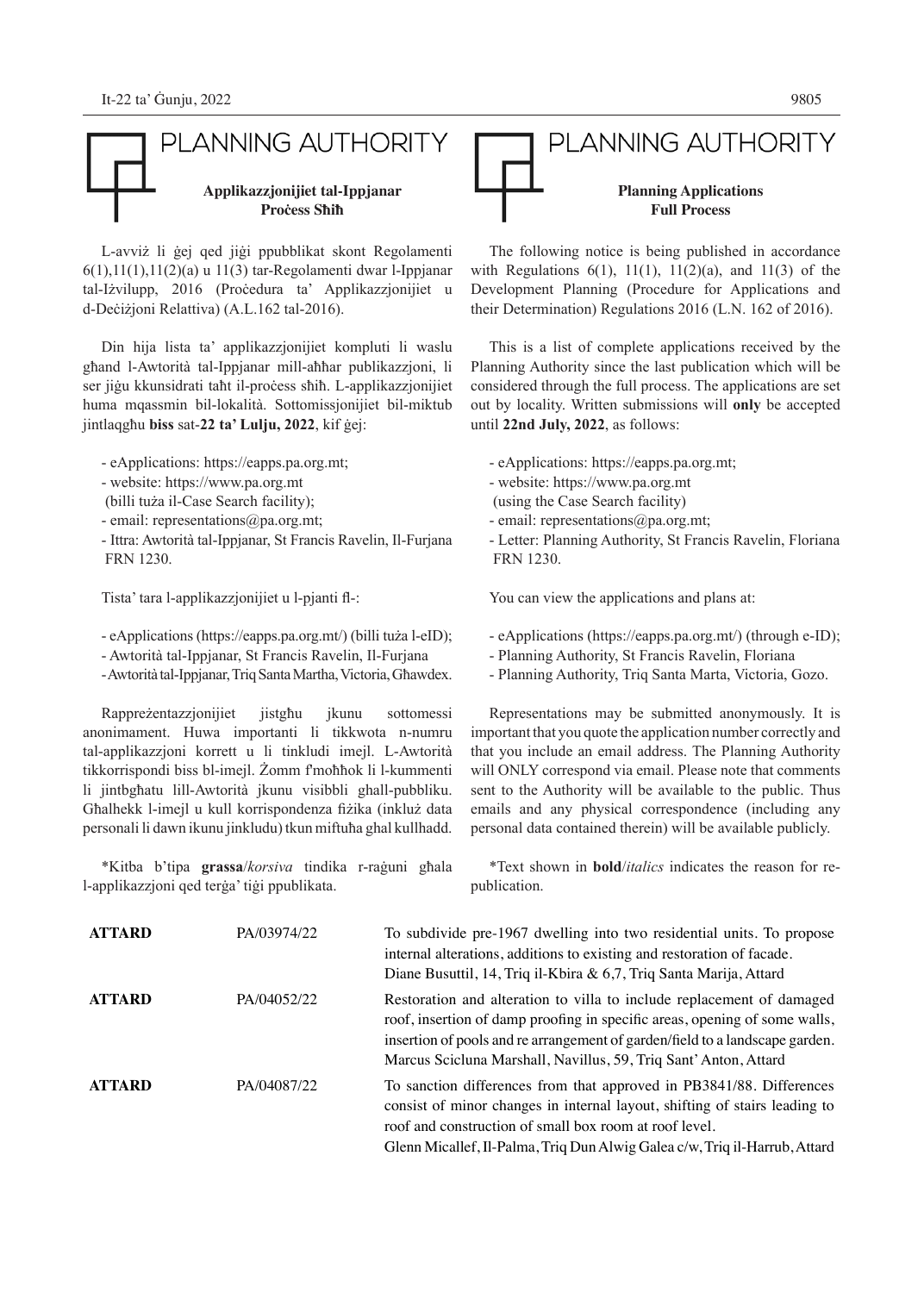

L-avviż li ġej qed jiġi ppubblikat skont Regolamenti 6(1),11(1),11(2)(a) u 11(3) tar-Regolamenti dwar l-Ippjanar tal-Iżvilupp, 2016 (Proċedura ta' Applikazzjonijiet u d-Deċiżjoni Relattiva) (A.L.162 tal-2016).

Din hija lista ta' applikazzjonijiet kompluti li waslu għand l-Awtorità tal-Ippjanar mill-aħħar publikazzjoni, li ser jiġu kkunsidrati taħt il-proċess sħiħ. L-applikazzjonijiet huma mqassmin bil-lokalità. Sottomissjonijiet bil-miktub jintlaqgħu **biss** sat-**22 ta' Lulju, 2022**, kif ġej:

- eApplications: https://eapps.pa.org.mt;

- website: https://www.pa.org.mt
- (billi tuża il-Case Search facility);
- email: representations@pa.org.mt;
- Ittra: Awtorità tal-Ippjanar, St Francis Ravelin, Il-Furjana FRN 1230.

Tista' tara l-applikazzjonijiet u l-pjanti fl-:

- eApplications (https://eapps.pa.org.mt/) (billi tuża l-eID);

- Awtorità tal-Ippjanar, St Francis Ravelin, Il-Furjana

- Awtorità tal-Ippjanar, Triq Santa Martha, Victoria, Għawdex.

Rappreżentazzjonijiet jistgħu jkunu sottomessi anonimament. Huwa importanti li tikkwota n-numru tal-applikazzjoni korrett u li tinkludi imejl. L-Awtorità tikkorrispondi biss bl-imejl. Żomm f'moħħok li l-kummenti li jintbgħatu lill-Awtorità jkunu visibbli ghall-pubbliku. Għalhekk l-imejl u kull korrispondenza fiżika (inkluż data personali li dawn ikunu jinkludu) tkun miftuħa ghal kullhadd.

\*Kitba b'tipa **grassa**/*korsiva* tindika r-raġuni għala l-applikazzjoni qed terġa' tiġi ppublikata.

\*Text shown in **bold**/*italics* indicates the reason for republication.

| <b>ATTARD</b> | PA/03974/22 | To subdivide pre-1967 dwelling into two residential units. To propose<br>internal alterations, additions to existing and restoration of facade.<br>Diane Busuttil, 14, Triq il-Kbira & 6,7, Triq Santa Marija, Attard                                                                                   |
|---------------|-------------|---------------------------------------------------------------------------------------------------------------------------------------------------------------------------------------------------------------------------------------------------------------------------------------------------------|
| <b>ATTARD</b> | PA/04052/22 | Restoration and alteration to villa to include replacement of damaged<br>roof, insertion of damp proofing in specific areas, opening of some walls,<br>insertion of pools and re arrangement of garden/field to a landscape garden.<br>Marcus Scicluna Marshall, Navillus, 59, Triq Sant' Anton, Attard |
| <b>ATTARD</b> | PA/04087/22 | To sanction differences from that approved in PB3841/88. Differences<br>consist of minor changes in internal layout, shifting of stairs leading to<br>roof and construction of small box room at roof level.<br>Glenn Micallef, Il-Palma, Triq Dun Alwig Galea c/w, Triq il-Harrub, Attard              |



## PLANNING AUTHORITY **Planning Applications Full Process**

The following notice is being published in accordance with Regulations  $6(1)$ ,  $11(1)$ ,  $11(2)(a)$ , and  $11(3)$  of the Development Planning (Procedure for Applications and their Determination) Regulations 2016 (L.N. 162 of 2016).

This is a list of complete applications received by the Planning Authority since the last publication which will be considered through the full process. The applications are set out by locality. Written submissions will **only** be accepted until **22nd July, 2022**, as follows:

- eApplications: https://eapps.pa.org.mt;

- website: https://www.pa.org.mt
- (using the Case Search facility)

- email: representations@pa.org.mt;

- Letter: Planning Authority, St Francis Ravelin, Floriana FRN 1230.

You can view the applications and plans at:

- eApplications (https://eapps.pa.org.mt/) (through e-ID);
- Planning Authority, St Francis Ravelin, Floriana
- Planning Authority, Triq Santa Marta, Victoria, Gozo.

Representations may be submitted anonymously. It is important that you quote the application number correctly and that you include an email address. The Planning Authority will ONLY correspond via email. Please note that comments sent to the Authority will be available to the public. Thus emails and any physical correspondence (including any personal data contained therein) will be available publicly.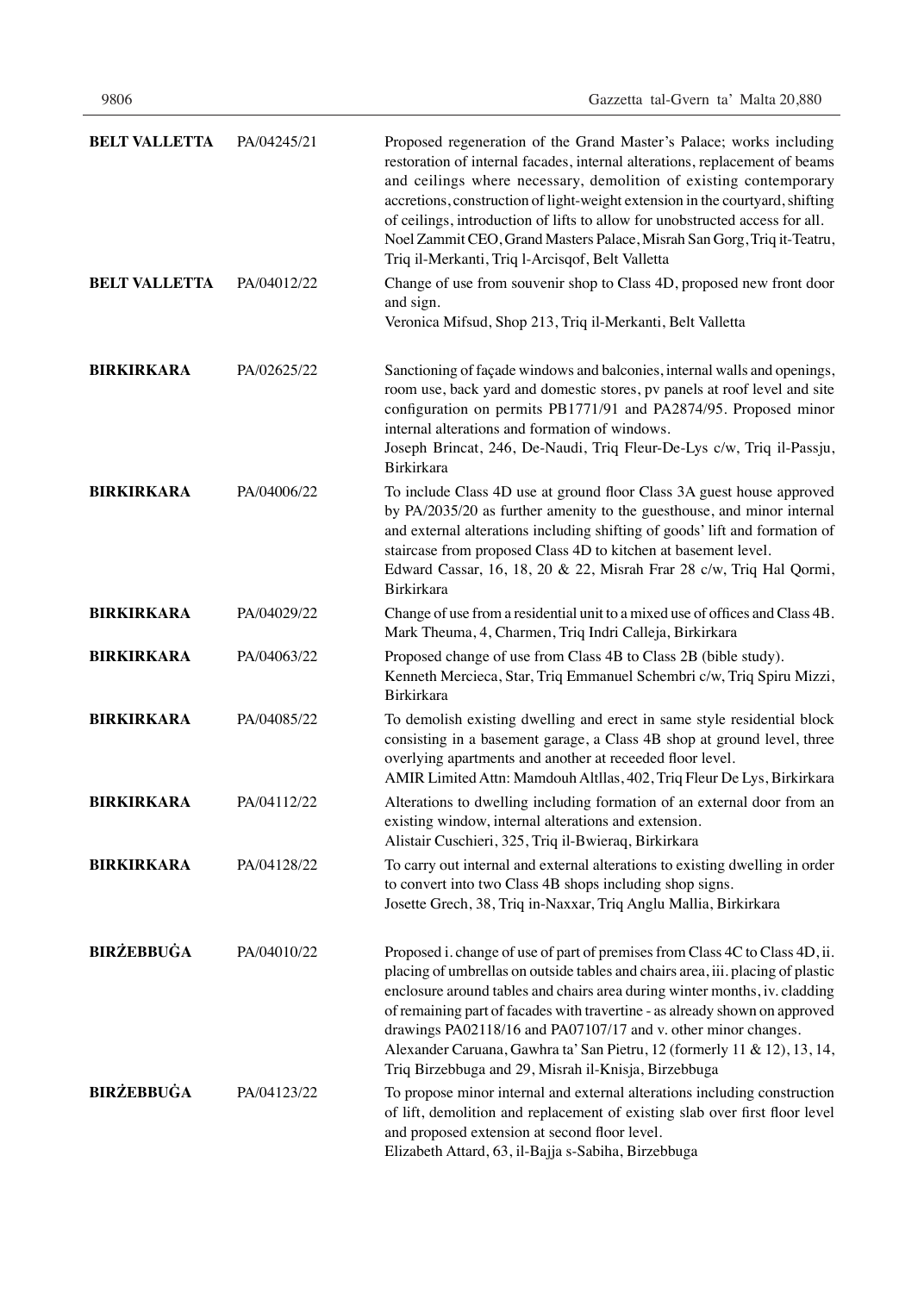| <b>BELT VALLETTA</b> | PA/04245/21 | Proposed regeneration of the Grand Master's Palace; works including<br>restoration of internal facades, internal alterations, replacement of beams<br>and ceilings where necessary, demolition of existing contemporary<br>accretions, construction of light-weight extension in the courtyard, shifting<br>of ceilings, introduction of lifts to allow for unobstructed access for all.<br>Noel Zammit CEO, Grand Masters Palace, Misrah San Gorg, Triq it-Teatru,<br>Triq il-Merkanti, Triq l-Arcisqof, Belt Valletta            |
|----------------------|-------------|------------------------------------------------------------------------------------------------------------------------------------------------------------------------------------------------------------------------------------------------------------------------------------------------------------------------------------------------------------------------------------------------------------------------------------------------------------------------------------------------------------------------------------|
| <b>BELT VALLETTA</b> | PA/04012/22 | Change of use from souvenir shop to Class 4D, proposed new front door<br>and sign.<br>Veronica Mifsud, Shop 213, Triq il-Merkanti, Belt Valletta                                                                                                                                                                                                                                                                                                                                                                                   |
| <b>BIRKIRKARA</b>    | PA/02625/22 | Sanctioning of façade windows and balconies, internal walls and openings,<br>room use, back yard and domestic stores, pv panels at roof level and site<br>configuration on permits PB1771/91 and PA2874/95. Proposed minor<br>internal alterations and formation of windows.<br>Joseph Brincat, 246, De-Naudi, Triq Fleur-De-Lys c/w, Triq il-Passju,<br>Birkirkara                                                                                                                                                                |
| <b>BIRKIRKARA</b>    | PA/04006/22 | To include Class 4D use at ground floor Class 3A guest house approved<br>by PA/2035/20 as further amenity to the guesthouse, and minor internal<br>and external alterations including shifting of goods' lift and formation of<br>staircase from proposed Class 4D to kitchen at basement level.<br>Edward Cassar, 16, 18, 20 & 22, Misrah Frar 28 c/w, Triq Hal Qormi,<br>Birkirkara                                                                                                                                              |
| <b>BIRKIRKARA</b>    | PA/04029/22 | Change of use from a residential unit to a mixed use of offices and Class 4B.<br>Mark Theuma, 4, Charmen, Triq Indri Calleja, Birkirkara                                                                                                                                                                                                                                                                                                                                                                                           |
| <b>BIRKIRKARA</b>    | PA/04063/22 | Proposed change of use from Class 4B to Class 2B (bible study).<br>Kenneth Mercieca, Star, Triq Emmanuel Schembri c/w, Triq Spiru Mizzi,<br><b>Birkirkara</b>                                                                                                                                                                                                                                                                                                                                                                      |
| <b>BIRKIRKARA</b>    | PA/04085/22 | To demolish existing dwelling and erect in same style residential block<br>consisting in a basement garage, a Class 4B shop at ground level, three<br>overlying apartments and another at receeded floor level.<br>AMIR Limited Attn: Mamdouh Altllas, 402, Triq Fleur De Lys, Birkirkara                                                                                                                                                                                                                                          |
| <b>BIRKIRKARA</b>    | PA/04112/22 | Alterations to dwelling including formation of an external door from an<br>existing window, internal alterations and extension.<br>Alistair Cuschieri, 325, Triq il-Bwieraq, Birkirkara                                                                                                                                                                                                                                                                                                                                            |
| <b>BIRKIRKARA</b>    | PA/04128/22 | To carry out internal and external alterations to existing dwelling in order<br>to convert into two Class 4B shops including shop signs.<br>Josette Grech, 38, Triq in-Naxxar, Triq Anglu Mallia, Birkirkara                                                                                                                                                                                                                                                                                                                       |
| <b>BIRŻEBBUĠA</b>    | PA/04010/22 | Proposed i. change of use of part of premises from Class 4C to Class 4D, ii.<br>placing of umbrellas on outside tables and chairs area, iii. placing of plastic<br>enclosure around tables and chairs area during winter months, iv. cladding<br>of remaining part of facades with travertine - as already shown on approved<br>drawings PA02118/16 and PA07107/17 and v. other minor changes.<br>Alexander Caruana, Gawhra ta' San Pietru, 12 (formerly 11 & 12), 13, 14,<br>Triq Birzebbuga and 29, Misrah il-Knisja, Birzebbuga |
| <b>BIRŻEBBUĠA</b>    | PA/04123/22 | To propose minor internal and external alterations including construction<br>of lift, demolition and replacement of existing slab over first floor level<br>and proposed extension at second floor level.<br>Elizabeth Attard, 63, il-Bajja s-Sabiha, Birzebbuga                                                                                                                                                                                                                                                                   |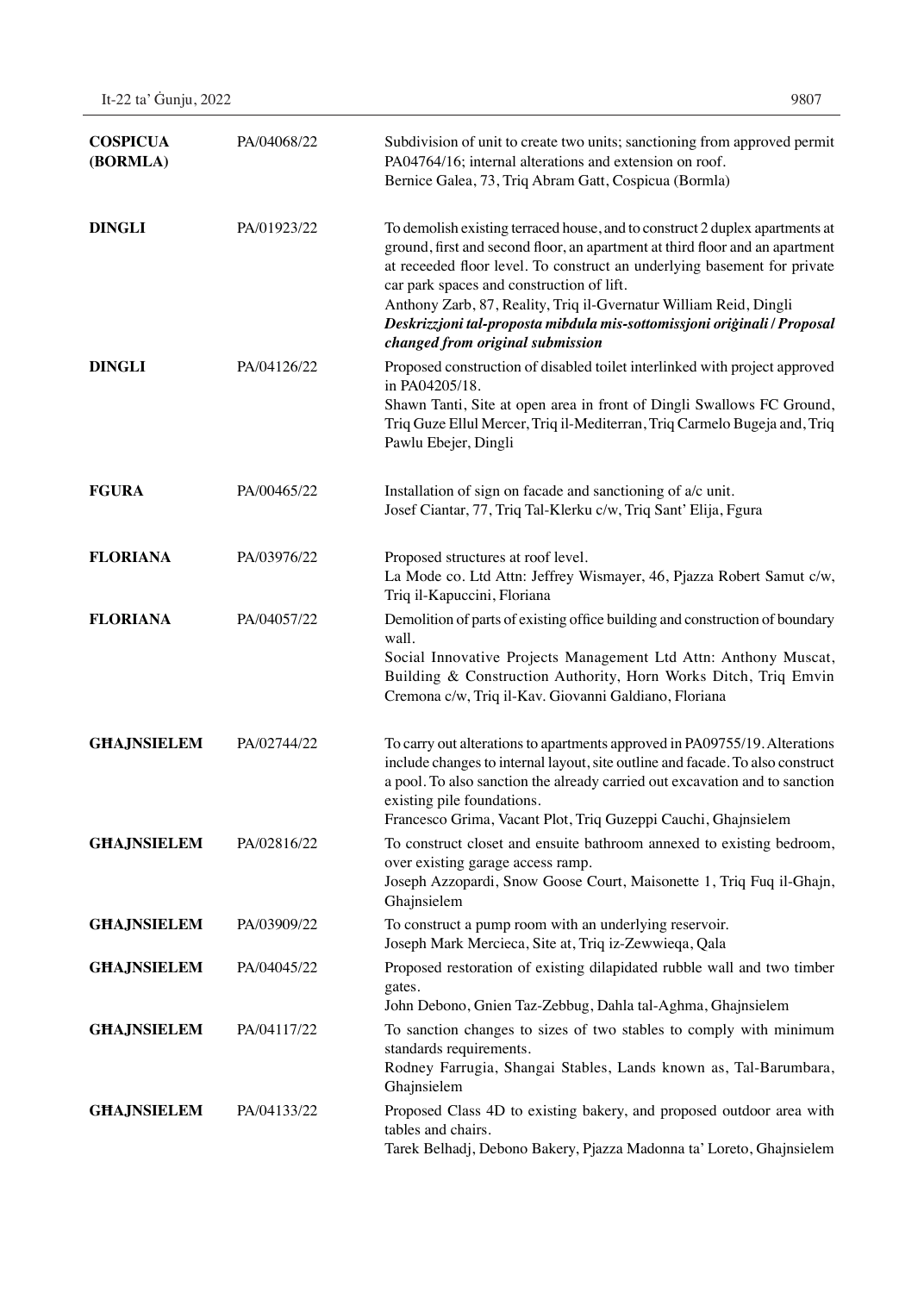| <b>COSPICUA</b><br>(BORMLA) | PA/04068/22 | Subdivision of unit to create two units; sanctioning from approved permit<br>PA04764/16; internal alterations and extension on roof.<br>Bernice Galea, 73, Triq Abram Gatt, Cospicua (Bormla)                                                                                                                                                                                                                                                                              |
|-----------------------------|-------------|----------------------------------------------------------------------------------------------------------------------------------------------------------------------------------------------------------------------------------------------------------------------------------------------------------------------------------------------------------------------------------------------------------------------------------------------------------------------------|
| <b>DINGLI</b>               | PA/01923/22 | To demolish existing terraced house, and to construct 2 duplex apartments at<br>ground, first and second floor, an apartment at third floor and an apartment<br>at receeded floor level. To construct an underlying basement for private<br>car park spaces and construction of lift.<br>Anthony Zarb, 87, Reality, Triq il-Gvernatur William Reid, Dingli<br>Deskrizzjoni tal-proposta mibdula mis-sottomissjoni originali / Proposal<br>changed from original submission |
| <b>DINGLI</b>               | PA/04126/22 | Proposed construction of disabled toilet interlinked with project approved<br>in PA04205/18.<br>Shawn Tanti, Site at open area in front of Dingli Swallows FC Ground,<br>Triq Guze Ellul Mercer, Triq il-Mediterran, Triq Carmelo Bugeja and, Triq<br>Pawlu Ebejer, Dingli                                                                                                                                                                                                 |
| <b>FGURA</b>                | PA/00465/22 | Installation of sign on facade and sanctioning of a/c unit.<br>Josef Ciantar, 77, Triq Tal-Klerku c/w, Triq Sant' Elija, Fgura                                                                                                                                                                                                                                                                                                                                             |
| <b>FLORIANA</b>             | PA/03976/22 | Proposed structures at roof level.<br>La Mode co. Ltd Attn: Jeffrey Wismayer, 46, Pjazza Robert Samut c/w,<br>Triq il-Kapuccini, Floriana                                                                                                                                                                                                                                                                                                                                  |
| <b>FLORIANA</b>             | PA/04057/22 | Demolition of parts of existing office building and construction of boundary<br>wall.<br>Social Innovative Projects Management Ltd Attn: Anthony Muscat,<br>Building & Construction Authority, Horn Works Ditch, Triq Emvin<br>Cremona c/w, Triq il-Kav. Giovanni Galdiano, Floriana                                                                                                                                                                                       |
| <b>GHAJNSIELEM</b>          | PA/02744/22 | To carry out alterations to apartments approved in PA09755/19. Alterations<br>include changes to internal layout, site outline and facade. To also construct<br>a pool. To also sanction the already carried out excavation and to sanction<br>existing pile foundations.<br>Francesco Grima, Vacant Plot, Triq Guzeppi Cauchi, Ghajnsielem                                                                                                                                |
| <b>GHAJNSIELEM</b>          | PA/02816/22 | To construct closet and ensuite bathroom annexed to existing bedroom,<br>over existing garage access ramp.<br>Joseph Azzopardi, Snow Goose Court, Maisonette 1, Triq Fuq il-Ghajn,<br>Ghajnsielem                                                                                                                                                                                                                                                                          |
| <b>GHAJNSIELEM</b>          | PA/03909/22 | To construct a pump room with an underlying reservoir.<br>Joseph Mark Mercieca, Site at, Triq iz-Zewwieqa, Qala                                                                                                                                                                                                                                                                                                                                                            |
| <b>GHAJNSIELEM</b>          | PA/04045/22 | Proposed restoration of existing dilapidated rubble wall and two timber<br>gates.<br>John Debono, Gnien Taz-Zebbug, Dahla tal-Aghma, Ghajnsielem                                                                                                                                                                                                                                                                                                                           |
| <b>GHAJNSIELEM</b>          | PA/04117/22 | To sanction changes to sizes of two stables to comply with minimum<br>standards requirements.<br>Rodney Farrugia, Shangai Stables, Lands known as, Tal-Barumbara,<br>Ghajnsielem                                                                                                                                                                                                                                                                                           |
| <b>GHAJNSIELEM</b>          | PA/04133/22 | Proposed Class 4D to existing bakery, and proposed outdoor area with<br>tables and chairs.<br>Tarek Belhadj, Debono Bakery, Pjazza Madonna ta' Loreto, Ghajnsielem                                                                                                                                                                                                                                                                                                         |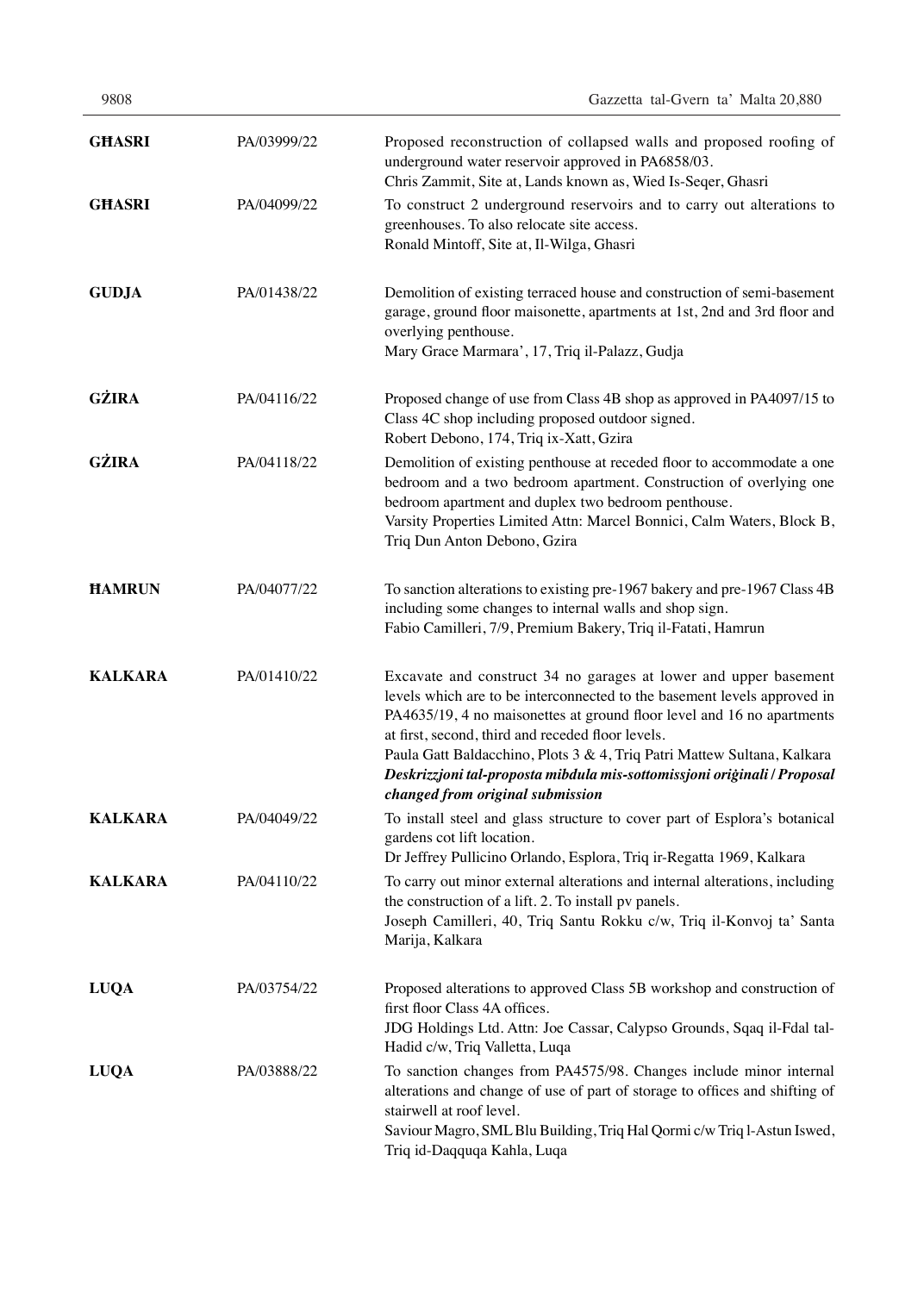| 9808           |             | Gazzetta tal-Gvern ta' Malta 20,880                                                                                                                                                                                                                                                                                                                                                                                                                                    |
|----------------|-------------|------------------------------------------------------------------------------------------------------------------------------------------------------------------------------------------------------------------------------------------------------------------------------------------------------------------------------------------------------------------------------------------------------------------------------------------------------------------------|
| <b>GHASRI</b>  | PA/03999/22 | Proposed reconstruction of collapsed walls and proposed roofing of<br>underground water reservoir approved in PA6858/03.<br>Chris Zammit, Site at, Lands known as, Wied Is-Seqer, Ghasri                                                                                                                                                                                                                                                                               |
| <b>GHASRI</b>  | PA/04099/22 | To construct 2 underground reservoirs and to carry out alterations to<br>greenhouses. To also relocate site access.<br>Ronald Mintoff, Site at, Il-Wilga, Ghasri                                                                                                                                                                                                                                                                                                       |
| <b>GUDJA</b>   | PA/01438/22 | Demolition of existing terraced house and construction of semi-basement<br>garage, ground floor maisonette, apartments at 1st, 2nd and 3rd floor and<br>overlying penthouse.<br>Mary Grace Marmara', 17, Triq il-Palazz, Gudja                                                                                                                                                                                                                                         |
| GŻIRA          | PA/04116/22 | Proposed change of use from Class 4B shop as approved in PA4097/15 to<br>Class 4C shop including proposed outdoor signed.<br>Robert Debono, 174, Triq ix-Xatt, Gzira                                                                                                                                                                                                                                                                                                   |
| <b>GŻIRA</b>   | PA/04118/22 | Demolition of existing penthouse at receded floor to accommodate a one<br>bedroom and a two bedroom apartment. Construction of overlying one<br>bedroom apartment and duplex two bedroom penthouse.<br>Varsity Properties Limited Attn: Marcel Bonnici, Calm Waters, Block B,<br>Triq Dun Anton Debono, Gzira                                                                                                                                                          |
| <b>HAMRUN</b>  | PA/04077/22 | To sanction alterations to existing pre-1967 bakery and pre-1967 Class 4B<br>including some changes to internal walls and shop sign.<br>Fabio Camilleri, 7/9, Premium Bakery, Triq il-Fatati, Hamrun                                                                                                                                                                                                                                                                   |
| <b>KALKARA</b> | PA/01410/22 | Excavate and construct 34 no garages at lower and upper basement<br>levels which are to be interconnected to the basement levels approved in<br>PA4635/19, 4 no maisonettes at ground floor level and 16 no apartments<br>at first, second, third and receded floor levels.<br>Paula Gatt Baldacchino, Plots 3 & 4, Triq Patri Mattew Sultana, Kalkara<br>Deskrizzjoni tal-proposta mibdula mis-sottomissjoni oriģinali / Proposal<br>changed from original submission |
| <b>KALKARA</b> | PA/04049/22 | To install steel and glass structure to cover part of Esplora's botanical<br>gardens cot lift location.<br>Dr Jeffrey Pullicino Orlando, Esplora, Triq ir-Regatta 1969, Kalkara                                                                                                                                                                                                                                                                                        |
| <b>KALKARA</b> | PA/04110/22 | To carry out minor external alterations and internal alterations, including<br>the construction of a lift. 2. To install pv panels.<br>Joseph Camilleri, 40, Triq Santu Rokku c/w, Triq il-Konvoj ta' Santa<br>Marija, Kalkara                                                                                                                                                                                                                                         |
| <b>LUQA</b>    | PA/03754/22 | Proposed alterations to approved Class 5B workshop and construction of<br>first floor Class 4A offices.<br>JDG Holdings Ltd. Attn: Joe Cassar, Calypso Grounds, Sqaq il-Fdal tal-<br>Hadid c/w, Triq Valletta, Luqa                                                                                                                                                                                                                                                    |
| <b>LUQA</b>    | PA/03888/22 | To sanction changes from PA4575/98. Changes include minor internal<br>alterations and change of use of part of storage to offices and shifting of<br>stairwell at roof level.<br>Saviour Magro, SML Blu Building, Triq Hal Qormi c/w Triq l-Astun Iswed,                                                                                                                                                                                                               |

Triq id-Daqquqa Kahla, Luqa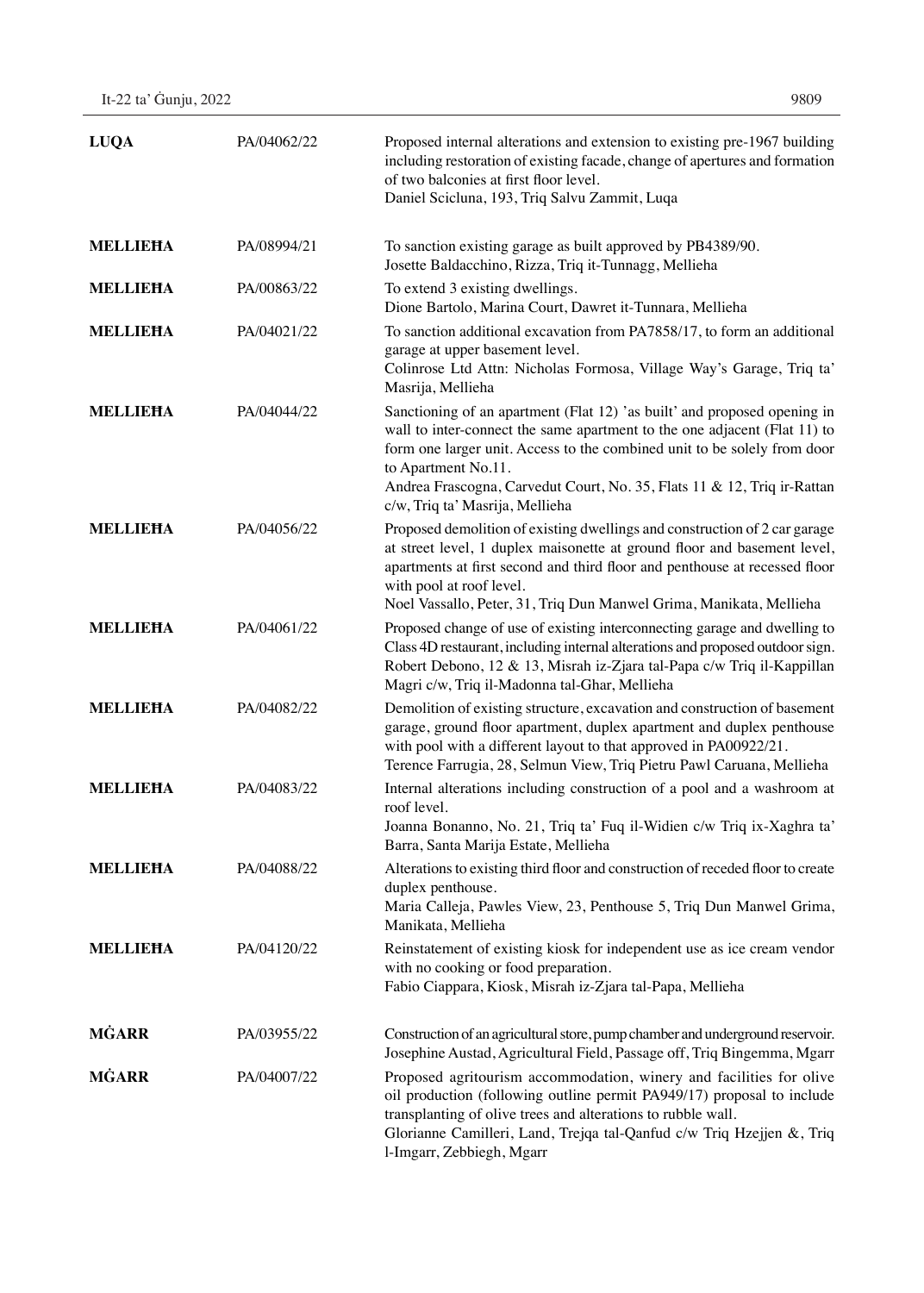| <b>LUQA</b>     | PA/04062/22 | Proposed internal alterations and extension to existing pre-1967 building<br>including restoration of existing facade, change of apertures and formation<br>of two balconies at first floor level.<br>Daniel Scicluna, 193, Triq Salvu Zammit, Luqa                                                                                                                        |
|-----------------|-------------|----------------------------------------------------------------------------------------------------------------------------------------------------------------------------------------------------------------------------------------------------------------------------------------------------------------------------------------------------------------------------|
| <b>MELLIEHA</b> | PA/08994/21 | To sanction existing garage as built approved by PB4389/90.<br>Josette Baldacchino, Rizza, Triq it-Tunnagg, Mellieha                                                                                                                                                                                                                                                       |
| <b>MELLIEHA</b> | PA/00863/22 | To extend 3 existing dwellings.<br>Dione Bartolo, Marina Court, Dawret it-Tunnara, Mellieha                                                                                                                                                                                                                                                                                |
| <b>MELLIEHA</b> | PA/04021/22 | To sanction additional excavation from PA7858/17, to form an additional<br>garage at upper basement level.<br>Colinrose Ltd Attn: Nicholas Formosa, Village Way's Garage, Triq ta'<br>Masrija, Mellieha                                                                                                                                                                    |
| <b>MELLIEHA</b> | PA/04044/22 | Sanctioning of an apartment (Flat 12) 'as built' and proposed opening in<br>wall to inter-connect the same apartment to the one adjacent (Flat 11) to<br>form one larger unit. Access to the combined unit to be solely from door<br>to Apartment No.11.<br>Andrea Frascogna, Carvedut Court, No. 35, Flats 11 & 12, Triq ir-Rattan                                        |
| <b>MELLIEHA</b> | PA/04056/22 | c/w, Triq ta' Masrija, Mellieha<br>Proposed demolition of existing dwellings and construction of 2 car garage<br>at street level, 1 duplex maisonette at ground floor and basement level,<br>apartments at first second and third floor and penthouse at recessed floor<br>with pool at roof level.<br>Noel Vassallo, Peter, 31, Triq Dun Manwel Grima, Manikata, Mellieha |
| <b>MELLIEHA</b> | PA/04061/22 | Proposed change of use of existing interconnecting garage and dwelling to<br>Class 4D restaurant, including internal alterations and proposed outdoor sign.<br>Robert Debono, 12 & 13, Misrah iz-Zjara tal-Papa c/w Triq il-Kappillan<br>Magri c/w, Triq il-Madonna tal-Ghar, Mellieha                                                                                     |
| <b>MELLIEHA</b> | PA/04082/22 | Demolition of existing structure, excavation and construction of basement<br>garage, ground floor apartment, duplex apartment and duplex penthouse<br>with pool with a different layout to that approved in PA00922/21.<br>Terence Farrugia, 28, Selmun View, Triq Pietru Pawl Caruana, Mellieha                                                                           |
| <b>MELLIEHA</b> | PA/04083/22 | Internal alterations including construction of a pool and a washroom at<br>roof level.<br>Joanna Bonanno, No. 21, Triq ta' Fuq il-Widien c/w Triq ix-Xaghra ta'<br>Barra, Santa Marija Estate, Mellieha                                                                                                                                                                    |
| <b>MELLIEHA</b> | PA/04088/22 | Alterations to existing third floor and construction of receded floor to create<br>duplex penthouse.<br>Maria Calleja, Pawles View, 23, Penthouse 5, Triq Dun Manwel Grima,<br>Manikata, Mellieha                                                                                                                                                                          |
| <b>MELLIEHA</b> | PA/04120/22 | Reinstatement of existing kiosk for independent use as ice cream vendor<br>with no cooking or food preparation.<br>Fabio Ciappara, Kiosk, Misrah iz-Zjara tal-Papa, Mellieha                                                                                                                                                                                               |
| <b>MĠARR</b>    | PA/03955/22 | Construction of an agricultural store, pump chamber and underground reservoir.<br>Josephine Austad, Agricultural Field, Passage off, Triq Bingemma, Mgarr                                                                                                                                                                                                                  |
| <b>MGARR</b>    | PA/04007/22 | Proposed agritourism accommodation, winery and facilities for olive<br>oil production (following outline permit PA949/17) proposal to include<br>transplanting of olive trees and alterations to rubble wall.<br>Glorianne Camilleri, Land, Trejqa tal-Qanfud c/w Triq Hzejjen &, Triq<br>l-Imgarr, Zebbiegh, Mgarr                                                        |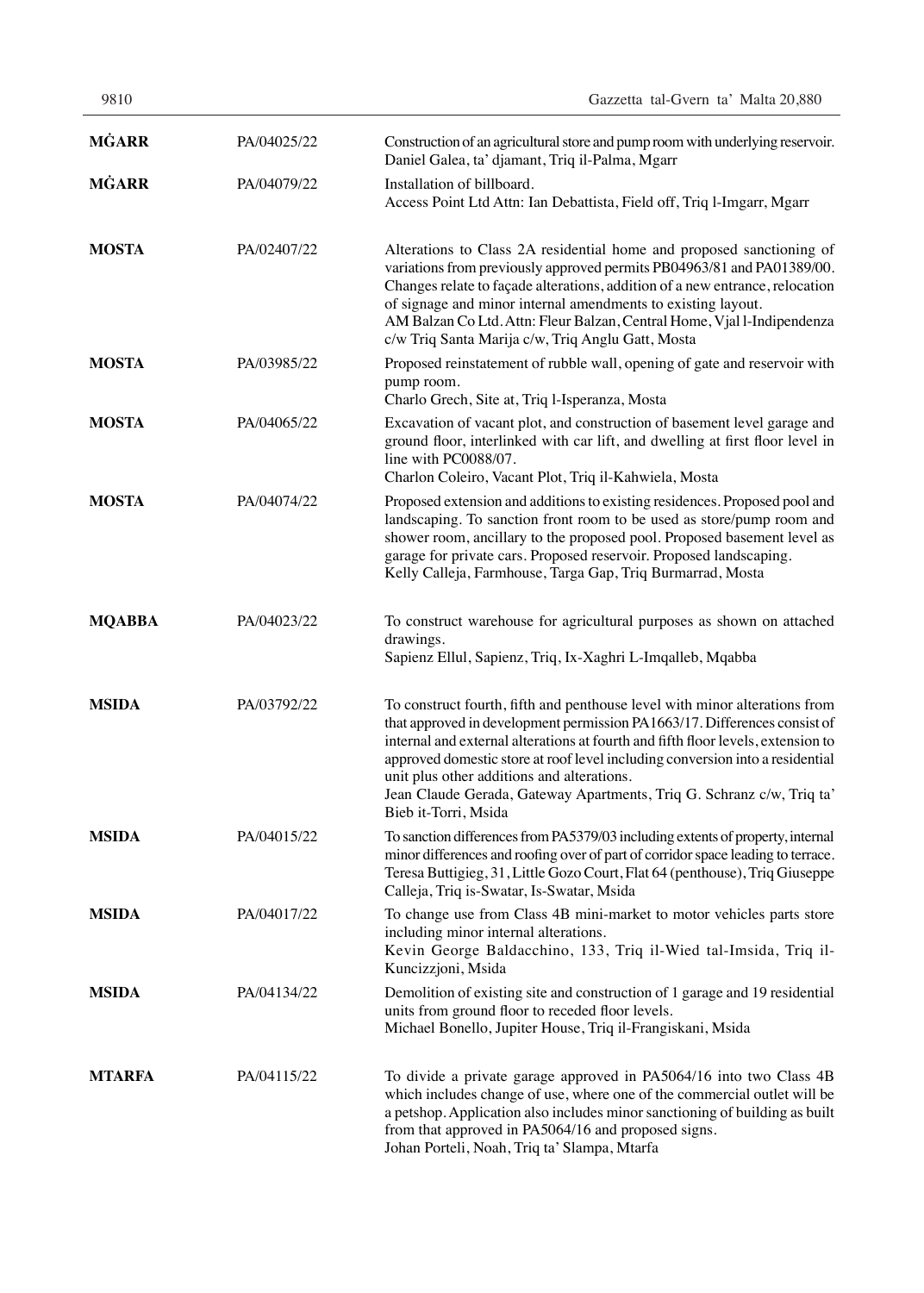| 9810          |             | Gazzetta tal-Gvern ta' Malta 20,880                                                                                                                                                                                                                                                                                                                                                                                                                                         |
|---------------|-------------|-----------------------------------------------------------------------------------------------------------------------------------------------------------------------------------------------------------------------------------------------------------------------------------------------------------------------------------------------------------------------------------------------------------------------------------------------------------------------------|
| <b>MĠARR</b>  | PA/04025/22 | Construction of an agricultural store and pump room with underlying reservoir.<br>Daniel Galea, ta' djamant, Triq il-Palma, Mgarr                                                                                                                                                                                                                                                                                                                                           |
| <b>MGARR</b>  | PA/04079/22 | Installation of billboard.<br>Access Point Ltd Attn: Ian Debattista, Field off, Triq l-Imgarr, Mgarr                                                                                                                                                                                                                                                                                                                                                                        |
| <b>MOSTA</b>  | PA/02407/22 | Alterations to Class 2A residential home and proposed sanctioning of<br>variations from previously approved permits PB04963/81 and PA01389/00.<br>Changes relate to façade alterations, addition of a new entrance, relocation<br>of signage and minor internal amendments to existing layout.<br>AM Balzan Co Ltd. Attn: Fleur Balzan, Central Home, Vjal l-Indipendenza<br>c/w Triq Santa Marija c/w, Triq Anglu Gatt, Mosta                                              |
| <b>MOSTA</b>  | PA/03985/22 | Proposed reinstatement of rubble wall, opening of gate and reservoir with<br>pump room.<br>Charlo Grech, Site at, Triq l-Isperanza, Mosta                                                                                                                                                                                                                                                                                                                                   |
| <b>MOSTA</b>  | PA/04065/22 | Excavation of vacant plot, and construction of basement level garage and<br>ground floor, interlinked with car lift, and dwelling at first floor level in<br>line with PC0088/07.<br>Charlon Coleiro, Vacant Plot, Triq il-Kahwiela, Mosta                                                                                                                                                                                                                                  |
| <b>MOSTA</b>  | PA/04074/22 | Proposed extension and additions to existing residences. Proposed pool and<br>landscaping. To sanction front room to be used as store/pump room and<br>shower room, ancillary to the proposed pool. Proposed basement level as<br>garage for private cars. Proposed reservoir. Proposed landscaping.<br>Kelly Calleja, Farmhouse, Targa Gap, Triq Burmarrad, Mosta                                                                                                          |
| <b>MQABBA</b> | PA/04023/22 | To construct warehouse for agricultural purposes as shown on attached<br>drawings.<br>Sapienz Ellul, Sapienz, Triq, Ix-Xaghri L-Imqalleb, Mqabba                                                                                                                                                                                                                                                                                                                            |
| <b>MSIDA</b>  | PA/03792/22 | To construct fourth, fifth and penthouse level with minor alterations from<br>that approved in development permission PA1663/17. Differences consist of<br>internal and external alterations at fourth and fifth floor levels, extension to<br>approved domestic store at roof level including conversion into a residential<br>unit plus other additions and alterations.<br>Jean Claude Gerada, Gateway Apartments, Triq G. Schranz c/w, Triq ta'<br>Bieb it-Torri, Msida |
| <b>MSIDA</b>  | PA/04015/22 | To sanction differences from PA5379/03 including extents of property, internal<br>minor differences and roofing over of part of corridor space leading to terrace.<br>Teresa Buttigieg, 31, Little Gozo Court, Flat 64 (penthouse), Triq Giuseppe<br>Calleja, Triq is-Swatar, Is-Swatar, Msida                                                                                                                                                                              |
| <b>MSIDA</b>  | PA/04017/22 | To change use from Class 4B mini-market to motor vehicles parts store<br>including minor internal alterations.<br>Kevin George Baldacchino, 133, Triq il-Wied tal-Imsida, Triq il-<br>Kuncizzjoni, Msida                                                                                                                                                                                                                                                                    |
| <b>MSIDA</b>  | PA/04134/22 | Demolition of existing site and construction of 1 garage and 19 residential<br>units from ground floor to receded floor levels.<br>Michael Bonello, Jupiter House, Triq il-Frangiskani, Msida                                                                                                                                                                                                                                                                               |
| <b>MTARFA</b> | PA/04115/22 | To divide a private garage approved in PA5064/16 into two Class 4B<br>which includes change of use, where one of the commercial outlet will be<br>a petshop. Application also includes minor sanctioning of building as built<br>from that approved in PA5064/16 and proposed signs.<br>Johan Porteli, Noah, Triq ta' Slampa, Mtarfa                                                                                                                                        |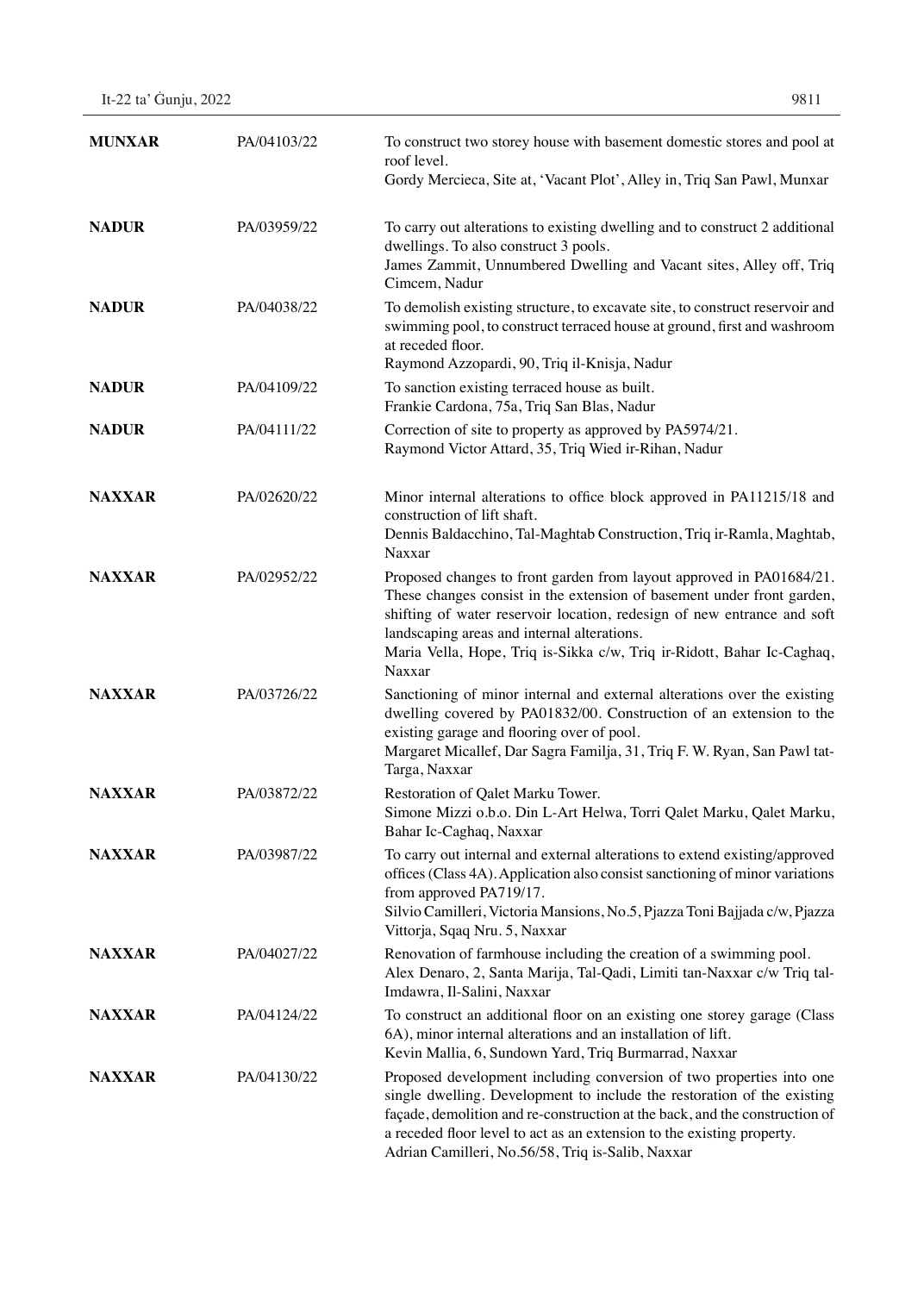| It-22 ta' Guniu, 2022 | 9811 |
|-----------------------|------|
|-----------------------|------|

| <b>MUNXAR</b> | PA/04103/22 | To construct two storey house with basement domestic stores and pool at<br>roof level.<br>Gordy Mercieca, Site at, 'Vacant Plot', Alley in, Triq San Pawl, Munxar                                                                                                                                                                                             |
|---------------|-------------|---------------------------------------------------------------------------------------------------------------------------------------------------------------------------------------------------------------------------------------------------------------------------------------------------------------------------------------------------------------|
| <b>NADUR</b>  | PA/03959/22 | To carry out alterations to existing dwelling and to construct 2 additional<br>dwellings. To also construct 3 pools.<br>James Zammit, Unnumbered Dwelling and Vacant sites, Alley off, Triq<br>Cimcem, Nadur                                                                                                                                                  |
| <b>NADUR</b>  | PA/04038/22 | To demolish existing structure, to excavate site, to construct reservoir and<br>swimming pool, to construct terraced house at ground, first and washroom<br>at receded floor.<br>Raymond Azzopardi, 90, Triq il-Knisja, Nadur                                                                                                                                 |
| <b>NADUR</b>  | PA/04109/22 | To sanction existing terraced house as built.<br>Frankie Cardona, 75a, Triq San Blas, Nadur                                                                                                                                                                                                                                                                   |
| <b>NADUR</b>  | PA/04111/22 | Correction of site to property as approved by PA5974/21.<br>Raymond Victor Attard, 35, Triq Wied ir-Rihan, Nadur                                                                                                                                                                                                                                              |
| <b>NAXXAR</b> | PA/02620/22 | Minor internal alterations to office block approved in PA11215/18 and<br>construction of lift shaft.<br>Dennis Baldacchino, Tal-Maghtab Construction, Triq ir-Ramla, Maghtab,<br>Naxxar                                                                                                                                                                       |
| <b>NAXXAR</b> | PA/02952/22 | Proposed changes to front garden from layout approved in PA01684/21.<br>These changes consist in the extension of basement under front garden,<br>shifting of water reservoir location, redesign of new entrance and soft<br>landscaping areas and internal alterations.<br>Maria Vella, Hope, Triq is-Sikka c/w, Triq ir-Ridott, Bahar Ic-Caghaq,<br>Naxxar  |
| <b>NAXXAR</b> | PA/03726/22 | Sanctioning of minor internal and external alterations over the existing<br>dwelling covered by PA01832/00. Construction of an extension to the<br>existing garage and flooring over of pool.<br>Margaret Micallef, Dar Sagra Familja, 31, Triq F. W. Ryan, San Pawl tat-<br>Targa, Naxxar                                                                    |
| <b>NAXXAR</b> | PA/03872/22 | Restoration of Qalet Marku Tower.<br>Simone Mizzi o.b.o. Din L-Art Helwa, Torri Qalet Marku, Qalet Marku,<br>Bahar Ic-Caghaq, Naxxar                                                                                                                                                                                                                          |
| <b>NAXXAR</b> | PA/03987/22 | To carry out internal and external alterations to extend existing/approved<br>offices (Class 4A). Application also consist sanctioning of minor variations<br>from approved PA719/17.<br>Silvio Camilleri, Victoria Mansions, No.5, Pjazza Toni Bajjada c/w, Pjazza<br>Vittorja, Sqaq Nru. 5, Naxxar                                                          |
| <b>NAXXAR</b> | PA/04027/22 | Renovation of farmhouse including the creation of a swimming pool.<br>Alex Denaro, 2, Santa Marija, Tal-Qadi, Limiti tan-Naxxar c/w Triq tal-<br>Imdawra, Il-Salini, Naxxar                                                                                                                                                                                   |
| <b>NAXXAR</b> | PA/04124/22 | To construct an additional floor on an existing one storey garage (Class<br>6A), minor internal alterations and an installation of lift.<br>Kevin Mallia, 6, Sundown Yard, Triq Burmarrad, Naxxar                                                                                                                                                             |
| <b>NAXXAR</b> | PA/04130/22 | Proposed development including conversion of two properties into one<br>single dwelling. Development to include the restoration of the existing<br>façade, demolition and re-construction at the back, and the construction of<br>a receded floor level to act as an extension to the existing property.<br>Adrian Camilleri, No.56/58, Triq is-Salib, Naxxar |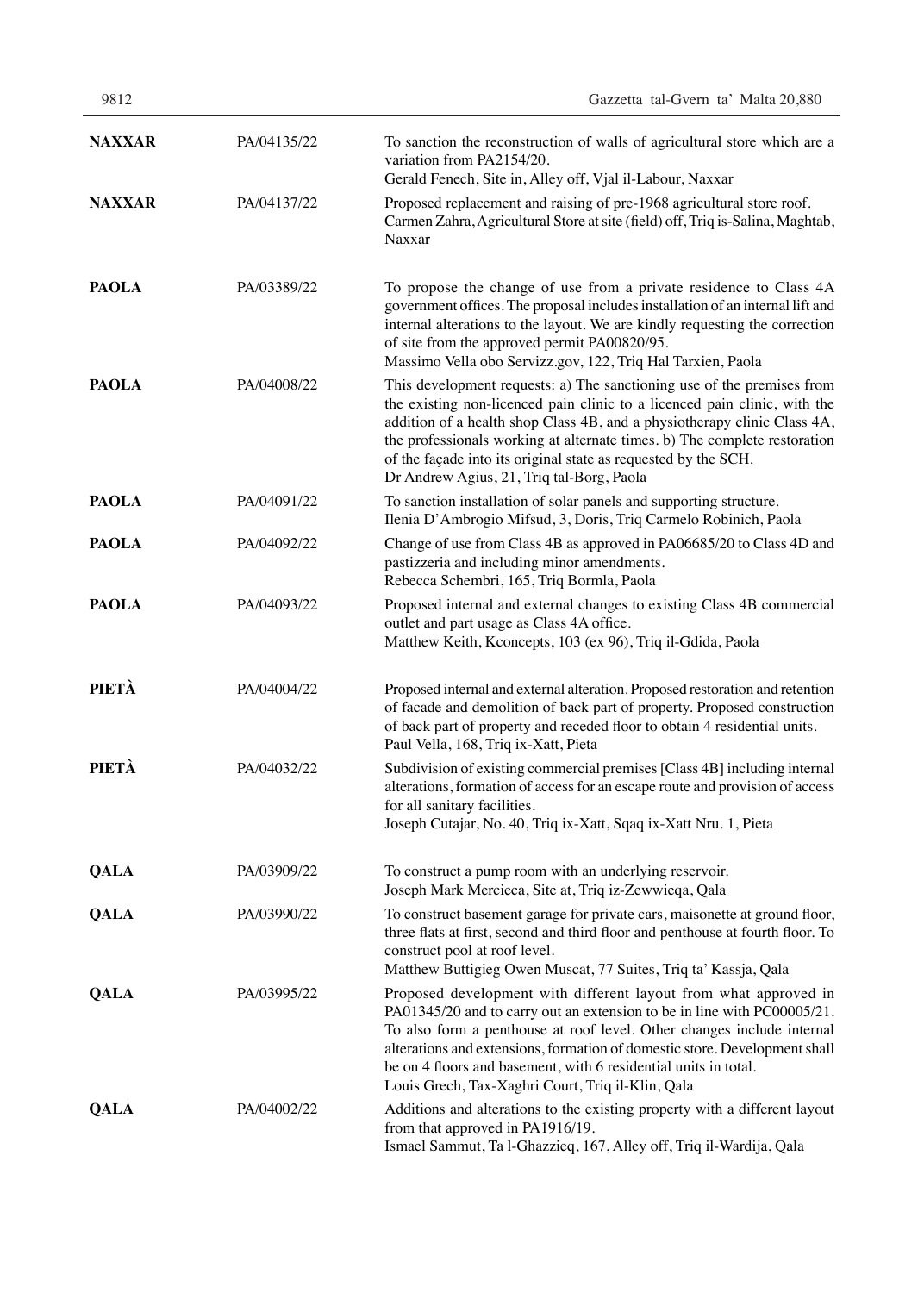| 9812          |             | Gazzetta tal-Gvern ta' Malta 20,880                                                                                                                                                                                                                                                                                                                                                                                         |
|---------------|-------------|-----------------------------------------------------------------------------------------------------------------------------------------------------------------------------------------------------------------------------------------------------------------------------------------------------------------------------------------------------------------------------------------------------------------------------|
| <b>NAXXAR</b> | PA/04135/22 | To sanction the reconstruction of walls of agricultural store which are a<br>variation from PA2154/20.<br>Gerald Fenech, Site in, Alley off, Vjal il-Labour, Naxxar                                                                                                                                                                                                                                                         |
| <b>NAXXAR</b> | PA/04137/22 | Proposed replacement and raising of pre-1968 agricultural store roof.<br>Carmen Zahra, Agricultural Store at site (field) off, Triq is-Salina, Maghtab,<br>Naxxar                                                                                                                                                                                                                                                           |
| <b>PAOLA</b>  | PA/03389/22 | To propose the change of use from a private residence to Class 4A<br>government offices. The proposal includes installation of an internal lift and<br>internal alterations to the layout. We are kindly requesting the correction<br>of site from the approved permit PA00820/95.<br>Massimo Vella obo Servizz.gov, 122, Triq Hal Tarxien, Paola                                                                           |
| <b>PAOLA</b>  | PA/04008/22 | This development requests: a) The sanctioning use of the premises from<br>the existing non-licenced pain clinic to a licenced pain clinic, with the<br>addition of a health shop Class 4B, and a physiotherapy clinic Class 4A,<br>the professionals working at alternate times. b) The complete restoration<br>of the façade into its original state as requested by the SCH.<br>Dr Andrew Agius, 21, Triq tal-Borg, Paola |
| <b>PAOLA</b>  | PA/04091/22 | To sanction installation of solar panels and supporting structure.<br>Ilenia D'Ambrogio Mifsud, 3, Doris, Triq Carmelo Robinich, Paola                                                                                                                                                                                                                                                                                      |
| <b>PAOLA</b>  | PA/04092/22 | Change of use from Class 4B as approved in PA06685/20 to Class 4D and<br>pastizzeria and including minor amendments.<br>Rebecca Schembri, 165, Triq Bormla, Paola                                                                                                                                                                                                                                                           |
| <b>PAOLA</b>  | PA/04093/22 | Proposed internal and external changes to existing Class 4B commercial<br>outlet and part usage as Class 4A office.<br>Matthew Keith, Kconcepts, 103 (ex 96), Triq il-Gdida, Paola                                                                                                                                                                                                                                          |
| PIETÀ         | PA/04004/22 | Proposed internal and external alteration. Proposed restoration and retention<br>of facade and demolition of back part of property. Proposed construction<br>of back part of property and receded floor to obtain 4 residential units.<br>Paul Vella, 168, Triq ix-Xatt, Pieta                                                                                                                                              |
| PIETÀ         | PA/04032/22 | Subdivision of existing commercial premises [Class 4B] including internal<br>alterations, formation of access for an escape route and provision of access<br>for all sanitary facilities.<br>Joseph Cutajar, No. 40, Triq ix-Xatt, Sqaq ix-Xatt Nru. 1, Pieta                                                                                                                                                               |
| <b>QALA</b>   | PA/03909/22 | To construct a pump room with an underlying reservoir.<br>Joseph Mark Mercieca, Site at, Triq iz-Zewwieqa, Qala                                                                                                                                                                                                                                                                                                             |
| <b>QALA</b>   | PA/03990/22 | To construct basement garage for private cars, maisonette at ground floor,<br>three flats at first, second and third floor and penthouse at fourth floor. To<br>construct pool at roof level.<br>Matthew Buttigieg Owen Muscat, 77 Suites, Triq ta' Kassja, Qala                                                                                                                                                            |
| <b>QALA</b>   | PA/03995/22 | Proposed development with different layout from what approved in<br>PA01345/20 and to carry out an extension to be in line with PC00005/21.<br>To also form a penthouse at roof level. Other changes include internal<br>alterations and extensions, formation of domestic store. Development shall<br>be on 4 floors and basement, with 6 residential units in total.<br>Louis Grech, Tax-Xaghri Court, Triq il-Klin, Qala |
| <b>QALA</b>   | PA/04002/22 | Additions and alterations to the existing property with a different layout<br>from that approved in PA1916/19.<br>Ismael Sammut, Ta l-Ghazzieq, 167, Alley off, Triq il-Wardija, Qala                                                                                                                                                                                                                                       |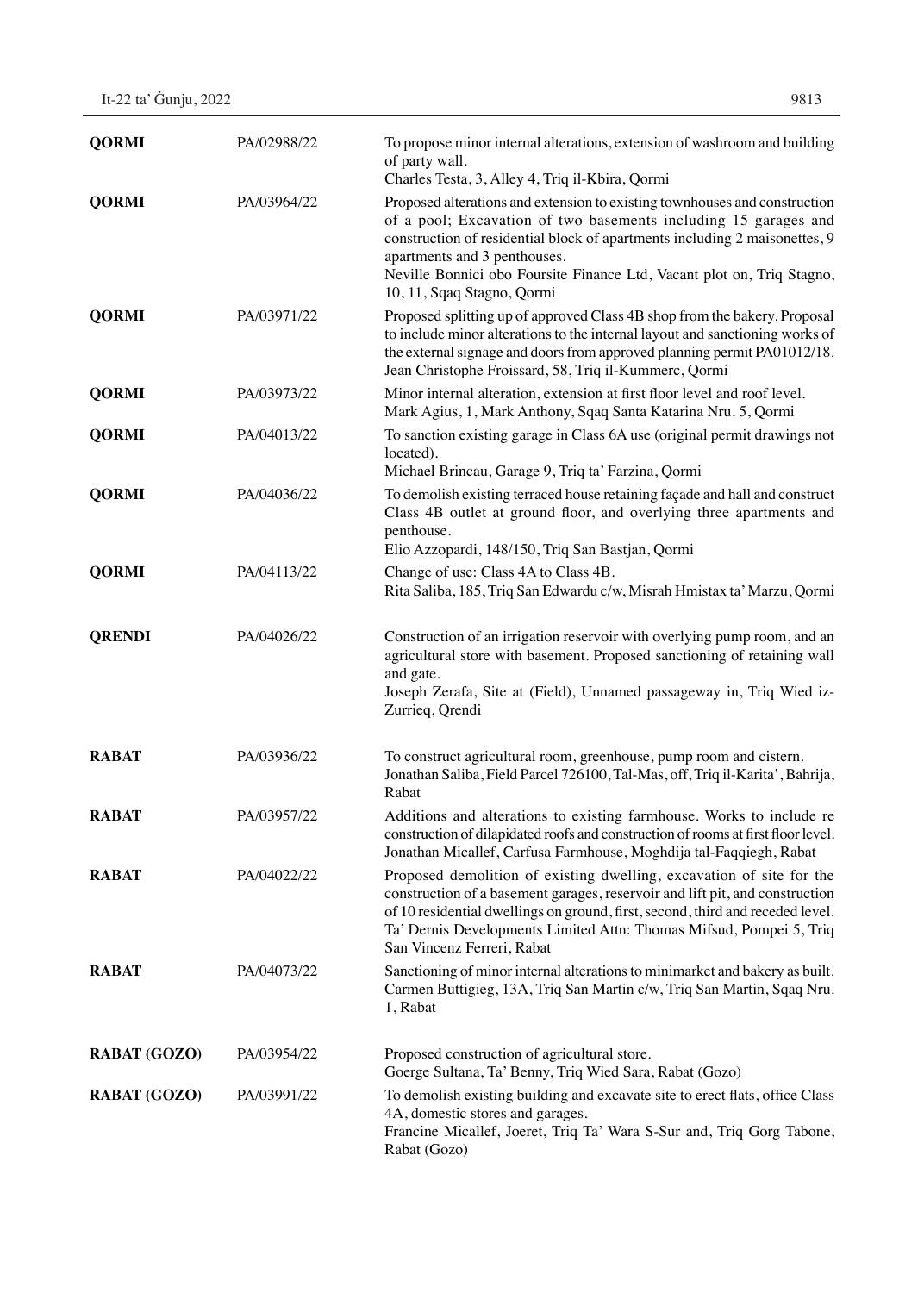| It-22 ta' Gunju, 2022 | 9813 |
|-----------------------|------|
|                       |      |

| <b>QORMI</b>        | PA/02988/22 | To propose minor internal alterations, extension of washroom and building<br>of party wall.<br>Charles Testa, 3, Alley 4, Triq il-Kbira, Qormi                                                                                                                                                                                                                      |
|---------------------|-------------|---------------------------------------------------------------------------------------------------------------------------------------------------------------------------------------------------------------------------------------------------------------------------------------------------------------------------------------------------------------------|
| <b>QORMI</b>        | PA/03964/22 | Proposed alterations and extension to existing townhouses and construction<br>of a pool; Excavation of two basements including 15 garages and<br>construction of residential block of apartments including 2 maisonettes, 9<br>apartments and 3 penthouses.<br>Neville Bonnici obo Foursite Finance Ltd, Vacant plot on, Triq Stagno,<br>10, 11, Sqaq Stagno, Qormi |
| <b>QORMI</b>        | PA/03971/22 | Proposed splitting up of approved Class 4B shop from the bakery. Proposal<br>to include minor alterations to the internal layout and sanctioning works of<br>the external signage and doors from approved planning permit PA01012/18.<br>Jean Christophe Froissard, 58, Triq il-Kummerc, Qormi                                                                      |
| <b>QORMI</b>        | PA/03973/22 | Minor internal alteration, extension at first floor level and roof level.<br>Mark Agius, 1, Mark Anthony, Sqaq Santa Katarina Nru. 5, Qormi                                                                                                                                                                                                                         |
| <b>QORMI</b>        | PA/04013/22 | To sanction existing garage in Class 6A use (original permit drawings not<br>located).<br>Michael Brincau, Garage 9, Triq ta' Farzina, Qormi                                                                                                                                                                                                                        |
| <b>QORMI</b>        | PA/04036/22 | To demolish existing terraced house retaining façade and hall and construct<br>Class 4B outlet at ground floor, and overlying three apartments and<br>penthouse.<br>Elio Azzopardi, 148/150, Triq San Bastjan, Qormi                                                                                                                                                |
| <b>QORMI</b>        | PA/04113/22 | Change of use: Class 4A to Class 4B.<br>Rita Saliba, 185, Triq San Edwardu c/w, Misrah Hmistax ta' Marzu, Qormi                                                                                                                                                                                                                                                     |
| <b>QRENDI</b>       | PA/04026/22 | Construction of an irrigation reservoir with overlying pump room, and an<br>agricultural store with basement. Proposed sanctioning of retaining wall<br>and gate.<br>Joseph Zerafa, Site at (Field), Unnamed passageway in, Triq Wied iz-<br>Zurrieq, Qrendi                                                                                                        |
| <b>RABAT</b>        | PA/03936/22 | To construct agricultural room, greenhouse, pump room and cistern.<br>Jonathan Saliba, Field Parcel 726100, Tal-Mas, off, Triq il-Karita', Bahrija,<br>Rabat                                                                                                                                                                                                        |
| <b>RABAT</b>        | PA/03957/22 | Additions and alterations to existing farmhouse. Works to include re<br>construction of dilapidated roofs and construction of rooms at first floor level.<br>Jonathan Micallef, Carfusa Farmhouse, Moghdija tal-Faqqiegh, Rabat                                                                                                                                     |
| <b>RABAT</b>        | PA/04022/22 | Proposed demolition of existing dwelling, excavation of site for the<br>construction of a basement garages, reservoir and lift pit, and construction<br>of 10 residential dwellings on ground, first, second, third and receded level.<br>Ta' Dernis Developments Limited Attn: Thomas Mifsud, Pompei 5, Triq<br>San Vincenz Ferreri, Rabat                         |
| <b>RABAT</b>        | PA/04073/22 | Sanctioning of minor internal alterations to minimarket and bakery as built.<br>Carmen Buttigieg, 13A, Triq San Martin c/w, Triq San Martin, Sqaq Nru.<br>1, Rabat                                                                                                                                                                                                  |
| <b>RABAT (GOZO)</b> | PA/03954/22 | Proposed construction of agricultural store.<br>Goerge Sultana, Ta' Benny, Triq Wied Sara, Rabat (Gozo)                                                                                                                                                                                                                                                             |
| <b>RABAT (GOZO)</b> | PA/03991/22 | To demolish existing building and excavate site to erect flats, office Class<br>4A, domestic stores and garages.<br>Francine Micallef, Joeret, Triq Ta' Wara S-Sur and, Triq Gorg Tabone,<br>Rabat (Gozo)                                                                                                                                                           |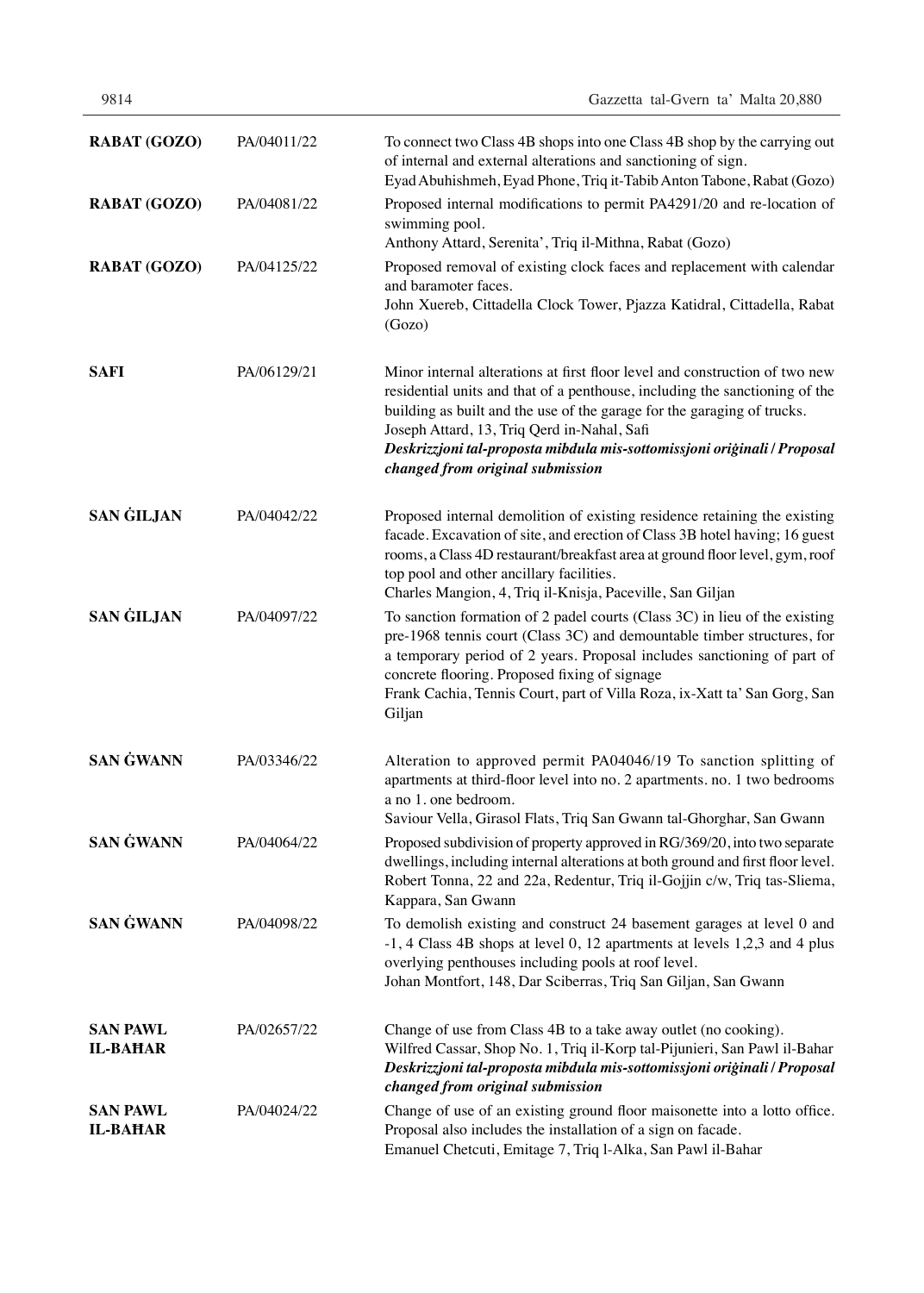| <b>RABAT (GOZO)</b>                | PA/04011/22 | To connect two Class 4B shops into one Class 4B shop by the carrying out<br>of internal and external alterations and sanctioning of sign.<br>Eyad Abuhishmeh, Eyad Phone, Triq it-Tabib Anton Tabone, Rabat (Gozo)                                                                                                                                                                                   |
|------------------------------------|-------------|------------------------------------------------------------------------------------------------------------------------------------------------------------------------------------------------------------------------------------------------------------------------------------------------------------------------------------------------------------------------------------------------------|
| <b>RABAT (GOZO)</b>                | PA/04081/22 | Proposed internal modifications to permit PA4291/20 and re-location of<br>swimming pool.<br>Anthony Attard, Serenita', Triq il-Mithna, Rabat (Gozo)                                                                                                                                                                                                                                                  |
| <b>RABAT (GOZO)</b>                | PA/04125/22 | Proposed removal of existing clock faces and replacement with calendar<br>and baramoter faces.<br>John Xuereb, Cittadella Clock Tower, Pjazza Katidral, Cittadella, Rabat<br>(Gozo)                                                                                                                                                                                                                  |
| <b>SAFI</b>                        | PA/06129/21 | Minor internal alterations at first floor level and construction of two new<br>residential units and that of a penthouse, including the sanctioning of the<br>building as built and the use of the garage for the garaging of trucks.<br>Joseph Attard, 13, Triq Qerd in-Nahal, Safi<br>Deskrizzjoni tal-proposta mibdula mis-sottomissjoni originali / Proposal<br>changed from original submission |
| <b>SAN GILJAN</b>                  | PA/04042/22 | Proposed internal demolition of existing residence retaining the existing<br>facade. Excavation of site, and erection of Class 3B hotel having; 16 guest<br>rooms, a Class 4D restaurant/breakfast area at ground floor level, gym, roof<br>top pool and other ancillary facilities.<br>Charles Mangion, 4, Triq il-Knisja, Paceville, San Giljan                                                    |
| <b>SAN GILJAN</b>                  | PA/04097/22 | To sanction formation of 2 padel courts (Class 3C) in lieu of the existing<br>pre-1968 tennis court (Class 3C) and demountable timber structures, for<br>a temporary period of 2 years. Proposal includes sanctioning of part of<br>concrete flooring. Proposed fixing of signage<br>Frank Cachia, Tennis Court, part of Villa Roza, ix-Xatt ta' San Gorg, San<br>Giljan                             |
| <b>SAN GWANN</b>                   | PA/03346/22 | Alteration to approved permit PA04046/19 To sanction splitting of<br>apartments at third-floor level into no. 2 apartments. no. 1 two bedrooms<br>a no 1. one bedroom.<br>Saviour Vella, Girasol Flats, Triq San Gwann tal-Ghorghar, San Gwann                                                                                                                                                       |
| <b>SAN GWANN</b>                   | PA/04064/22 | Proposed subdivision of property approved in RG/369/20, into two separate<br>dwellings, including internal alterations at both ground and first floor level.<br>Robert Tonna, 22 and 22a, Redentur, Triq il-Gojjin c/w, Triq tas-Sliema,<br>Kappara, San Gwann                                                                                                                                       |
| <b>SAN GWANN</b>                   | PA/04098/22 | To demolish existing and construct 24 basement garages at level 0 and<br>$-1$ , 4 Class 4B shops at level 0, 12 apartments at levels 1,2,3 and 4 plus<br>overlying penthouses including pools at roof level.<br>Johan Montfort, 148, Dar Sciberras, Triq San Giljan, San Gwann                                                                                                                       |
| <b>SAN PAWL</b><br><b>IL-BAHAR</b> | PA/02657/22 | Change of use from Class 4B to a take away outlet (no cooking).<br>Wilfred Cassar, Shop No. 1, Triq il-Korp tal-Pijunieri, San Pawl il-Bahar<br>Deskrizzjoni tal-proposta mibdula mis-sottomissjoni originali / Proposal<br>changed from original submission                                                                                                                                         |
| <b>SAN PAWL</b><br><b>IL-BAHAR</b> | PA/04024/22 | Change of use of an existing ground floor maisonette into a lotto office.<br>Proposal also includes the installation of a sign on facade.<br>Emanuel Chetcuti, Emitage 7, Triq l-Alka, San Pawl il-Bahar                                                                                                                                                                                             |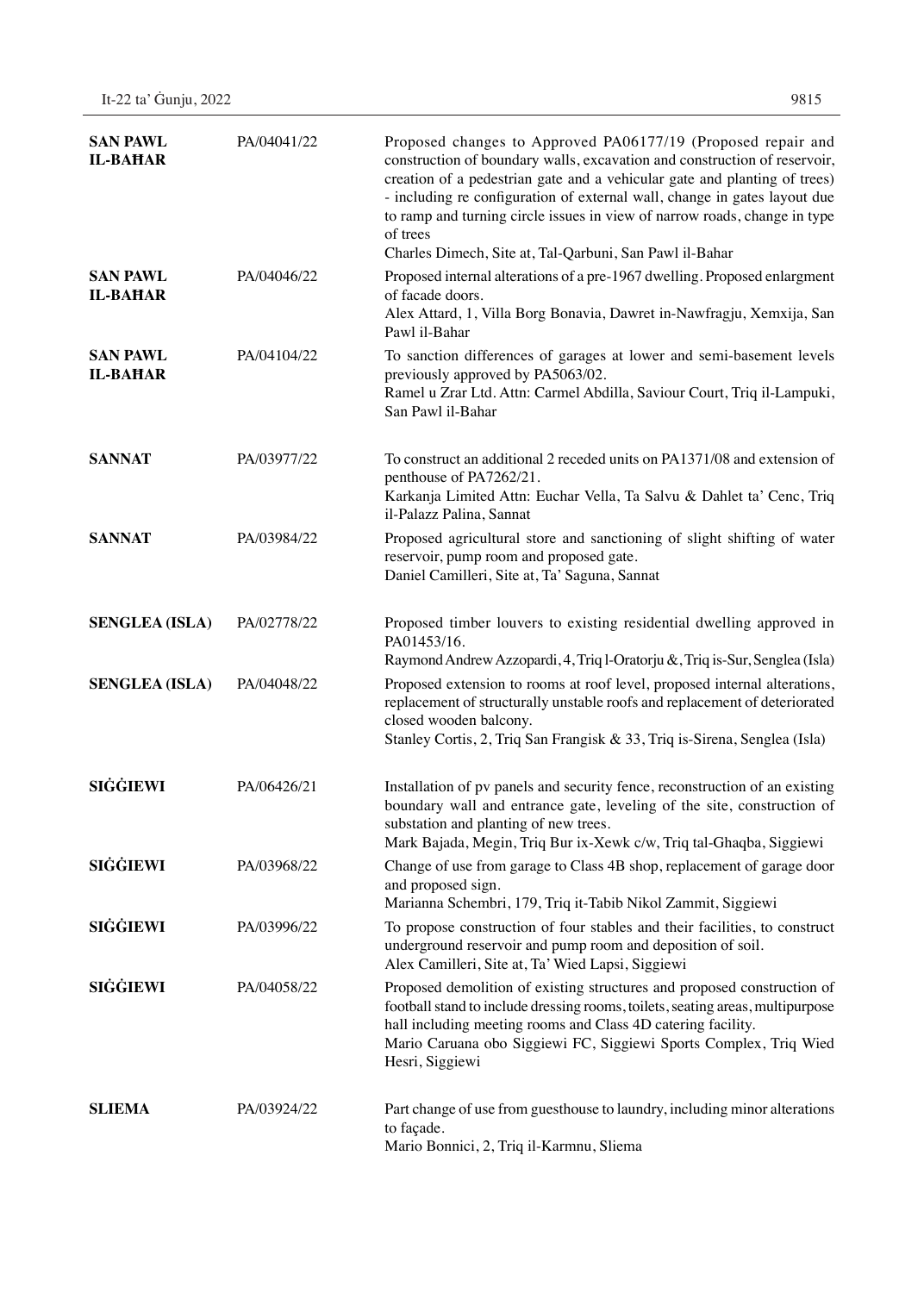| <b>SAN PAWL</b><br><b>IL-BAHAR</b> | PA/04041/22 | Proposed changes to Approved PA06177/19 (Proposed repair and<br>construction of boundary walls, excavation and construction of reservoir,<br>creation of a pedestrian gate and a vehicular gate and planting of trees)<br>- including re configuration of external wall, change in gates layout due<br>to ramp and turning circle issues in view of narrow roads, change in type<br>of trees<br>Charles Dimech, Site at, Tal-Qarbuni, San Pawl il-Bahar |
|------------------------------------|-------------|---------------------------------------------------------------------------------------------------------------------------------------------------------------------------------------------------------------------------------------------------------------------------------------------------------------------------------------------------------------------------------------------------------------------------------------------------------|
| <b>SAN PAWL</b><br><b>IL-BAHAR</b> | PA/04046/22 | Proposed internal alterations of a pre-1967 dwelling. Proposed enlargment<br>of facade doors.<br>Alex Attard, 1, Villa Borg Bonavia, Dawret in-Nawfragju, Xemxija, San<br>Pawl il-Bahar                                                                                                                                                                                                                                                                 |
| <b>SAN PAWL</b><br><b>IL-BAHAR</b> | PA/04104/22 | To sanction differences of garages at lower and semi-basement levels<br>previously approved by PA5063/02.<br>Ramel u Zrar Ltd. Attn: Carmel Abdilla, Saviour Court, Triq il-Lampuki,<br>San Pawl il-Bahar                                                                                                                                                                                                                                               |
| <b>SANNAT</b>                      | PA/03977/22 | To construct an additional 2 receded units on PA1371/08 and extension of<br>penthouse of PA7262/21.<br>Karkanja Limited Attn: Euchar Vella, Ta Salvu & Dahlet ta' Cenc, Triq<br>il-Palazz Palina, Sannat                                                                                                                                                                                                                                                |
| <b>SANNAT</b>                      | PA/03984/22 | Proposed agricultural store and sanctioning of slight shifting of water<br>reservoir, pump room and proposed gate.<br>Daniel Camilleri, Site at, Ta' Saguna, Sannat                                                                                                                                                                                                                                                                                     |
| <b>SENGLEA (ISLA)</b>              | PA/02778/22 | Proposed timber louvers to existing residential dwelling approved in<br>PA01453/16.<br>Raymond Andrew Azzopardi, 4, Triq l-Oratorju &, Triq is-Sur, Senglea (Isla)                                                                                                                                                                                                                                                                                      |
| <b>SENGLEA (ISLA)</b>              | PA/04048/22 | Proposed extension to rooms at roof level, proposed internal alterations,<br>replacement of structurally unstable roofs and replacement of deteriorated<br>closed wooden balcony.<br>Stanley Cortis, 2, Triq San Frangisk & 33, Triq is-Sirena, Senglea (Isla)                                                                                                                                                                                          |
| <b>SIGGIEWI</b>                    | PA/06426/21 | Installation of pv panels and security fence, reconstruction of an existing<br>boundary wall and entrance gate, leveling of the site, construction of<br>substation and planting of new trees.<br>Mark Bajada, Megin, Triq Bur ix-Xewk c/w, Triq tal-Ghaqba, Siggiewi                                                                                                                                                                                   |
| <b>SIGGIEWI</b>                    | PA/03968/22 | Change of use from garage to Class 4B shop, replacement of garage door<br>and proposed sign.<br>Marianna Schembri, 179, Triq it-Tabib Nikol Zammit, Siggiewi                                                                                                                                                                                                                                                                                            |
| <b>SIGGIEWI</b>                    | PA/03996/22 | To propose construction of four stables and their facilities, to construct<br>underground reservoir and pump room and deposition of soil.<br>Alex Camilleri, Site at, Ta' Wied Lapsi, Siggiewi                                                                                                                                                                                                                                                          |
| <b>SIGGIEWI</b>                    | PA/04058/22 | Proposed demolition of existing structures and proposed construction of<br>football stand to include dressing rooms, toilets, seating areas, multipurpose<br>hall including meeting rooms and Class 4D catering facility.<br>Mario Caruana obo Siggiewi FC, Siggiewi Sports Complex, Triq Wied<br>Hesri, Siggiewi                                                                                                                                       |
| <b>SLIEMA</b>                      | PA/03924/22 | Part change of use from guesthouse to laundry, including minor alterations<br>to façade.<br>Mario Bonnici, 2, Triq il-Karmnu, Sliema                                                                                                                                                                                                                                                                                                                    |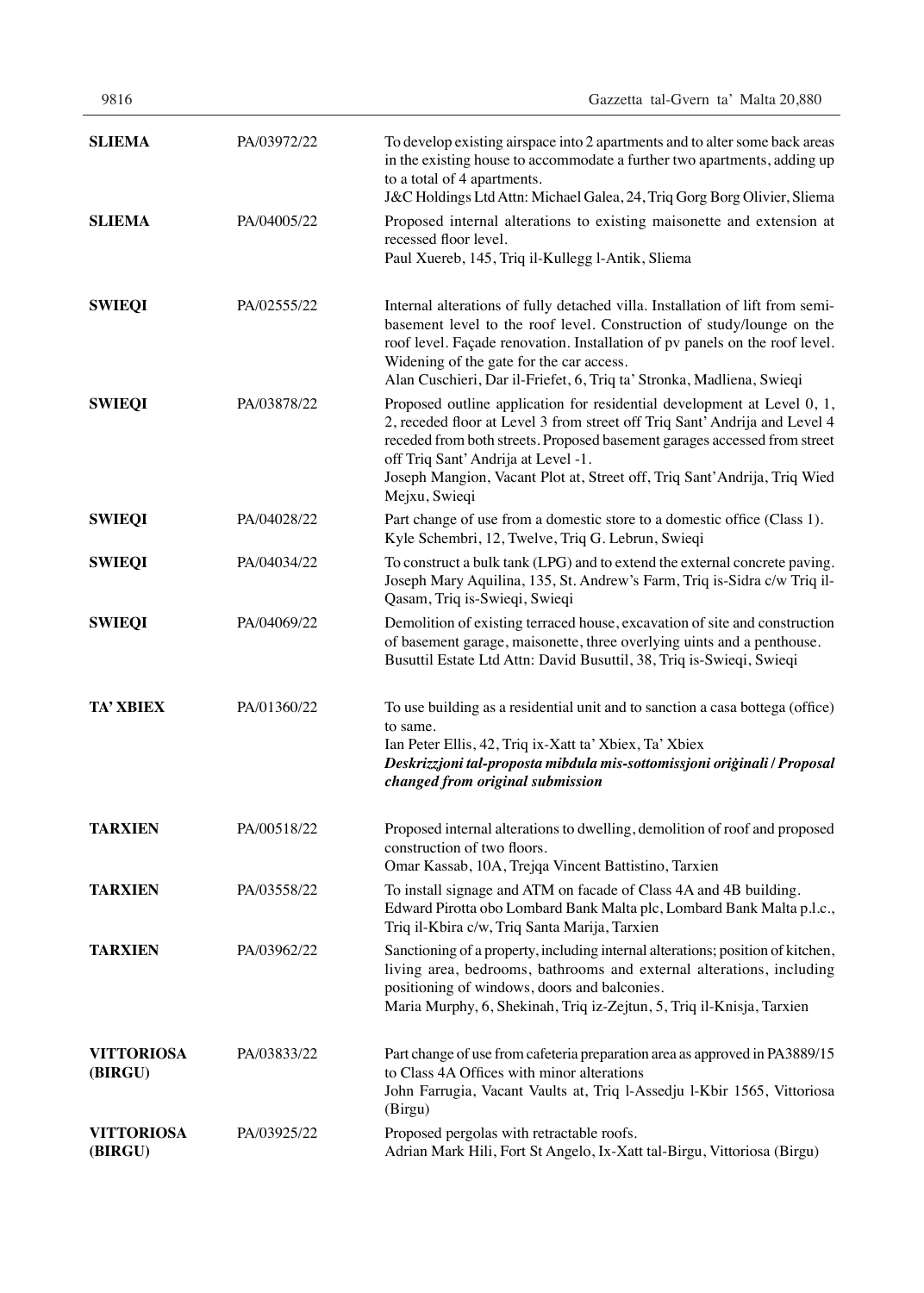| 9816                         |             | Gazzetta tal-Gvern ta' Malta 20,880                                                                                                                                                                                                                                                                                                                                    |
|------------------------------|-------------|------------------------------------------------------------------------------------------------------------------------------------------------------------------------------------------------------------------------------------------------------------------------------------------------------------------------------------------------------------------------|
| <b>SLIEMA</b>                | PA/03972/22 | To develop existing airspace into 2 apartments and to alter some back areas<br>in the existing house to accommodate a further two apartments, adding up<br>to a total of 4 apartments.<br>J&C Holdings Ltd Attn: Michael Galea, 24, Triq Gorg Borg Olivier, Sliema                                                                                                     |
| <b>SLIEMA</b>                | PA/04005/22 | Proposed internal alterations to existing maisonette and extension at<br>recessed floor level.<br>Paul Xuereb, 145, Triq il-Kullegg l-Antik, Sliema                                                                                                                                                                                                                    |
| <b>SWIEQI</b>                | PA/02555/22 | Internal alterations of fully detached villa. Installation of lift from semi-<br>basement level to the roof level. Construction of study/lounge on the<br>roof level. Façade renovation. Installation of pv panels on the roof level.<br>Widening of the gate for the car access.<br>Alan Cuschieri, Dar il-Friefet, 6, Triq ta' Stronka, Madliena, Swieqi             |
| <b>SWIEQI</b>                | PA/03878/22 | Proposed outline application for residential development at Level 0, 1,<br>2, receded floor at Level 3 from street off Triq Sant' Andrija and Level 4<br>receded from both streets. Proposed basement garages accessed from street<br>off Triq Sant' Andrija at Level -1.<br>Joseph Mangion, Vacant Plot at, Street off, Triq Sant'Andrija, Triq Wied<br>Mejxu, Swieqi |
| <b>SWIEQI</b>                | PA/04028/22 | Part change of use from a domestic store to a domestic office (Class 1).<br>Kyle Schembri, 12, Twelve, Triq G. Lebrun, Swieqi                                                                                                                                                                                                                                          |
| <b>SWIEQI</b>                | PA/04034/22 | To construct a bulk tank (LPG) and to extend the external concrete paving.<br>Joseph Mary Aquilina, 135, St. Andrew's Farm, Triq is-Sidra c/w Triq il-<br>Qasam, Triq is-Swieqi, Swieqi                                                                                                                                                                                |
| <b>SWIEQI</b>                | PA/04069/22 | Demolition of existing terraced house, excavation of site and construction<br>of basement garage, maisonette, three overlying uints and a penthouse.<br>Busuttil Estate Ltd Attn: David Busuttil, 38, Triq is-Swieqi, Swieqi                                                                                                                                           |
| <b>TA' XBIEX</b>             | PA/01360/22 | To use building as a residential unit and to sanction a casa bottega (office)<br>to same.<br>Ian Peter Ellis, 42, Triq ix-Xatt ta' Xbiex, Ta' Xbiex<br>Deskrizzjoni tal-proposta mibdula mis-sottomissjoni originali / Proposal<br>changed from original submission                                                                                                    |
| <b>TARXIEN</b>               | PA/00518/22 | Proposed internal alterations to dwelling, demolition of roof and proposed<br>construction of two floors.<br>Omar Kassab, 10A, Trejqa Vincent Battistino, Tarxien                                                                                                                                                                                                      |
| <b>TARXIEN</b>               | PA/03558/22 | To install signage and ATM on facade of Class 4A and 4B building.<br>Edward Pirotta obo Lombard Bank Malta plc, Lombard Bank Malta p.l.c.,<br>Triq il-Kbira c/w, Triq Santa Marija, Tarxien                                                                                                                                                                            |
| <b>TARXIEN</b>               | PA/03962/22 | Sanctioning of a property, including internal alterations; position of kitchen,<br>living area, bedrooms, bathrooms and external alterations, including<br>positioning of windows, doors and balconies.<br>Maria Murphy, 6, Shekinah, Triq iz-Zejtun, 5, Triq il-Knisja, Tarxien                                                                                       |
| <b>VITTORIOSA</b><br>(BIRGU) | PA/03833/22 | Part change of use from cafeteria preparation area as approved in PA3889/15<br>to Class 4A Offices with minor alterations<br>John Farrugia, Vacant Vaults at, Triq l-Assedju l-Kbir 1565, Vittoriosa<br>(Birgu)                                                                                                                                                        |
| <b>VITTORIOSA</b><br>(BIRGU) | PA/03925/22 | Proposed pergolas with retractable roofs.<br>Adrian Mark Hili, Fort St Angelo, Ix-Xatt tal-Birgu, Vittoriosa (Birgu)                                                                                                                                                                                                                                                   |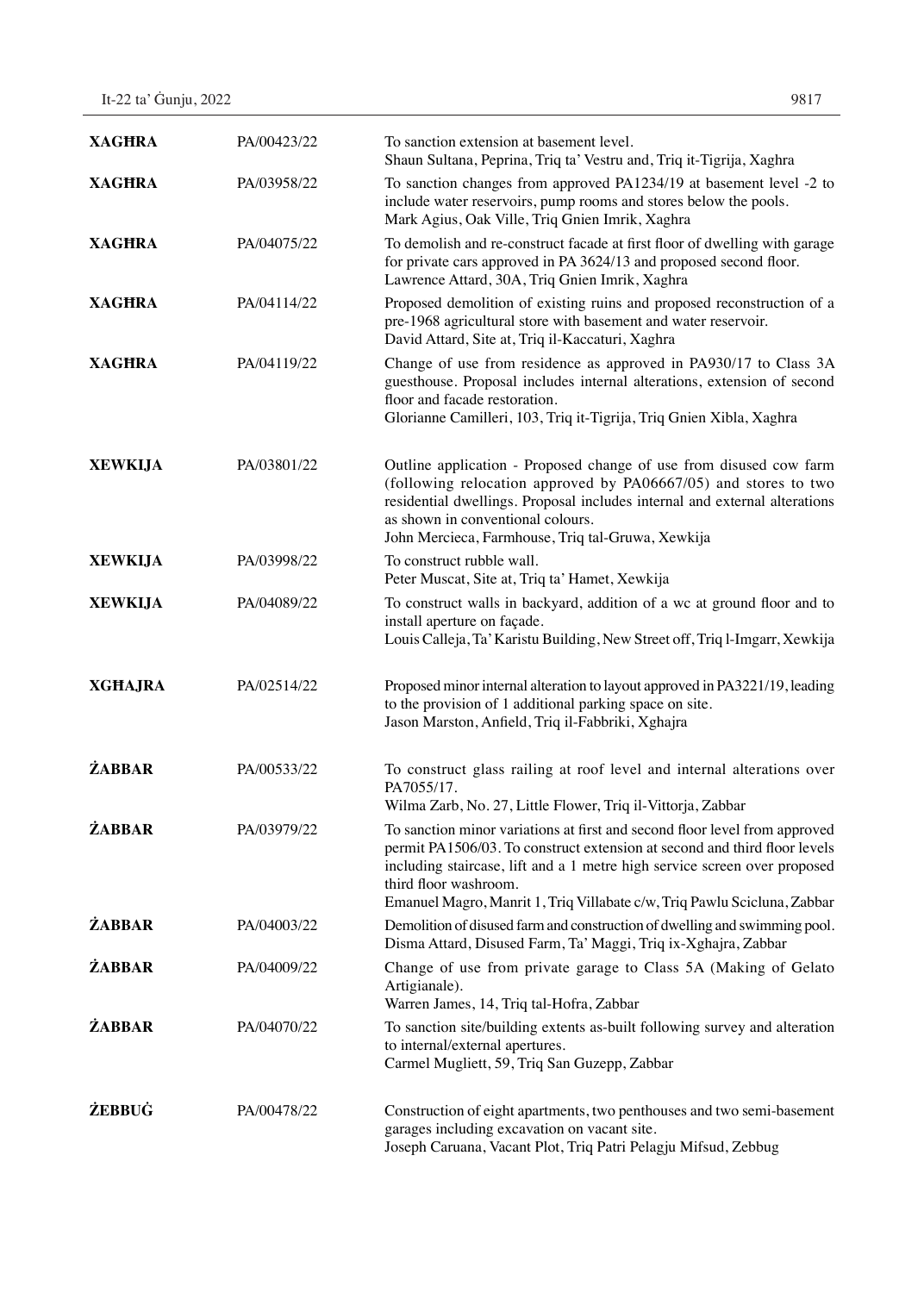| 9817 |
|------|
|      |

| <b>XAGHRA</b>  | PA/00423/22 | To sanction extension at basement level.<br>Shaun Sultana, Peprina, Triq ta' Vestru and, Triq it-Tigrija, Xaghra                                                                                                                                                                                                                          |
|----------------|-------------|-------------------------------------------------------------------------------------------------------------------------------------------------------------------------------------------------------------------------------------------------------------------------------------------------------------------------------------------|
| <b>XAGHRA</b>  | PA/03958/22 | To sanction changes from approved PA1234/19 at basement level -2 to<br>include water reservoirs, pump rooms and stores below the pools.<br>Mark Agius, Oak Ville, Triq Gnien Imrik, Xaghra                                                                                                                                                |
| <b>XAGHRA</b>  | PA/04075/22 | To demolish and re-construct facade at first floor of dwelling with garage<br>for private cars approved in PA 3624/13 and proposed second floor.<br>Lawrence Attard, 30A, Triq Gnien Imrik, Xaghra                                                                                                                                        |
| <b>XAGHRA</b>  | PA/04114/22 | Proposed demolition of existing ruins and proposed reconstruction of a<br>pre-1968 agricultural store with basement and water reservoir.<br>David Attard, Site at, Triq il-Kaccaturi, Xaghra                                                                                                                                              |
| <b>XAGHRA</b>  | PA/04119/22 | Change of use from residence as approved in PA930/17 to Class 3A<br>guesthouse. Proposal includes internal alterations, extension of second<br>floor and facade restoration.<br>Glorianne Camilleri, 103, Triq it-Tigrija, Triq Gnien Xibla, Xaghra                                                                                       |
| <b>XEWKIJA</b> | PA/03801/22 | Outline application - Proposed change of use from disused cow farm<br>(following relocation approved by PA06667/05) and stores to two<br>residential dwellings. Proposal includes internal and external alterations<br>as shown in conventional colours.<br>John Mercieca, Farmhouse, Triq tal-Gruwa, Xewkija                             |
| <b>XEWKIJA</b> | PA/03998/22 | To construct rubble wall.<br>Peter Muscat, Site at, Triq ta' Hamet, Xewkija                                                                                                                                                                                                                                                               |
| <b>XEWKIJA</b> | PA/04089/22 | To construct walls in backyard, addition of a wc at ground floor and to<br>install aperture on façade.<br>Louis Calleja, Ta' Karistu Building, New Street off, Triq l-Imgarr, Xewkija                                                                                                                                                     |
| <b>XGHAJRA</b> | PA/02514/22 | Proposed minor internal alteration to layout approved in PA3221/19, leading<br>to the provision of 1 additional parking space on site.<br>Jason Marston, Anfield, Triq il-Fabbriki, Xghajra                                                                                                                                               |
| <b>ŻABBAR</b>  | PA/00533/22 | To construct glass railing at roof level and internal alterations over<br>PA7055/17.<br>Wilma Zarb, No. 27, Little Flower, Triq il-Vittorja, Zabbar                                                                                                                                                                                       |
| <b>ŻABBAR</b>  | PA/03979/22 | To sanction minor variations at first and second floor level from approved<br>permit PA1506/03. To construct extension at second and third floor levels<br>including staircase, lift and a 1 metre high service screen over proposed<br>third floor washroom.<br>Emanuel Magro, Manrit 1, Triq Villabate c/w, Triq Pawlu Scicluna, Zabbar |
| <b>ŻABBAR</b>  | PA/04003/22 | Demolition of disused farm and construction of dwelling and swimming pool.<br>Disma Attard, Disused Farm, Ta' Maggi, Triq ix-Xghajra, Zabbar                                                                                                                                                                                              |
| <b>ŻABBAR</b>  | PA/04009/22 | Change of use from private garage to Class 5A (Making of Gelato<br>Artigianale).<br>Warren James, 14, Triq tal-Hofra, Zabbar                                                                                                                                                                                                              |
| <b>ŻABBAR</b>  | PA/04070/22 | To sanction site/building extents as-built following survey and alteration<br>to internal/external apertures.<br>Carmel Mugliett, 59, Triq San Guzepp, Zabbar                                                                                                                                                                             |
| <b>ŻEBBUĠ</b>  | PA/00478/22 | Construction of eight apartments, two penthouses and two semi-basement<br>garages including excavation on vacant site.<br>Joseph Caruana, Vacant Plot, Triq Patri Pelagju Mifsud, Zebbug                                                                                                                                                  |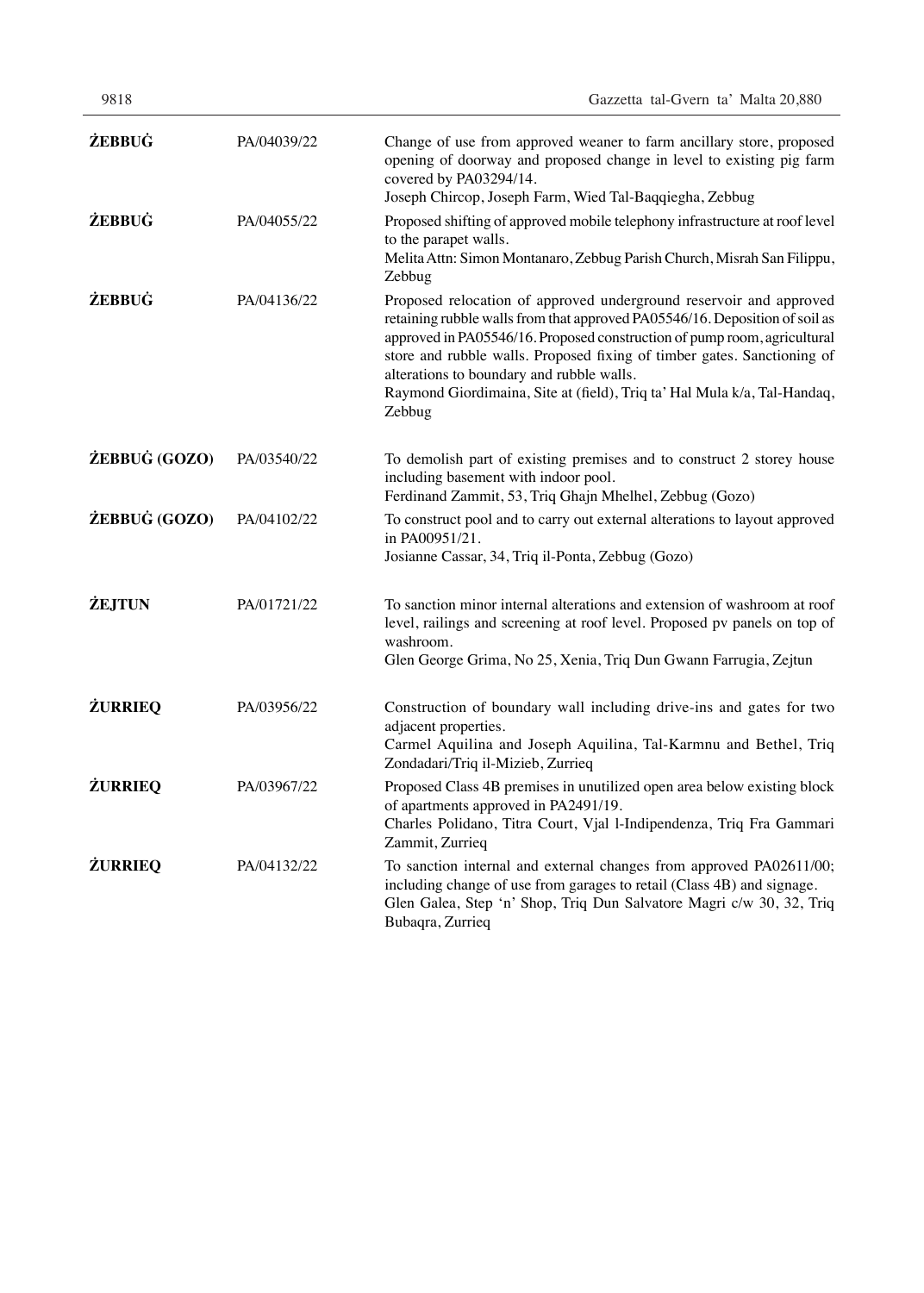| 9818           |             | Gazzetta tal-Gvern ta' Malta 20,880                                                                                                                                                                                                                                                                                                                                                                                                         |
|----------------|-------------|---------------------------------------------------------------------------------------------------------------------------------------------------------------------------------------------------------------------------------------------------------------------------------------------------------------------------------------------------------------------------------------------------------------------------------------------|
| <b>ŻEBBUĠ</b>  | PA/04039/22 | Change of use from approved weaner to farm ancillary store, proposed<br>opening of doorway and proposed change in level to existing pig farm<br>covered by PA03294/14.<br>Joseph Chircop, Joseph Farm, Wied Tal-Baqqiegha, Zebbug                                                                                                                                                                                                           |
| <b>ŻEBBUĠ</b>  | PA/04055/22 | Proposed shifting of approved mobile telephony infrastructure at roof level<br>to the parapet walls.<br>Melita Attn: Simon Montanaro, Zebbug Parish Church, Misrah San Filippu,<br>Zebbug                                                                                                                                                                                                                                                   |
| <b>ŻEBBUĠ</b>  | PA/04136/22 | Proposed relocation of approved underground reservoir and approved<br>retaining rubble walls from that approved PA05546/16. Deposition of soil as<br>approved in PA05546/16. Proposed construction of pump room, agricultural<br>store and rubble walls. Proposed fixing of timber gates. Sanctioning of<br>alterations to boundary and rubble walls.<br>Raymond Giordimaina, Site at (field), Triq ta' Hal Mula k/a, Tal-Handaq,<br>Zebbug |
| ŻEBBUĠ (GOZO)  | PA/03540/22 | To demolish part of existing premises and to construct 2 storey house<br>including basement with indoor pool.<br>Ferdinand Zammit, 53, Triq Ghajn Mhelhel, Zebbug (Gozo)                                                                                                                                                                                                                                                                    |
| ŻEBBUĠ (GOZO)  | PA/04102/22 | To construct pool and to carry out external alterations to layout approved<br>in PA00951/21.<br>Josianne Cassar, 34, Triq il-Ponta, Zebbug (Gozo)                                                                                                                                                                                                                                                                                           |
| <b>ŻEJTUN</b>  | PA/01721/22 | To sanction minor internal alterations and extension of washroom at roof<br>level, railings and screening at roof level. Proposed pv panels on top of<br>washroom.<br>Glen George Grima, No 25, Xenia, Triq Dun Gwann Farrugia, Zejtun                                                                                                                                                                                                      |
| <b>ŻURRIEQ</b> | PA/03956/22 | Construction of boundary wall including drive-ins and gates for two<br>adjacent properties.<br>Carmel Aquilina and Joseph Aquilina, Tal-Karmnu and Bethel, Triq<br>Zondadari/Triq il-Mizieb, Zurrieq                                                                                                                                                                                                                                        |
| <b>ŻURRIEQ</b> | PA/03967/22 | Proposed Class 4B premises in unutilized open area below existing block<br>of apartments approved in PA2491/19.<br>Charles Polidano, Titra Court, Vjal l-Indipendenza, Triq Fra Gammari<br>Zammit, Zurrieq                                                                                                                                                                                                                                  |
| <b>ŻURRIEQ</b> | PA/04132/22 | To sanction internal and external changes from approved PA02611/00;<br>including change of use from garages to retail (Class 4B) and signage.<br>Glen Galea, Step 'n' Shop, Triq Dun Salvatore Magri c/w 30, 32, Triq<br>Bubaqra, Zurrieq                                                                                                                                                                                                   |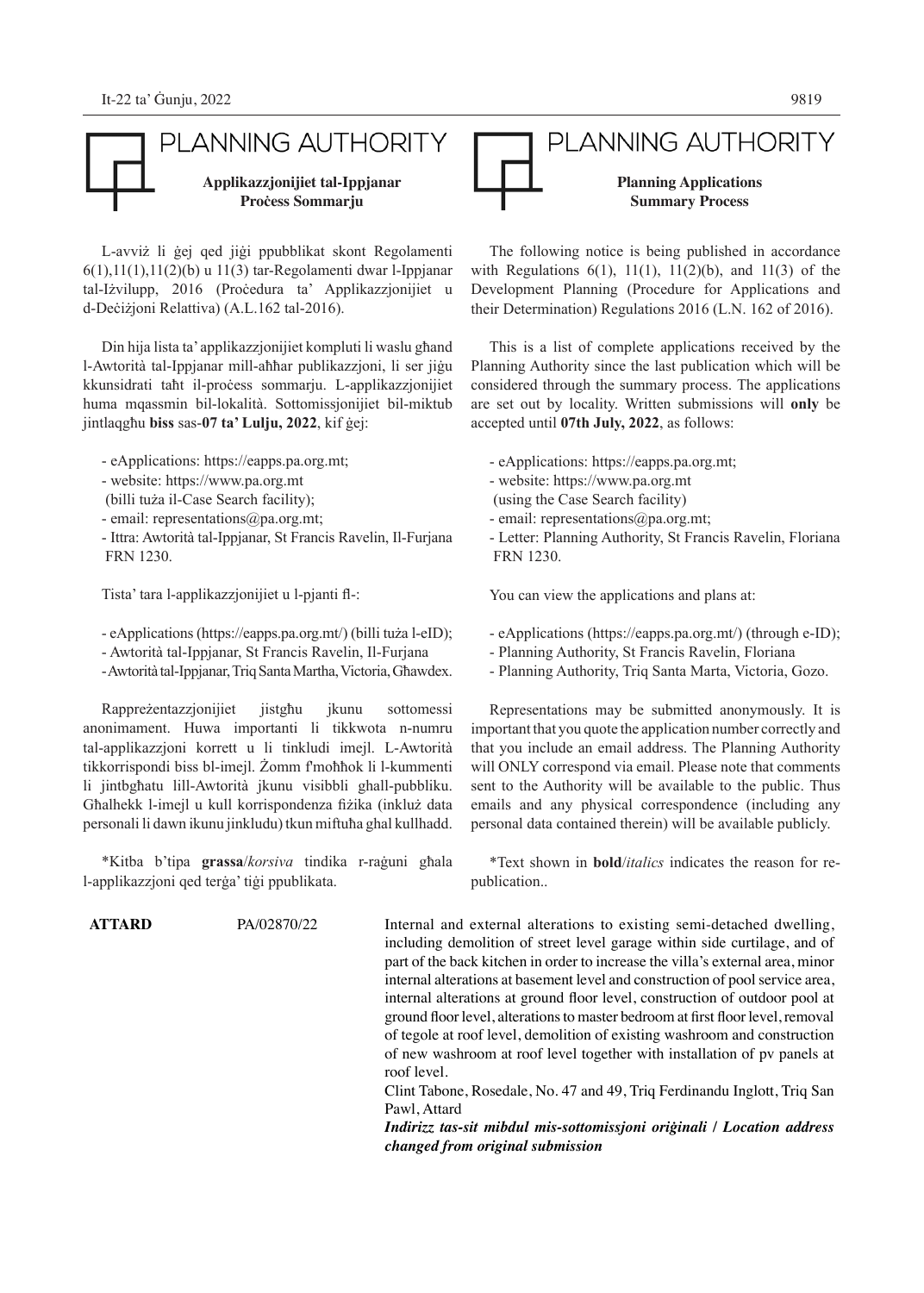### PLANNING AUTHORITY **Applikazzjonijiet tal-Ippjanar Proċess Sommarju**

L-avviż li ġej qed jiġi ppubblikat skont Regolamenti 6(1),11(1),11(2)(b) u 11(3) tar-Regolamenti dwar l-Ippjanar tal-Iżvilupp, 2016 (Proċedura ta' Applikazzjonijiet u d-Deċiżjoni Relattiva) (A.L.162 tal-2016).

Din hija lista ta' applikazzjonijiet kompluti li waslu għand l-Awtorità tal-Ippjanar mill-aħħar publikazzjoni, li ser jiġu kkunsidrati taħt il-proċess sommarju. L-applikazzjonijiet huma mqassmin bil-lokalità. Sottomissjonijiet bil-miktub jintlaqgħu **biss** sas-**07 ta' Lulju, 2022**, kif ġej:

- eApplications: https://eapps.pa.org.mt;
- website: https://www.pa.org.mt
- (billi tuża il-Case Search facility);
- email: representations@pa.org.mt;
- Ittra: Awtorità tal-Ippjanar, St Francis Ravelin, Il-Furjana FRN 1230.

Tista' tara l-applikazzjonijiet u l-pjanti fl-:

- eApplications (https://eapps.pa.org.mt/) (billi tuża l-eID);
- Awtorità tal-Ippjanar, St Francis Ravelin, Il-Furjana
- Awtorità tal-Ippjanar, Triq Santa Martha, Victoria, Għawdex.

Rappreżentazzjonijiet jistgħu jkunu sottomessi anonimament. Huwa importanti li tikkwota n-numru tal-applikazzjoni korrett u li tinkludi imejl. L-Awtorità tikkorrispondi biss bl-imejl. Żomm f'moħħok li l-kummenti li jintbgħatu lill-Awtorità jkunu visibbli ghall-pubbliku. Għalhekk l-imejl u kull korrispondenza fiżika (inkluż data personali li dawn ikunu jinkludu) tkun miftuħa ghal kullhadd.

\*Kitba b'tipa **grassa**/*korsiva* tindika r-raġuni għala l-applikazzjoni qed terġa' tiġi ppublikata.



#### PLANNING AUTHORITY **Planning Applications Summary Process**

The following notice is being published in accordance with Regulations  $6(1)$ ,  $11(1)$ ,  $11(2)(b)$ , and  $11(3)$  of the Development Planning (Procedure for Applications and their Determination) Regulations 2016 (L.N. 162 of 2016).

This is a list of complete applications received by the Planning Authority since the last publication which will be considered through the summary process. The applications are set out by locality. Written submissions will **only** be accepted until **07th July, 2022**, as follows:

- eApplications: https://eapps.pa.org.mt;
- website: https://www.pa.org.mt
- (using the Case Search facility)
- email: representations@pa.org.mt;
- Letter: Planning Authority, St Francis Ravelin, Floriana FRN 1230.

You can view the applications and plans at:

- eApplications (https://eapps.pa.org.mt/) (through e-ID);
- Planning Authority, St Francis Ravelin, Floriana
- Planning Authority, Triq Santa Marta, Victoria, Gozo.

Representations may be submitted anonymously. It is important that you quote the application number correctly and that you include an email address. The Planning Authority will ONLY correspond via email. Please note that comments sent to the Authority will be available to the public. Thus emails and any physical correspondence (including any personal data contained therein) will be available publicly.

\*Text shown in **bold**/*italics* indicates the reason for republication..

**ATTARD** PA/02870/22 Internal and external alterations to existing semi-detached dwelling, including demolition of street level garage within side curtilage, and of part of the back kitchen in order to increase the villa's external area, minor internal alterations at basement level and construction of pool service area, internal alterations at ground floor level, construction of outdoor pool at ground floor level, alterations to master bedroom at first floor level, removal of tegole at roof level, demolition of existing washroom and construction of new washroom at roof level together with installation of pv panels at roof level.

> Clint Tabone, Rosedale, No. 47 and 49, Triq Ferdinandu Inglott, Triq San Pawl, Attard

> *Indirizz tas-sit mibdul mis-sottomissjoni oriġinali / Location address changed from original submission*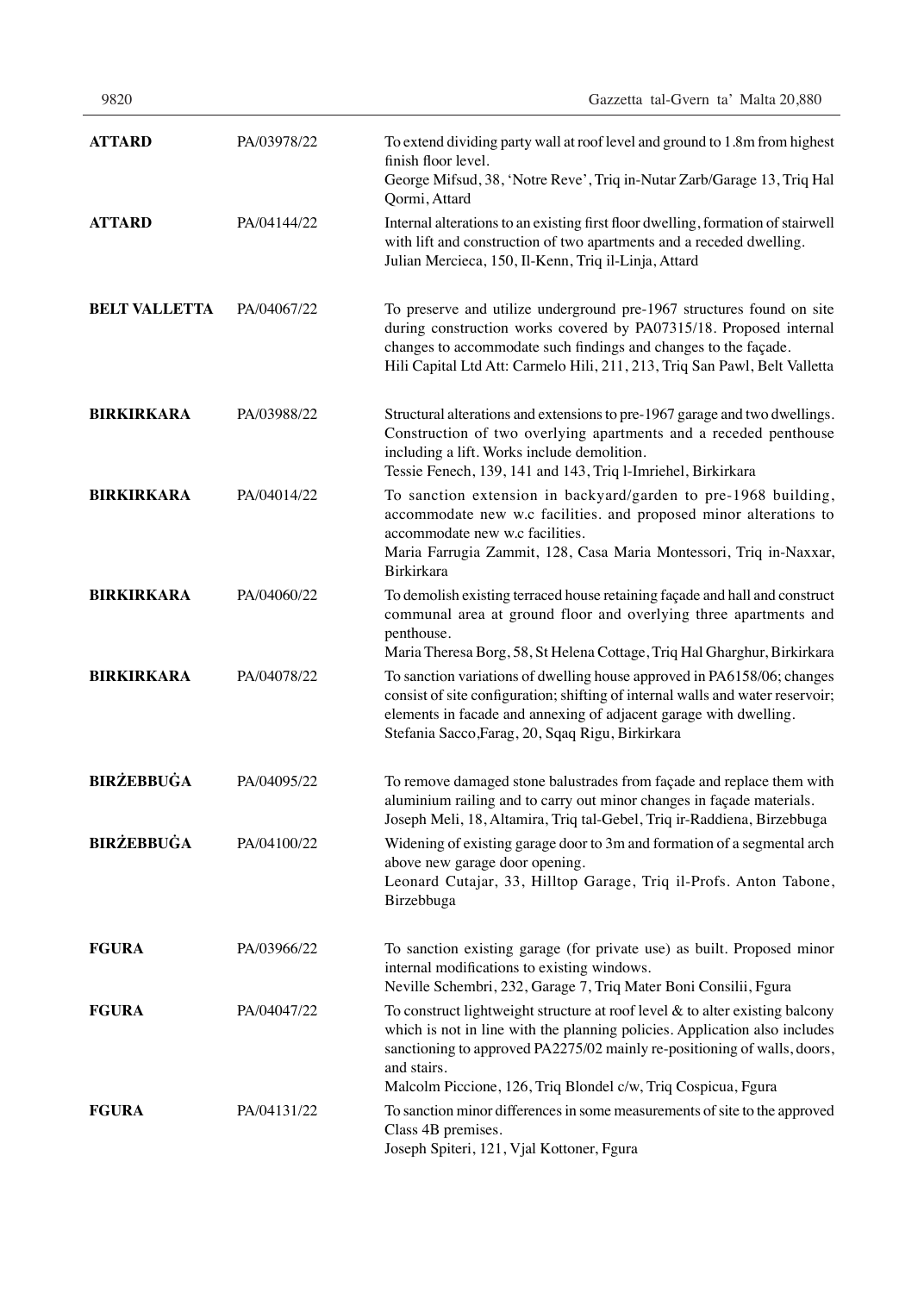| ۰, |  |
|----|--|
|----|--|

| <b>ATTARD</b>        | PA/03978/22 | To extend dividing party wall at roof level and ground to 1.8m from highest<br>finish floor level.<br>George Mifsud, 38, 'Notre Reve', Triq in-Nutar Zarb/Garage 13, Triq Hal<br>Qormi, Attard                                                                                                                            |
|----------------------|-------------|---------------------------------------------------------------------------------------------------------------------------------------------------------------------------------------------------------------------------------------------------------------------------------------------------------------------------|
| <b>ATTARD</b>        | PA/04144/22 | Internal alterations to an existing first floor dwelling, formation of stairwell<br>with lift and construction of two apartments and a receded dwelling.<br>Julian Mercieca, 150, Il-Kenn, Triq il-Linja, Attard                                                                                                          |
| <b>BELT VALLETTA</b> | PA/04067/22 | To preserve and utilize underground pre-1967 structures found on site<br>during construction works covered by PA07315/18. Proposed internal<br>changes to accommodate such findings and changes to the façade.<br>Hili Capital Ltd Att: Carmelo Hili, 211, 213, Triq San Pawl, Belt Valletta                              |
| <b>BIRKIRKARA</b>    | PA/03988/22 | Structural alterations and extensions to pre-1967 garage and two dwellings.<br>Construction of two overlying apartments and a receded penthouse<br>including a lift. Works include demolition.<br>Tessie Fenech, 139, 141 and 143, Triq l-Imriehel, Birkirkara                                                            |
| <b>BIRKIRKARA</b>    | PA/04014/22 | To sanction extension in backyard/garden to pre-1968 building,<br>accommodate new w.c facilities. and proposed minor alterations to<br>accommodate new w.c facilities.<br>Maria Farrugia Zammit, 128, Casa Maria Montessori, Triq in-Naxxar,<br>Birkirkara                                                                |
| <b>BIRKIRKARA</b>    | PA/04060/22 | To demolish existing terraced house retaining façade and hall and construct<br>communal area at ground floor and overlying three apartments and<br>penthouse.<br>Maria Theresa Borg, 58, St Helena Cottage, Triq Hal Gharghur, Birkirkara                                                                                 |
| <b>BIRKIRKARA</b>    | PA/04078/22 | To sanction variations of dwelling house approved in PA6158/06; changes<br>consist of site configuration; shifting of internal walls and water reservoir;<br>elements in facade and annexing of adjacent garage with dwelling.<br>Stefania Sacco, Farag, 20, Sqaq Rigu, Birkirkara                                        |
| <b>BIRŻEBBUĠA</b>    | PA/04095/22 | To remove damaged stone balustrades from façade and replace them with<br>aluminium railing and to carry out minor changes in façade materials.<br>Joseph Meli, 18, Altamira, Triq tal-Gebel, Triq ir-Raddiena, Birzebbuga                                                                                                 |
| <b>BIRŻEBBUĠA</b>    | PA/04100/22 | Widening of existing garage door to 3m and formation of a segmental arch<br>above new garage door opening.<br>Leonard Cutajar, 33, Hilltop Garage, Triq il-Profs. Anton Tabone,<br>Birzebbuga                                                                                                                             |
| <b>FGURA</b>         | PA/03966/22 | To sanction existing garage (for private use) as built. Proposed minor<br>internal modifications to existing windows.<br>Neville Schembri, 232, Garage 7, Triq Mater Boni Consilii, Fgura                                                                                                                                 |
| <b>FGURA</b>         | PA/04047/22 | To construct lightweight structure at roof level $\&$ to alter existing balcony<br>which is not in line with the planning policies. Application also includes<br>sanctioning to approved PA2275/02 mainly re-positioning of walls, doors,<br>and stairs.<br>Malcolm Piccione, 126, Triq Blondel c/w, Triq Cospicua, Fgura |
| <b>FGURA</b>         | PA/04131/22 | To sanction minor differences in some measurements of site to the approved<br>Class 4B premises.<br>Joseph Spiteri, 121, Vjal Kottoner, Fgura                                                                                                                                                                             |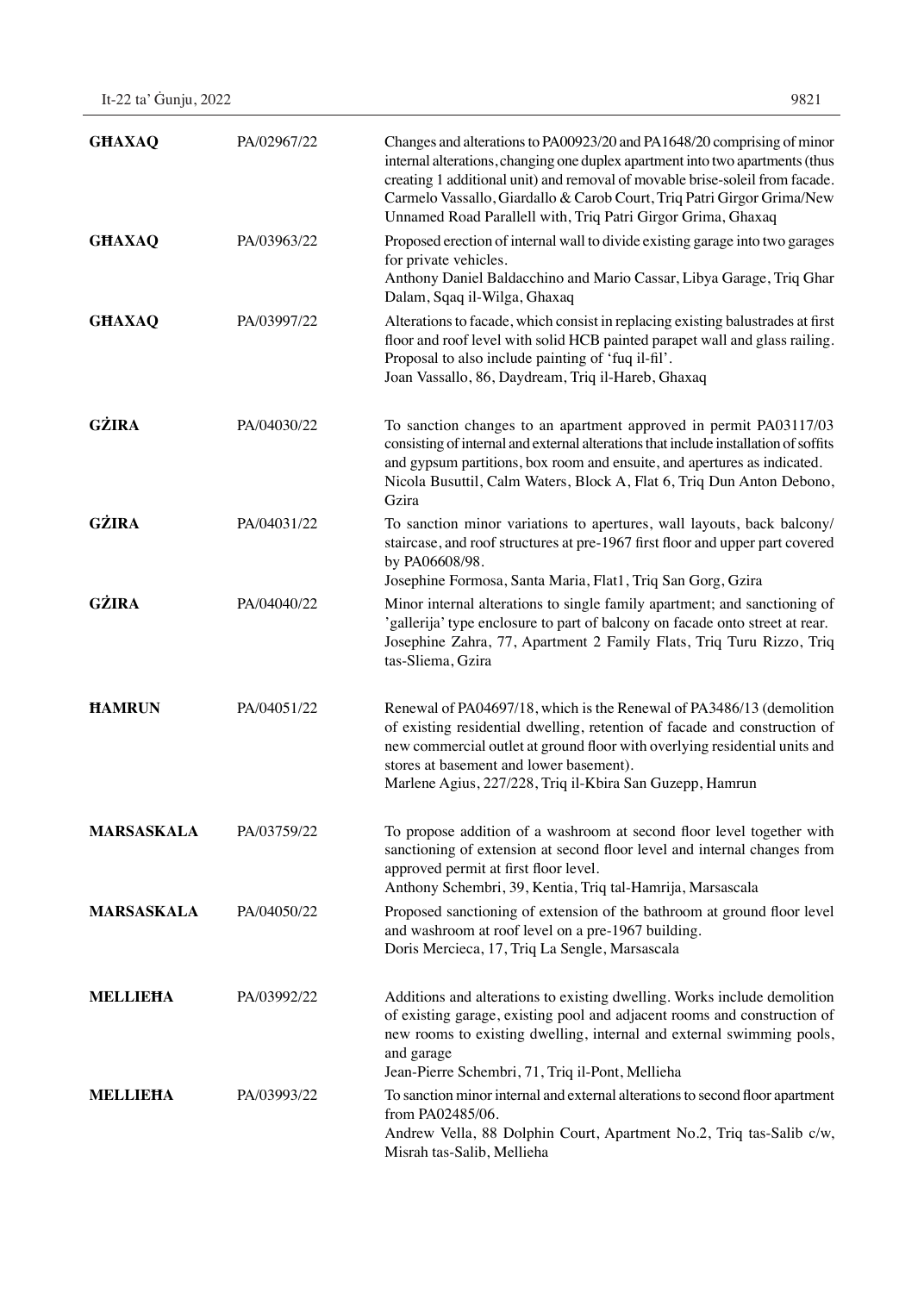| It-22 ta' Gunju, 2022 | 9821 |
|-----------------------|------|
|-----------------------|------|

| <b>GHAXAQ</b>     | PA/02967/22 | Changes and alterations to PA00923/20 and PA1648/20 comprising of minor<br>internal alterations, changing one duplex apartment into two apartments (thus<br>creating 1 additional unit) and removal of movable brise-soleil from facade.<br>Carmelo Vassallo, Giardallo & Carob Court, Triq Patri Girgor Grima/New<br>Unnamed Road Parallell with, Triq Patri Girgor Grima, Ghaxaq |
|-------------------|-------------|------------------------------------------------------------------------------------------------------------------------------------------------------------------------------------------------------------------------------------------------------------------------------------------------------------------------------------------------------------------------------------|
| <b>GHAXAQ</b>     | PA/03963/22 | Proposed erection of internal wall to divide existing garage into two garages<br>for private vehicles.<br>Anthony Daniel Baldacchino and Mario Cassar, Libya Garage, Triq Ghar<br>Dalam, Sqaq il-Wilga, Ghaxaq                                                                                                                                                                     |
| <b>GHAXAQ</b>     | PA/03997/22 | Alterations to facade, which consist in replacing existing balustrades at first<br>floor and roof level with solid HCB painted parapet wall and glass railing.<br>Proposal to also include painting of 'fuq il-fil'.<br>Joan Vassallo, 86, Daydream, Triq il-Hareb, Ghaxaq                                                                                                         |
| <b>GŻIRA</b>      | PA/04030/22 | To sanction changes to an apartment approved in permit PA03117/03<br>consisting of internal and external alterations that include installation of soffits<br>and gypsum partitions, box room and ensuite, and apertures as indicated.<br>Nicola Busuttil, Calm Waters, Block A, Flat 6, Triq Dun Anton Debono,<br>Gzira                                                            |
| <b>GŻIRA</b>      | PA/04031/22 | To sanction minor variations to apertures, wall layouts, back balcony/<br>staircase, and roof structures at pre-1967 first floor and upper part covered<br>by PA06608/98.<br>Josephine Formosa, Santa Maria, Flat1, Triq San Gorg, Gzira                                                                                                                                           |
| <b>GŻIRA</b>      | PA/04040/22 | Minor internal alterations to single family apartment; and sanctioning of<br>'gallerija' type enclosure to part of balcony on facade onto street at rear.<br>Josephine Zahra, 77, Apartment 2 Family Flats, Triq Turu Rizzo, Triq<br>tas-Sliema, Gzira                                                                                                                             |
| <b>HAMRUN</b>     | PA/04051/22 | Renewal of PA04697/18, which is the Renewal of PA3486/13 (demolition<br>of existing residential dwelling, retention of facade and construction of<br>new commercial outlet at ground floor with overlying residential units and<br>stores at basement and lower basement).<br>Marlene Agius, 227/228, Triq il-Kbira San Guzepp, Hamrun                                             |
| <b>MARSASKALA</b> | PA/03759/22 | To propose addition of a washroom at second floor level together with<br>sanctioning of extension at second floor level and internal changes from<br>approved permit at first floor level.<br>Anthony Schembri, 39, Kentia, Triq tal-Hamrija, Marsascala                                                                                                                           |
| <b>MARSASKALA</b> | PA/04050/22 | Proposed sanctioning of extension of the bathroom at ground floor level<br>and washroom at roof level on a pre-1967 building.<br>Doris Mercieca, 17, Triq La Sengle, Marsascala                                                                                                                                                                                                    |
| <b>MELLIEHA</b>   | PA/03992/22 | Additions and alterations to existing dwelling. Works include demolition<br>of existing garage, existing pool and adjacent rooms and construction of<br>new rooms to existing dwelling, internal and external swimming pools,<br>and garage<br>Jean-Pierre Schembri, 71, Triq il-Pont, Mellieha                                                                                    |
| <b>MELLIEHA</b>   | PA/03993/22 | To sanction minor internal and external alterations to second floor apartment<br>from PA02485/06.<br>Andrew Vella, 88 Dolphin Court, Apartment No.2, Triq tas-Salib c/w,<br>Misrah tas-Salib, Mellieha                                                                                                                                                                             |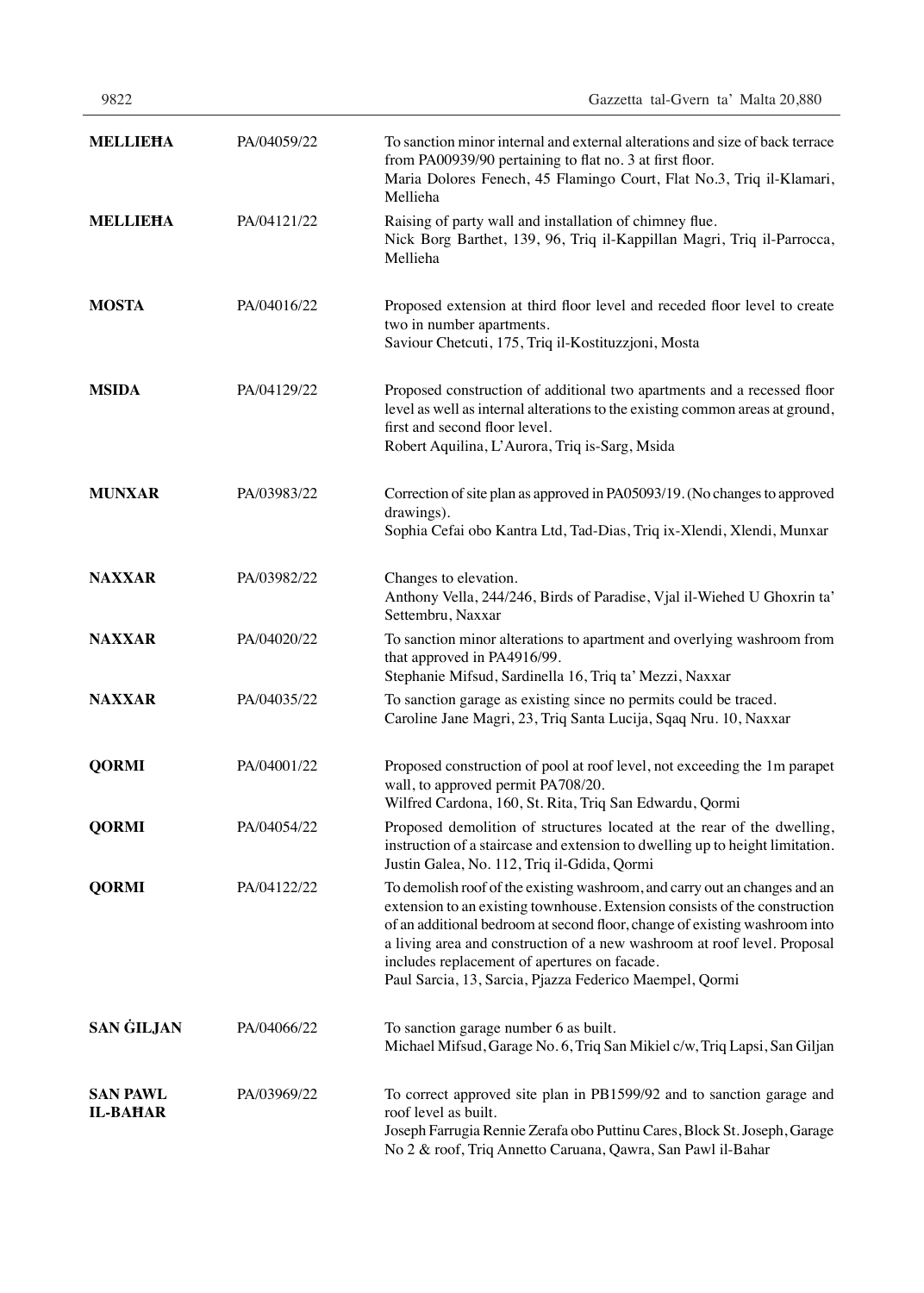| 9822            |             | Gazzetta tal-Gvern ta' Malta 20,880                                                                                                                                                                                                         |
|-----------------|-------------|---------------------------------------------------------------------------------------------------------------------------------------------------------------------------------------------------------------------------------------------|
| <b>MELLIEHA</b> | PA/04059/22 | To sanction minor internal and external alterations and size of back terrace<br>from PA00939/90 pertaining to flat no. 3 at first floor.<br>Maria Dolores Fenech, 45 Flamingo Court, Flat No.3, Triq il-Klamari,<br>Mellieha                |
| <b>MELLIEHA</b> | PA/04121/22 | Raising of party wall and installation of chimney flue.<br>Nick Borg Barthet, 139, 96, Triq il-Kappillan Magri, Triq il-Parrocca,<br>Mellieha                                                                                               |
| <b>MOSTA</b>    | PA/04016/22 | Proposed extension at third floor level and receded floor level to create<br>two in number apartments.<br>Saviour Chetcuti, 175, Triq il-Kostituzzjoni, Mosta                                                                               |
| <b>MSIDA</b>    | PA/04129/22 | Proposed construction of additional two apartments and a recessed floor<br>level as well as internal alterations to the existing common areas at ground,<br>first and second floor level.<br>Robert Aquilina, L'Aurora, Triq is-Sarg, Msida |
| <b>MUNXAR</b>   | PA/03983/22 | Correction of site plan as approved in PA05093/19. (No changes to approved<br>drawings).<br>Sophia Cefai obo Kantra Ltd, Tad-Dias, Triq ix-Xlendi, Xlendi, Munxar                                                                           |
| <b>NAXXAR</b>   | PA/03982/22 | Changes to elevation.<br>Anthony Vella, 244/246, Birds of Paradise, Vjal il-Wiehed U Ghoxrin ta'<br>Settembru, Naxxar                                                                                                                       |
| <b>NAXXAR</b>   | PA/04020/22 | To sanction minor alterations to apartment and overlying washroom from<br>that approved in PA4916/99.<br>Stephanie Mifsud, Sardinella 16, Triq ta' Mezzi, Naxxar                                                                            |
| <b>NAXXAR</b>   | PA/04035/22 | To sanction garage as existing since no permits could be traced.<br>Caroline Jane Magri, 23, Triq Santa Lucija, Sqaq Nru. 10, Naxxar                                                                                                        |
| <b>QORMI</b>    | PA/04001/22 | Proposed construction of pool at roof level, not exceeding the 1m parapet<br>wall, to approved permit PA708/20.<br>Wilfred Cardona, 160, St. Rita, Triq San Edwardu, Qormi                                                                  |
| <b>QORMI</b>    | PA/04054/22 | Proposed demolition of structures located at the rear of the dwelling,<br>instruction of a staircase and extension to dwelling up to height limitation.<br>Justin Galea, No. 112, Triq il-Gdida, Qormi                                      |
| <b>QORMI</b>    | PA/04122/22 | To demolish roof of the existing washroom, and carry out an changes and an                                                                                                                                                                  |

**SAN PAWL IL-BAĦAR** PA/03969/22 To correct approved site plan in PB1599/92 and to sanction garage and

**SAN GILJAN** PA/04066/22 To sanction garage number 6 as built.

Michael Mifsud, Garage No. 6, Triq San Mikiel c/w, Triq Lapsi, San Giljan

extension to an existing townhouse. Extension consists of the construction of an additional bedroom at second floor, change of existing washroom into a living area and construction of a new washroom at roof level. Proposal

includes replacement of apertures on facade.

Paul Sarcia, 13, Sarcia, Pjazza Federico Maempel, Qormi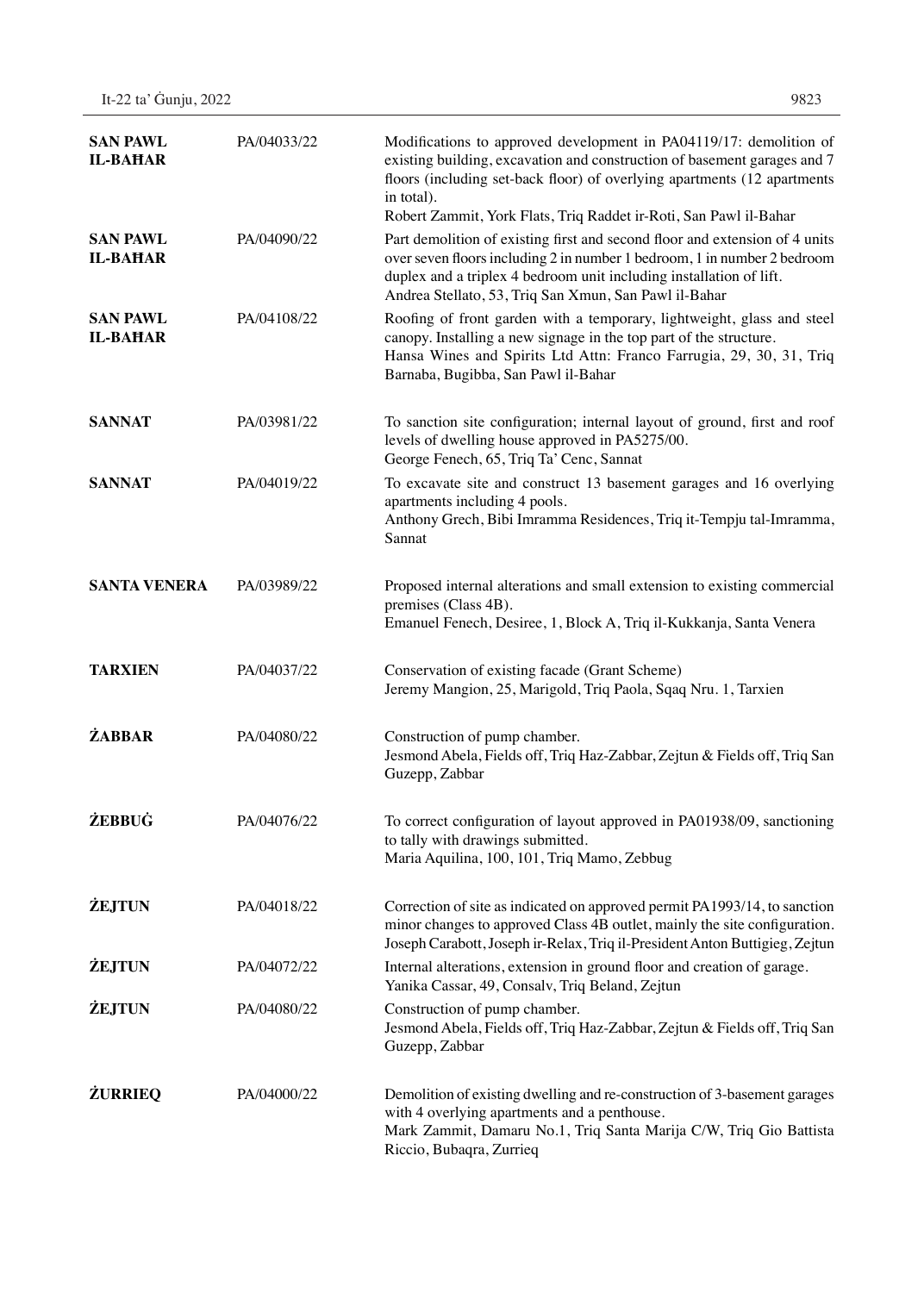| <b>SAN PAWL</b><br><b>IL-BAHAR</b> | PA/04033/22 | Modifications to approved development in PA04119/17: demolition of<br>existing building, excavation and construction of basement garages and 7<br>floors (including set-back floor) of overlying apartments (12 apartments<br>in total).<br>Robert Zammit, York Flats, Triq Raddet ir-Roti, San Pawl il-Bahar |
|------------------------------------|-------------|---------------------------------------------------------------------------------------------------------------------------------------------------------------------------------------------------------------------------------------------------------------------------------------------------------------|
| <b>SAN PAWL</b><br><b>IL-BAHAR</b> | PA/04090/22 | Part demolition of existing first and second floor and extension of 4 units<br>over seven floors including 2 in number 1 bedroom, 1 in number 2 bedroom<br>duplex and a triplex 4 bedroom unit including installation of lift.<br>Andrea Stellato, 53, Triq San Xmun, San Pawl il-Bahar                       |
| <b>SAN PAWL</b><br><b>IL-BAHAR</b> | PA/04108/22 | Roofing of front garden with a temporary, lightweight, glass and steel<br>canopy. Installing a new signage in the top part of the structure.<br>Hansa Wines and Spirits Ltd Attn: Franco Farrugia, 29, 30, 31, Triq<br>Barnaba, Bugibba, San Pawl il-Bahar                                                    |
| <b>SANNAT</b>                      | PA/03981/22 | To sanction site configuration; internal layout of ground, first and roof<br>levels of dwelling house approved in PA5275/00.<br>George Fenech, 65, Triq Ta' Cenc, Sannat                                                                                                                                      |
| <b>SANNAT</b>                      | PA/04019/22 | To excavate site and construct 13 basement garages and 16 overlying<br>apartments including 4 pools.<br>Anthony Grech, Bibi Imramma Residences, Triq it-Tempju tal-Imramma,<br>Sannat                                                                                                                         |
| <b>SANTA VENERA</b>                | PA/03989/22 | Proposed internal alterations and small extension to existing commercial<br>premises (Class 4B).<br>Emanuel Fenech, Desiree, 1, Block A, Triq il-Kukkanja, Santa Venera                                                                                                                                       |
| <b>TARXIEN</b>                     | PA/04037/22 | Conservation of existing facade (Grant Scheme)<br>Jeremy Mangion, 25, Marigold, Triq Paola, Sqaq Nru. 1, Tarxien                                                                                                                                                                                              |
| <b>ŻABBAR</b>                      | PA/04080/22 | Construction of pump chamber.<br>Jesmond Abela, Fields off, Triq Haz-Zabbar, Zejtun & Fields off, Triq San<br>Guzepp, Zabbar                                                                                                                                                                                  |
| ŻEBBUĠ                             | PA/04076/22 | To correct configuration of layout approved in PA01938/09, sanctioning<br>to tally with drawings submitted.<br>Maria Aquilina, 100, 101, Triq Mamo, Zebbug                                                                                                                                                    |
| <b>ŻEJTUN</b>                      | PA/04018/22 | Correction of site as indicated on approved permit PA1993/14, to sanction<br>minor changes to approved Class 4B outlet, mainly the site configuration.<br>Joseph Carabott, Joseph ir-Relax, Triq il-President Anton Buttigieg, Zejtun                                                                         |
| <b>ŻEJTUN</b>                      | PA/04072/22 | Internal alterations, extension in ground floor and creation of garage.<br>Yanika Cassar, 49, Consalv, Triq Beland, Zejtun                                                                                                                                                                                    |
| <b>ŻEJTUN</b>                      | PA/04080/22 | Construction of pump chamber.<br>Jesmond Abela, Fields off, Triq Haz-Zabbar, Zejtun & Fields off, Triq San<br>Guzepp, Zabbar                                                                                                                                                                                  |
| <b>ŻURRIEQ</b>                     | PA/04000/22 | Demolition of existing dwelling and re-construction of 3-basement garages<br>with 4 overlying apartments and a penthouse.<br>Mark Zammit, Damaru No.1, Triq Santa Marija C/W, Triq Gio Battista<br>Riccio, Bubaqra, Zurrieq                                                                                   |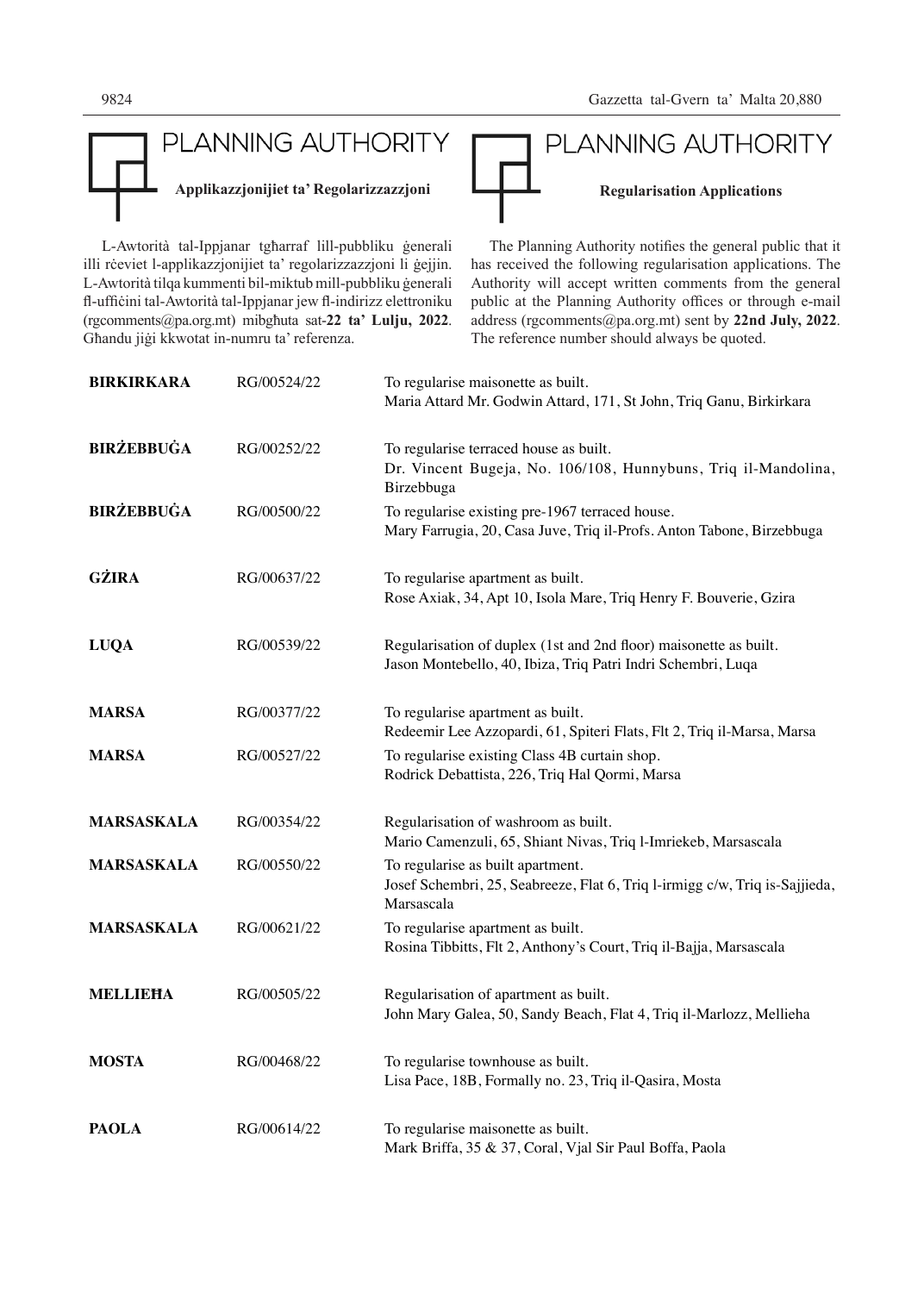

L-Awtorità tal-Ippjanar tgħarraf lill-pubbliku ġenerali illi rċeviet l-applikazzjonijiet ta' regolarizzazzjoni li ġejjin. L-Awtorità tilqa kummenti bil-miktub mill-pubbliku ġenerali fl-uffiċini tal-Awtorità tal-Ippjanar jew fl-indirizz elettroniku (rgcomments@pa.org.mt) mibgħuta sat-**22 ta' Lulju, 2022**. Għandu jiġi kkwotat in-numru ta' referenza.

PLANNING AUTHORITY Applikazzjonijiet ta' Regolarizzazzjoni<br>
Regularisation Applications The Planning Authority notifies the general public that it

has received the following regularisation applications. The Authority will accept written comments from the general public at the Planning Authority offices or through e-mail address (rgcomments@pa.org.mt) sent by **22nd July, 2022**. The reference number should always be quoted.

| <b>BIRKIRKARA</b> | RG/00524/22 | To regularise maisonette as built.<br>Maria Attard Mr. Godwin Attard, 171, St John, Triq Ganu, Birkirkara                         |
|-------------------|-------------|-----------------------------------------------------------------------------------------------------------------------------------|
| <b>BIRŻEBBUĠA</b> | RG/00252/22 | To regularise terraced house as built.<br>Dr. Vincent Bugeja, No. 106/108, Hunnybuns, Triq il-Mandolina,<br>Birzebbuga            |
| <b>BIRŻEBBUĠA</b> | RG/00500/22 | To regularise existing pre-1967 terraced house.<br>Mary Farrugia, 20, Casa Juve, Triq il-Profs. Anton Tabone, Birzebbuga          |
| <b>GŻIRA</b>      | RG/00637/22 | To regularise apartment as built.<br>Rose Axiak, 34, Apt 10, Isola Mare, Triq Henry F. Bouverie, Gzira                            |
| <b>LUQA</b>       | RG/00539/22 | Regularisation of duplex (1st and 2nd floor) maisonette as built.<br>Jason Montebello, 40, Ibiza, Triq Patri Indri Schembri, Luqa |
| <b>MARSA</b>      | RG/00377/22 | To regularise apartment as built.<br>Redeemir Lee Azzopardi, 61, Spiteri Flats, Flt 2, Triq il-Marsa, Marsa                       |
| <b>MARSA</b>      | RG/00527/22 | To regularise existing Class 4B curtain shop.<br>Rodrick Debattista, 226, Triq Hal Qormi, Marsa                                   |
| <b>MARSASKALA</b> | RG/00354/22 | Regularisation of washroom as built.<br>Mario Camenzuli, 65, Shiant Nivas, Triq l-Imriekeb, Marsascala                            |
| MARSASKALA        | RG/00550/22 | To regularise as built apartment.<br>Josef Schembri, 25, Seabreeze, Flat 6, Triq l-irmigg c/w, Triq is-Sajjieda,<br>Marsascala    |
| <b>MARSASKALA</b> | RG/00621/22 | To regularise apartment as built.<br>Rosina Tibbitts, Flt 2, Anthony's Court, Triq il-Bajja, Marsascala                           |
| <b>MELLIEHA</b>   | RG/00505/22 | Regularisation of apartment as built.<br>John Mary Galea, 50, Sandy Beach, Flat 4, Triq il-Marlozz, Mellieha                      |
| <b>MOSTA</b>      | RG/00468/22 | To regularise townhouse as built.<br>Lisa Pace, 18B, Formally no. 23, Triq il-Qasira, Mosta                                       |
| <b>PAOLA</b>      | RG/00614/22 | To regularise maisonette as built.<br>Mark Briffa, 35 & 37, Coral, Vjal Sir Paul Boffa, Paola                                     |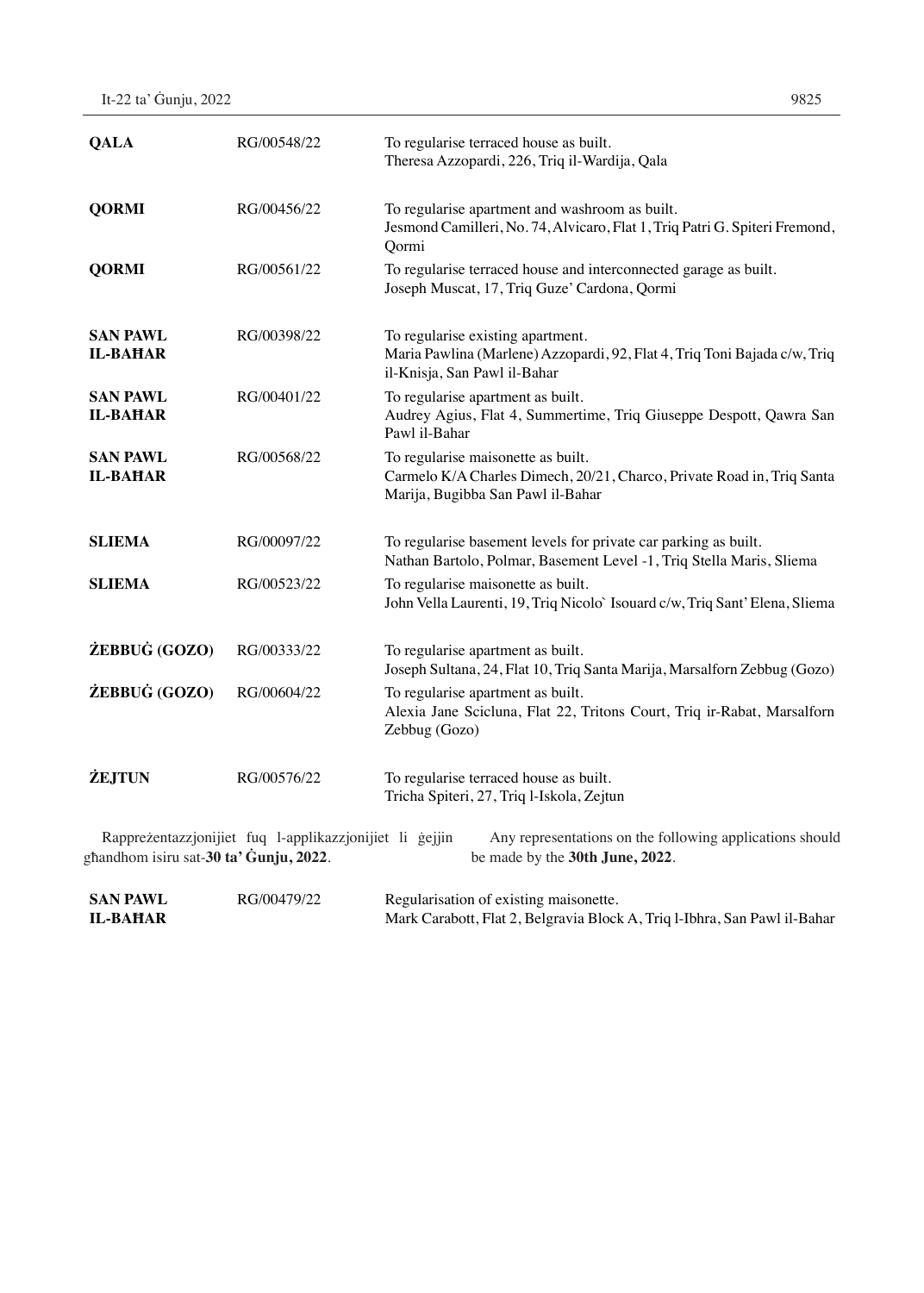| It-22 ta' Gunju, 2022 | 9825 |
|-----------------------|------|
|-----------------------|------|

| <b>QALA</b>                        | RG/00548/22                                             | To regularise terraced house as built.<br>Theresa Azzopardi, 226, Triq il-Wardija, Qala                                                           |
|------------------------------------|---------------------------------------------------------|---------------------------------------------------------------------------------------------------------------------------------------------------|
| <b>QORMI</b>                       | RG/00456/22                                             | To regularise apartment and washroom as built.<br>Jesmond Camilleri, No. 74, Alvicaro, Flat 1, Triq Patri G. Spiteri Fremond,<br>Qormi            |
| <b>QORMI</b>                       | RG/00561/22                                             | To regularise terraced house and interconnected garage as built.<br>Joseph Muscat, 17, Triq Guze' Cardona, Qormi                                  |
| <b>SAN PAWL</b><br><b>IL-BAHAR</b> | RG/00398/22                                             | To regularise existing apartment.<br>Maria Pawlina (Marlene) Azzopardi, 92, Flat 4, Triq Toni Bajada c/w, Triq<br>il-Knisja, San Pawl il-Bahar    |
| <b>SAN PAWL</b><br><b>IL-BAHAR</b> | RG/00401/22                                             | To regularise apartment as built.<br>Audrey Agius, Flat 4, Summertime, Triq Giuseppe Despott, Qawra San<br>Pawl il-Bahar                          |
| <b>SAN PAWL</b><br><b>IL-BAHAR</b> | RG/00568/22                                             | To regularise maisonette as built.<br>Carmelo K/A Charles Dimech, 20/21, Charco, Private Road in, Triq Santa<br>Marija, Bugibba San Pawl il-Bahar |
| <b>SLIEMA</b>                      | RG/00097/22                                             | To regularise basement levels for private car parking as built.<br>Nathan Bartolo, Polmar, Basement Level -1, Triq Stella Maris, Sliema           |
| <b>SLIEMA</b>                      | RG/00523/22                                             | To regularise maisonette as built.<br>John Vella Laurenti, 19, Triq Nicolo` Isouard c/w, Triq Sant' Elena, Sliema                                 |
| ŻEBBUĠ (GOZO)                      | RG/00333/22                                             | To regularise apartment as built.<br>Joseph Sultana, 24, Flat 10, Triq Santa Marija, Marsalforn Zebbug (Gozo)                                     |
| ŻEBBUĠ (GOZO)                      | RG/00604/22                                             | To regularise apartment as built.<br>Alexia Jane Scicluna, Flat 22, Tritons Court, Triq ir-Rabat, Marsalforn<br>Zebbug (Gozo)                     |
| <b>ŻEJTUN</b>                      | RG/00576/22                                             | To regularise terraced house as built.<br>Tricha Spiteri, 27, Triq l-Iskola, Zejtun                                                               |
|                                    | Rappreżentazzjonijiet fuq l-applikazzjonijiet li gejjin | Any representations on the following applications should                                                                                          |

għandhom isiru sat-**30 ta' Ġunju, 2022**.

be made by the **30th June, 2022**.

| <b>SAN PAWL</b> | RG/00479/22 | Regularisation of existing maisonette.                                    |
|-----------------|-------------|---------------------------------------------------------------------------|
| IL-BAHAR        |             | Mark Carabott, Flat 2, Belgravia Block A, Triq l-Ibhra, San Pawl il-Bahar |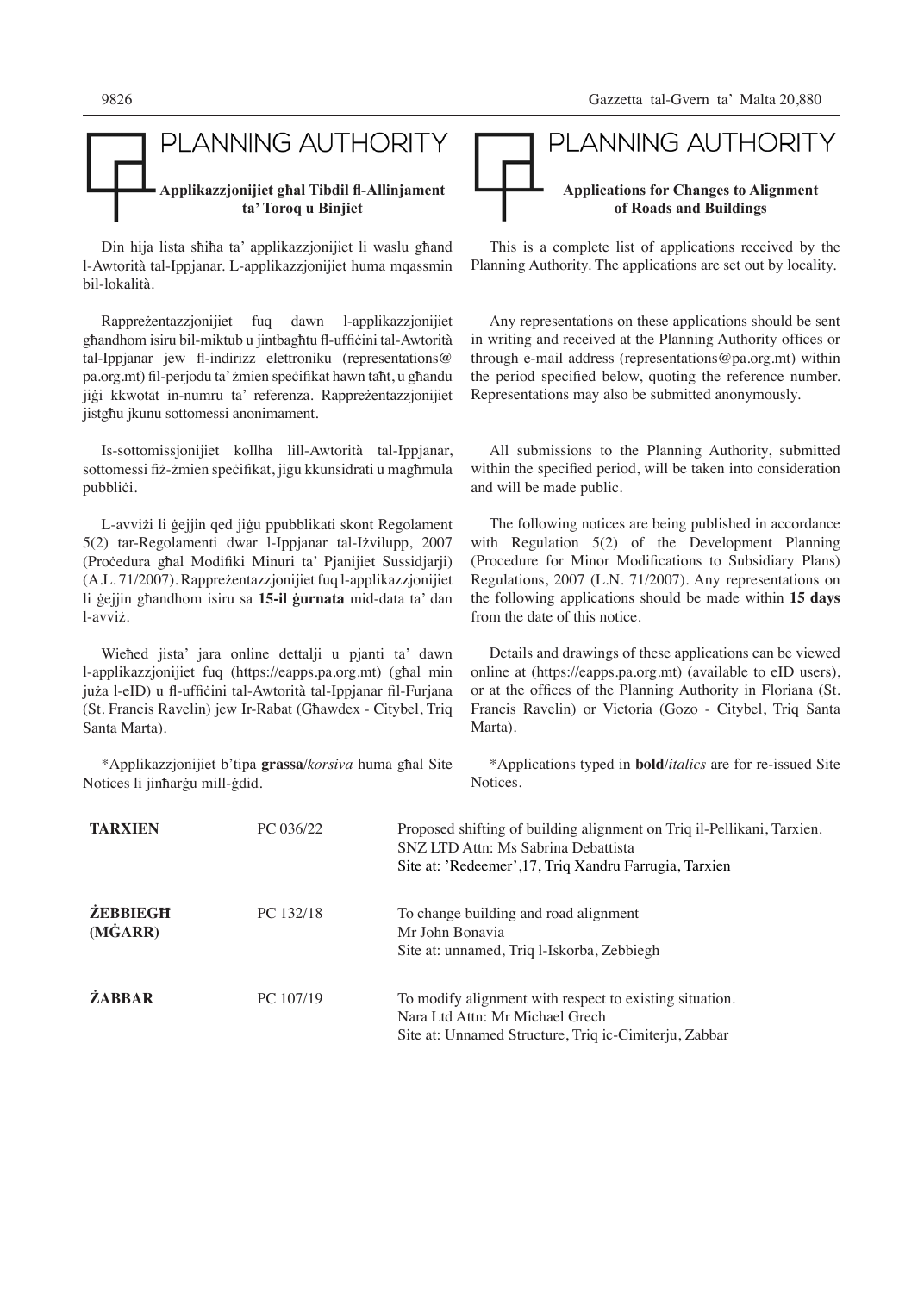

Din hija lista sħiħa ta' applikazzjonijiet li waslu għand l-Awtorità tal-Ippjanar. L-applikazzjonijiet huma mqassmin bil-lokalità.

Rappreżentazzjonijiet fuq dawn l-applikazzjonijiet għandhom isiru bil-miktub u jintbagħtu fl-uffiċini tal-Awtorità tal-Ippjanar jew fl-indirizz elettroniku (representations@ pa.org.mt) fil-perjodu ta' żmien speċifikat hawn taħt, u għandu jiġi kkwotat in-numru ta' referenza. Rappreżentazzjonijiet jistgħu jkunu sottomessi anonimament.

Is-sottomissjonijiet kollha lill-Awtorità tal-Ippjanar, sottomessi fiż-żmien speċifikat, jiġu kkunsidrati u magħmula pubbliċi.

L-avviżi li ġejjin qed jiġu ppubblikati skont Regolament 5(2) tar-Regolamenti dwar l-Ippjanar tal-Iżvilupp, 2007 (Proċedura għal Modifiki Minuri ta' Pjanijiet Sussidjarji) (A.L. 71/2007). Rappreżentazzjonijiet fuq l-applikazzjonijiet li ġejjin għandhom isiru sa **15-il ġurnata** mid-data ta' dan l-avviż.

Wieħed jista' jara online dettalji u pjanti ta' dawn l-applikazzjonijiet fuq (https://eapps.pa.org.mt) (għal min juża l-eID) u fl-uffiċini tal-Awtorità tal-Ippjanar fil-Furjana (St. Francis Ravelin) jew Ir-Rabat (Għawdex - Citybel, Triq Santa Marta).

\*Applikazzjonijiet b'tipa **grassa**/*korsiva* huma għal Site Notices li jinħarġu mill-ġdid.



This is a complete list of applications received by the Planning Authority. The applications are set out by locality.

Any representations on these applications should be sent in writing and received at the Planning Authority offices or through e-mail address (representations@pa.org.mt) within the period specified below, quoting the reference number. Representations may also be submitted anonymously.

All submissions to the Planning Authority, submitted within the specified period, will be taken into consideration and will be made public.

The following notices are being published in accordance with Regulation 5(2) of the Development Planning (Procedure for Minor Modifications to Subsidiary Plans) Regulations, 2007 (L.N. 71/2007). Any representations on the following applications should be made within **15 days**  from the date of this notice.

Details and drawings of these applications can be viewed online at (https://eapps.pa.org.mt) (available to eID users), or at the offices of the Planning Authority in Floriana (St. Francis Ravelin) or Victoria (Gozo - Citybel, Triq Santa Marta).

\*Applications typed in **bold**/*italics* are for re-issued Site Notices.

| <b>TARXIEN</b>             | PC 036/22 | Proposed shifting of building alignment on Triq il-Pellikani, Tarxien.<br>SNZ LTD Attn: Ms Sabrina Debattista<br>Site at: 'Redeemer', 17, Triq Xandru Farrugia, Tarxien |
|----------------------------|-----------|-------------------------------------------------------------------------------------------------------------------------------------------------------------------------|
| <b>ŻEBBIEGH</b><br>(MGARR) | PC 132/18 | To change building and road alignment<br>Mr John Bonavia<br>Site at: unnamed, Triq 1-Iskorba, Zebbiegh                                                                  |
| <b>ŻABBAR</b>              | PC 107/19 | To modify alignment with respect to existing situation.<br>Nara Ltd Attn: Mr Michael Grech<br>Site at: Unnamed Structure, Triq ic-Cimiterju, Zabbar                     |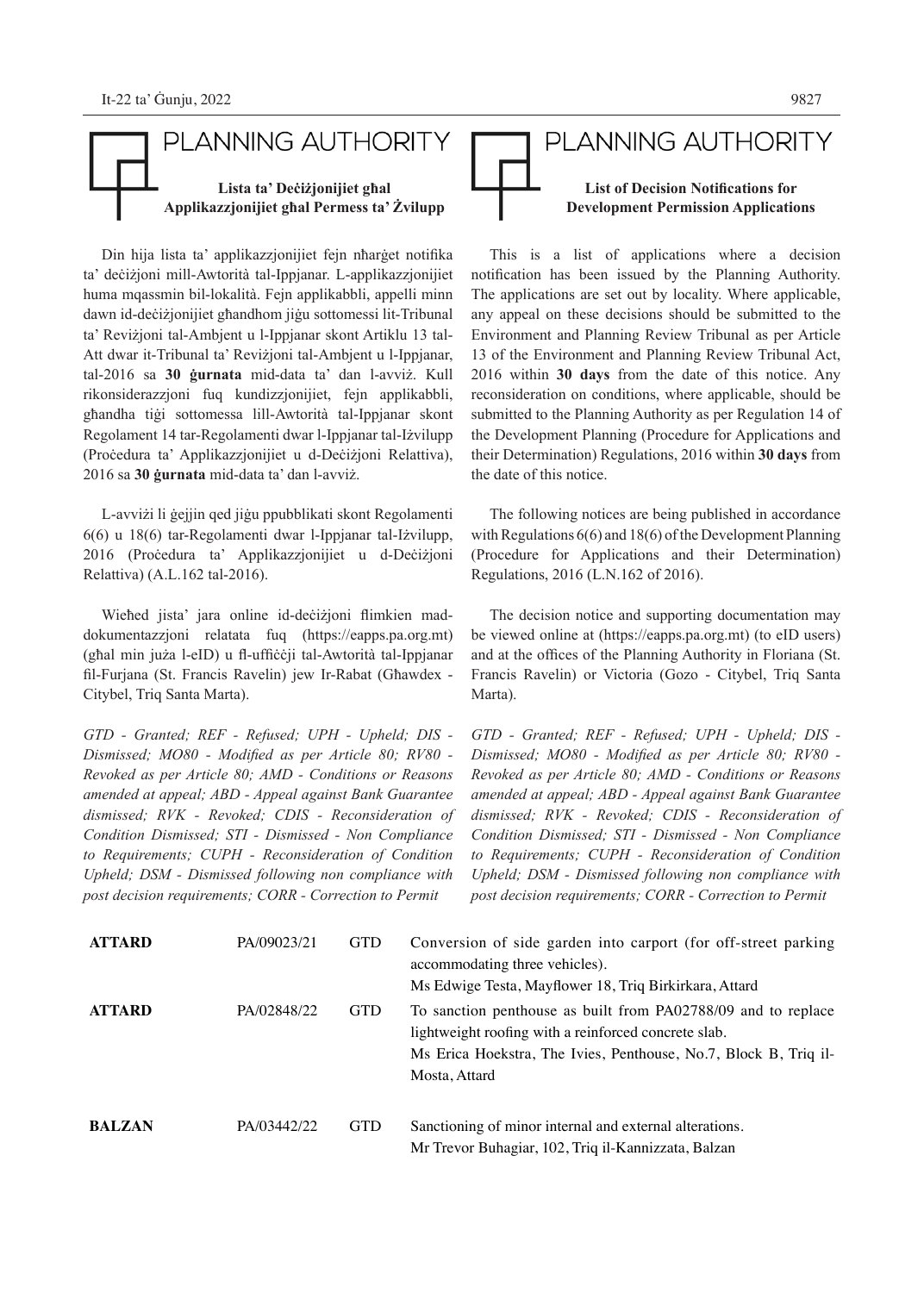## PLANNING AUTHORITY **Lista ta' Deċiżjonijiet għal Applikazzjonijiet għal Permess ta' Żvilupp**

Din hija lista ta' applikazzjonijiet fejn nħarġet notifika ta' deċiżjoni mill-Awtorità tal-Ippjanar. L-applikazzjonijiet huma mqassmin bil-lokalità. Fejn applikabbli, appelli minn dawn id-deċiżjonijiet għandhom jiġu sottomessi lit-Tribunal ta' Reviżjoni tal-Ambjent u l-Ippjanar skont Artiklu 13 tal-Att dwar it-Tribunal ta' Reviżjoni tal-Ambjent u l-Ippjanar, tal-2016 sa **30 ġurnata** mid-data ta' dan l-avviż. Kull rikonsiderazzjoni fuq kundizzjonijiet, fejn applikabbli, għandha tiġi sottomessa lill-Awtorità tal-Ippjanar skont Regolament 14 tar-Regolamenti dwar l-Ippjanar tal-Iżvilupp (Proċedura ta' Applikazzjonijiet u d-Deċiżjoni Relattiva), 2016 sa **30 ġurnata** mid-data ta' dan l-avviż.

L-avviżi li ġejjin qed jiġu ppubblikati skont Regolamenti 6(6) u 18(6) tar-Regolamenti dwar l-Ippjanar tal-Iżvilupp, 2016 (Proċedura ta' Applikazzjonijiet u d-Deċiżjoni Relattiva) (A.L.162 tal-2016).

Wieħed jista' jara online id-deċiżjoni flimkien maddokumentazzjoni relatata fuq (https://eapps.pa.org.mt) (għal min juża l-eID) u fl-uffiċċji tal-Awtorità tal-Ippjanar fil-Furjana (St. Francis Ravelin) jew Ir-Rabat (Għawdex - Citybel, Triq Santa Marta).

*GTD - Granted; REF - Refused; UPH - Upheld; DIS - Dismissed; MO80 - Modified as per Article 80; RV80 - Revoked as per Article 80; AMD - Conditions or Reasons amended at appeal; ABD - Appeal against Bank Guarantee dismissed; RVK - Revoked; CDIS - Reconsideration of Condition Dismissed; STI - Dismissed - Non Compliance to Requirements; CUPH - Reconsideration of Condition Upheld; DSM - Dismissed following non compliance with post decision requirements; CORR - Correction to Permit*

# PLANNING AUTHORITY **List of Decision Notifications for Development Permission Applications**

This is a list of applications where a decision notification has been issued by the Planning Authority. The applications are set out by locality. Where applicable, any appeal on these decisions should be submitted to the Environment and Planning Review Tribunal as per Article 13 of the Environment and Planning Review Tribunal Act, 2016 within **30 days** from the date of this notice. Any reconsideration on conditions, where applicable, should be submitted to the Planning Authority as per Regulation 14 of the Development Planning (Procedure for Applications and their Determination) Regulations, 2016 within **30 days** from the date of this notice.

The following notices are being published in accordance with Regulations 6(6) and 18(6) of the Development Planning (Procedure for Applications and their Determination) Regulations, 2016 (L.N.162 of 2016).

The decision notice and supporting documentation may be viewed online at (https://eapps.pa.org.mt) (to eID users) and at the offices of the Planning Authority in Floriana (St. Francis Ravelin) or Victoria (Gozo - Citybel, Triq Santa Marta).

*GTD - Granted; REF - Refused; UPH - Upheld; DIS - Dismissed; MO80 - Modified as per Article 80; RV80 - Revoked as per Article 80; AMD - Conditions or Reasons amended at appeal; ABD - Appeal against Bank Guarantee dismissed; RVK - Revoked; CDIS - Reconsideration of Condition Dismissed; STI - Dismissed - Non Compliance to Requirements; CUPH - Reconsideration of Condition Upheld; DSM - Dismissed following non compliance with post decision requirements; CORR - Correction to Permit*

| <b>ATTARD</b> | PA/09023/21 | <b>GTD</b> | Conversion of side garden into carport (for off-street parking<br>accommodating three vehicles).<br>Ms Edwige Testa, Mayflower 18, Triq Birkirkara, Attard                                                 |
|---------------|-------------|------------|------------------------------------------------------------------------------------------------------------------------------------------------------------------------------------------------------------|
| <b>ATTARD</b> | PA/02848/22 | <b>GTD</b> | To sanction penthouse as built from PA02788/09 and to replace<br>lightweight roofing with a reinforced concrete slab.<br>Ms Erica Hoekstra, The Ivies, Penthouse, No.7, Block B, Triq il-<br>Mosta, Attard |
| <b>BALZAN</b> | PA/03442/22 | <b>GTD</b> | Sanctioning of minor internal and external alterations.<br>Mr Trevor Buhagiar, 102, Triq il-Kannizzata, Balzan                                                                                             |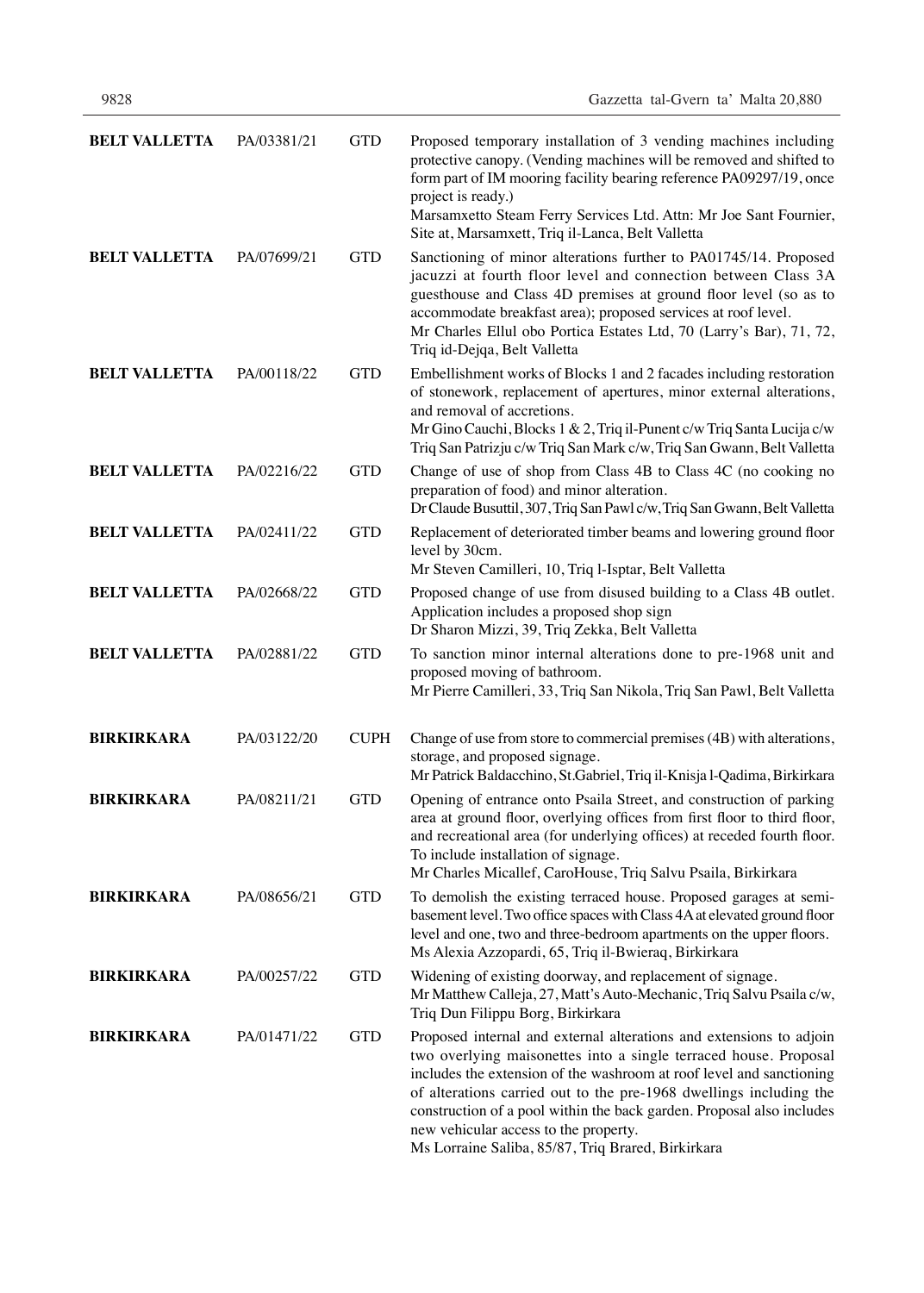| <b>BELT VALLETTA</b> | PA/03381/21 | <b>GTD</b>  | Proposed temporary installation of 3 vending machines including<br>protective canopy. (Vending machines will be removed and shifted to<br>form part of IM mooring facility bearing reference PA09297/19, once<br>project is ready.)<br>Marsamxetto Steam Ferry Services Ltd. Attn: Mr Joe Sant Fournier,<br>Site at, Marsamxett, Triq il-Lanca, Belt Valletta                                                                                                 |
|----------------------|-------------|-------------|---------------------------------------------------------------------------------------------------------------------------------------------------------------------------------------------------------------------------------------------------------------------------------------------------------------------------------------------------------------------------------------------------------------------------------------------------------------|
| <b>BELT VALLETTA</b> | PA/07699/21 | <b>GTD</b>  | Sanctioning of minor alterations further to PA01745/14. Proposed<br>jacuzzi at fourth floor level and connection between Class 3A<br>guesthouse and Class 4D premises at ground floor level (so as to<br>accommodate breakfast area); proposed services at roof level.<br>Mr Charles Ellul obo Portica Estates Ltd, 70 (Larry's Bar), 71, 72,<br>Triq id-Dejqa, Belt Valletta                                                                                 |
| <b>BELT VALLETTA</b> | PA/00118/22 | <b>GTD</b>  | Embellishment works of Blocks 1 and 2 facades including restoration<br>of stonework, replacement of apertures, minor external alterations,<br>and removal of accretions.<br>Mr Gino Cauchi, Blocks 1 & 2, Triq il-Punent c/w Triq Santa Lucija c/w<br>Triq San Patrizju c/w Triq San Mark c/w, Triq San Gwann, Belt Valletta                                                                                                                                  |
| <b>BELT VALLETTA</b> | PA/02216/22 | <b>GTD</b>  | Change of use of shop from Class 4B to Class 4C (no cooking no<br>preparation of food) and minor alteration.<br>Dr Claude Busuttil, 307, Triq San Pawl c/w, Triq San Gwann, Belt Valletta                                                                                                                                                                                                                                                                     |
| <b>BELT VALLETTA</b> | PA/02411/22 | <b>GTD</b>  | Replacement of deteriorated timber beams and lowering ground floor<br>level by 30cm.<br>Mr Steven Camilleri, 10, Triq l-Isptar, Belt Valletta                                                                                                                                                                                                                                                                                                                 |
| <b>BELT VALLETTA</b> | PA/02668/22 | <b>GTD</b>  | Proposed change of use from disused building to a Class 4B outlet.<br>Application includes a proposed shop sign<br>Dr Sharon Mizzi, 39, Triq Zekka, Belt Valletta                                                                                                                                                                                                                                                                                             |
| <b>BELT VALLETTA</b> | PA/02881/22 | <b>GTD</b>  | To sanction minor internal alterations done to pre-1968 unit and<br>proposed moving of bathroom.<br>Mr Pierre Camilleri, 33, Triq San Nikola, Triq San Pawl, Belt Valletta                                                                                                                                                                                                                                                                                    |
| <b>BIRKIRKARA</b>    | PA/03122/20 | <b>CUPH</b> | Change of use from store to commercial premises (4B) with alterations,<br>storage, and proposed signage.<br>Mr Patrick Baldacchino, St.Gabriel, Triq il-Knisja l-Qadima, Birkirkara                                                                                                                                                                                                                                                                           |
| <b>BIRKIRKARA</b>    | PA/08211/21 | <b>GTD</b>  | Opening of entrance onto Psaila Street, and construction of parking<br>area at ground floor, overlying offices from first floor to third floor,<br>and recreational area (for underlying offices) at receded fourth floor.<br>To include installation of signage.<br>Mr Charles Micallef, CaroHouse, Triq Salvu Psaila, Birkirkara                                                                                                                            |
| <b>BIRKIRKARA</b>    | PA/08656/21 | <b>GTD</b>  | To demolish the existing terraced house. Proposed garages at semi-<br>basement level. Two office spaces with Class 4A at elevated ground floor<br>level and one, two and three-bedroom apartments on the upper floors.<br>Ms Alexia Azzopardi, 65, Triq il-Bwieraq, Birkirkara                                                                                                                                                                                |
| <b>BIRKIRKARA</b>    | PA/00257/22 | <b>GTD</b>  | Widening of existing doorway, and replacement of signage.<br>Mr Matthew Calleja, 27, Matt's Auto-Mechanic, Triq Salvu Psaila c/w,<br>Triq Dun Filippu Borg, Birkirkara                                                                                                                                                                                                                                                                                        |
| <b>BIRKIRKARA</b>    | PA/01471/22 | <b>GTD</b>  | Proposed internal and external alterations and extensions to adjoin<br>two overlying maisonettes into a single terraced house. Proposal<br>includes the extension of the washroom at roof level and sanctioning<br>of alterations carried out to the pre-1968 dwellings including the<br>construction of a pool within the back garden. Proposal also includes<br>new vehicular access to the property.<br>Ms Lorraine Saliba, 85/87, Triq Brared, Birkirkara |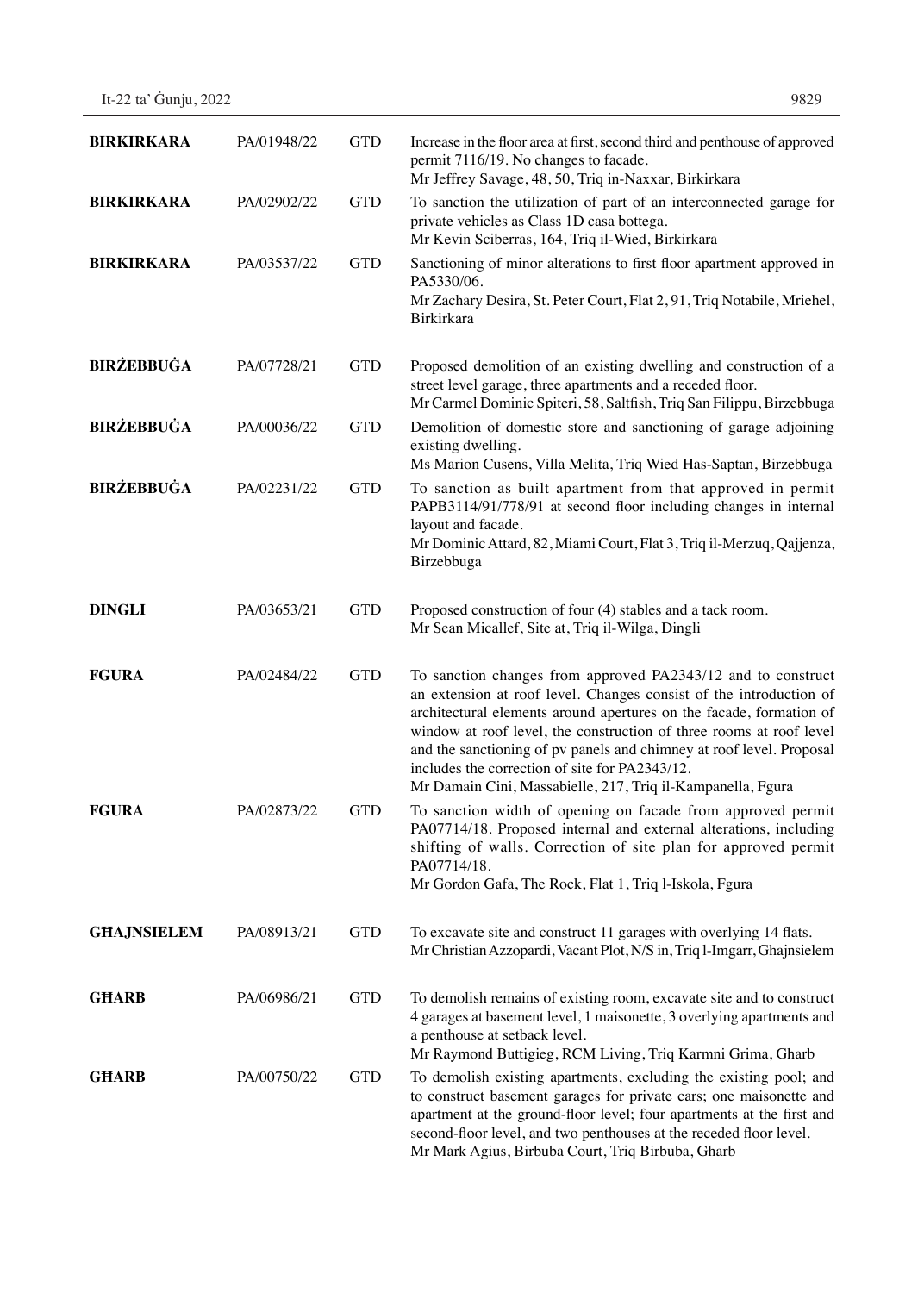| <b>BIRKIRKARA</b>  | PA/01948/22 | <b>GTD</b> | Increase in the floor area at first, second third and penthouse of approved<br>permit 7116/19. No changes to facade.<br>Mr Jeffrey Savage, 48, 50, Triq in-Naxxar, Birkirkara                                                                                                                                                                                                                                                                                             |
|--------------------|-------------|------------|---------------------------------------------------------------------------------------------------------------------------------------------------------------------------------------------------------------------------------------------------------------------------------------------------------------------------------------------------------------------------------------------------------------------------------------------------------------------------|
| <b>BIRKIRKARA</b>  | PA/02902/22 | <b>GTD</b> | To sanction the utilization of part of an interconnected garage for<br>private vehicles as Class 1D casa bottega.<br>Mr Kevin Sciberras, 164, Triq il-Wied, Birkirkara                                                                                                                                                                                                                                                                                                    |
| <b>BIRKIRKARA</b>  | PA/03537/22 | <b>GTD</b> | Sanctioning of minor alterations to first floor apartment approved in<br>PA5330/06.<br>Mr Zachary Desira, St. Peter Court, Flat 2, 91, Triq Notabile, Mriehel,<br>Birkirkara                                                                                                                                                                                                                                                                                              |
| <b>BIRŻEBBUĠA</b>  | PA/07728/21 | <b>GTD</b> | Proposed demolition of an existing dwelling and construction of a<br>street level garage, three apartments and a receded floor.<br>Mr Carmel Dominic Spiteri, 58, Saltfish, Triq San Filippu, Birzebbuga                                                                                                                                                                                                                                                                  |
| <b>BIRŻEBBUĠA</b>  | PA/00036/22 | <b>GTD</b> | Demolition of domestic store and sanctioning of garage adjoining<br>existing dwelling.<br>Ms Marion Cusens, Villa Melita, Triq Wied Has-Saptan, Birzebbuga                                                                                                                                                                                                                                                                                                                |
| <b>BIRŻEBBUĠA</b>  | PA/02231/22 | <b>GTD</b> | To sanction as built apartment from that approved in permit<br>PAPB3114/91/778/91 at second floor including changes in internal<br>layout and facade.<br>Mr Dominic Attard, 82, Miami Court, Flat 3, Triq il-Merzuq, Qajjenza,<br>Birzebbuga                                                                                                                                                                                                                              |
| <b>DINGLI</b>      | PA/03653/21 | <b>GTD</b> | Proposed construction of four (4) stables and a tack room.<br>Mr Sean Micallef, Site at, Triq il-Wilga, Dingli                                                                                                                                                                                                                                                                                                                                                            |
| <b>FGURA</b>       | PA/02484/22 | <b>GTD</b> | To sanction changes from approved PA2343/12 and to construct<br>an extension at roof level. Changes consist of the introduction of<br>architectural elements around apertures on the facade, formation of<br>window at roof level, the construction of three rooms at roof level<br>and the sanctioning of pv panels and chimney at roof level. Proposal<br>includes the correction of site for PA2343/12.<br>Mr Damain Cini, Massabielle, 217, Triq il-Kampanella, Fgura |
| <b>FGURA</b>       | PA/02873/22 | <b>GTD</b> | To sanction width of opening on facade from approved permit<br>PA07714/18. Proposed internal and external alterations, including<br>shifting of walls. Correction of site plan for approved permit<br>PA07714/18.<br>Mr Gordon Gafa, The Rock, Flat 1, Triq l-Iskola, Fgura                                                                                                                                                                                               |
| <b>GHAJNSIELEM</b> | PA/08913/21 | <b>GTD</b> | To excavate site and construct 11 garages with overlying 14 flats.<br>Mr Christian Azzopardi, Vacant Plot, N/S in, Triq l-Imgarr, Ghajnsielem                                                                                                                                                                                                                                                                                                                             |
| <b>GHARB</b>       | PA/06986/21 | <b>GTD</b> | To demolish remains of existing room, excavate site and to construct<br>4 garages at basement level, 1 maisonette, 3 overlying apartments and<br>a penthouse at setback level.<br>Mr Raymond Buttigieg, RCM Living, Triq Karmni Grima, Gharb                                                                                                                                                                                                                              |
| <b>GHARB</b>       | PA/00750/22 | <b>GTD</b> | To demolish existing apartments, excluding the existing pool; and<br>to construct basement garages for private cars; one maisonette and<br>apartment at the ground-floor level; four apartments at the first and<br>second-floor level, and two penthouses at the receded floor level.<br>Mr Mark Agius, Birbuba Court, Triq Birbuba, Gharb                                                                                                                               |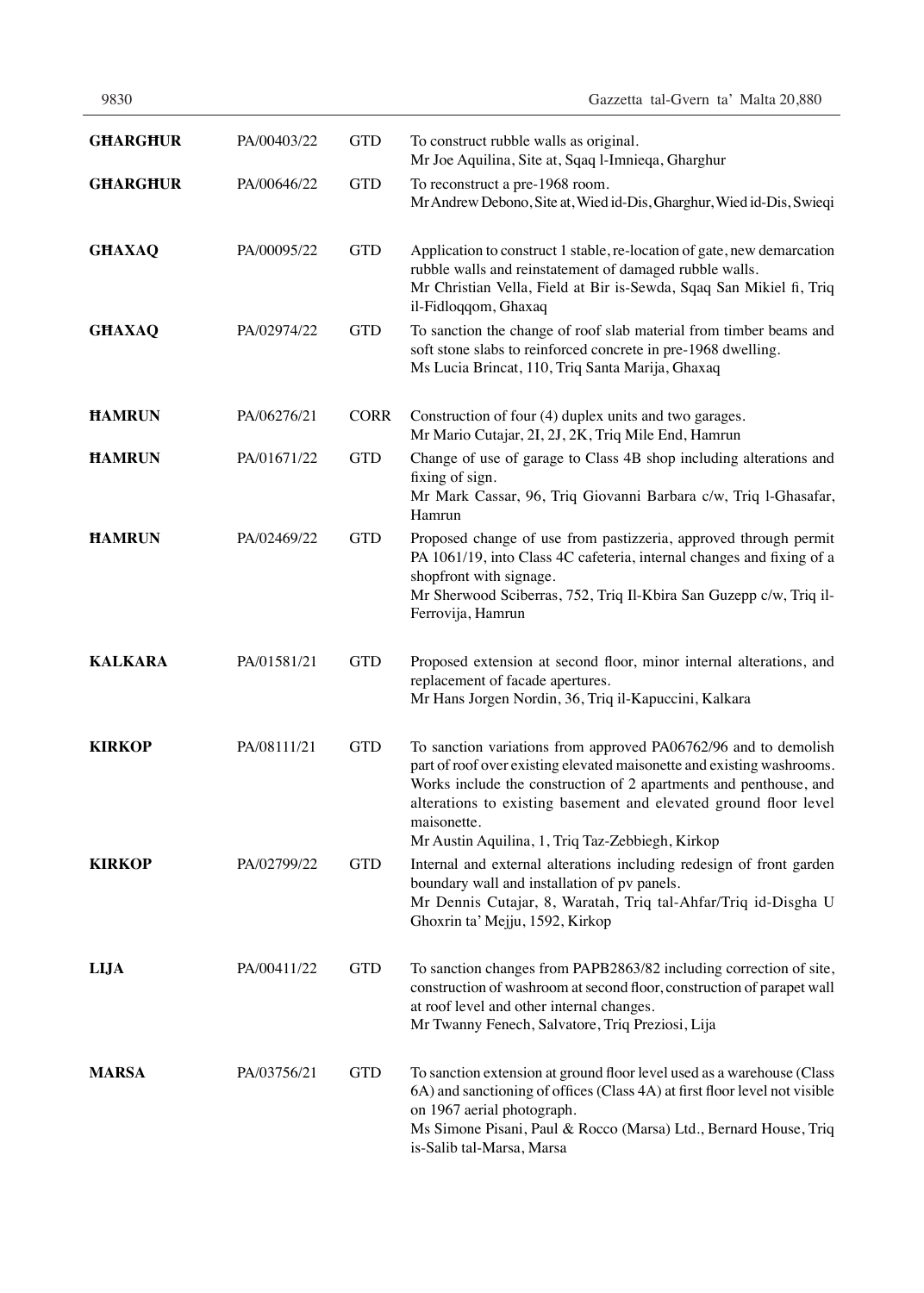| <b>GHARGHUR</b> | PA/00403/22 | <b>GTD</b>  | To construct rubble walls as original.<br>Mr Joe Aquilina, Site at, Sqaq l-Imnieqa, Gharghur                                                                                                                                                                                                                                                          |
|-----------------|-------------|-------------|-------------------------------------------------------------------------------------------------------------------------------------------------------------------------------------------------------------------------------------------------------------------------------------------------------------------------------------------------------|
| <b>GHARGHUR</b> | PA/00646/22 | <b>GTD</b>  | To reconstruct a pre-1968 room.<br>Mr Andrew Debono, Site at, Wied id-Dis, Gharghur, Wied id-Dis, Swieqi                                                                                                                                                                                                                                              |
| <b>GHAXAQ</b>   | PA/00095/22 | <b>GTD</b>  | Application to construct 1 stable, re-location of gate, new demarcation<br>rubble walls and reinstatement of damaged rubble walls.<br>Mr Christian Vella, Field at Bir is-Sewda, Sqaq San Mikiel fi, Triq<br>il-Fidloqqom, Ghaxaq                                                                                                                     |
| <b>GHAXAQ</b>   | PA/02974/22 | <b>GTD</b>  | To sanction the change of roof slab material from timber beams and<br>soft stone slabs to reinforced concrete in pre-1968 dwelling.<br>Ms Lucia Brincat, 110, Triq Santa Marija, Ghaxaq                                                                                                                                                               |
| <b>HAMRUN</b>   | PA/06276/21 | <b>CORR</b> | Construction of four (4) duplex units and two garages.<br>Mr Mario Cutajar, 2I, 2J, 2K, Triq Mile End, Hamrun                                                                                                                                                                                                                                         |
| <b>HAMRUN</b>   | PA/01671/22 | <b>GTD</b>  | Change of use of garage to Class 4B shop including alterations and<br>fixing of sign.<br>Mr Mark Cassar, 96, Triq Giovanni Barbara c/w, Triq l-Ghasafar,<br>Hamrun                                                                                                                                                                                    |
| <b>HAMRUN</b>   | PA/02469/22 | <b>GTD</b>  | Proposed change of use from pastizzeria, approved through permit<br>PA 1061/19, into Class 4C cafeteria, internal changes and fixing of a<br>shopfront with signage.<br>Mr Sherwood Sciberras, 752, Triq Il-Kbira San Guzepp c/w, Triq il-<br>Ferrovija, Hamrun                                                                                       |
| <b>KALKARA</b>  | PA/01581/21 | <b>GTD</b>  | Proposed extension at second floor, minor internal alterations, and<br>replacement of facade apertures.<br>Mr Hans Jorgen Nordin, 36, Triq il-Kapuccini, Kalkara                                                                                                                                                                                      |
| <b>KIRKOP</b>   | PA/08111/21 | <b>GTD</b>  | To sanction variations from approved PA06762/96 and to demolish<br>part of roof over existing elevated maisonette and existing washrooms.<br>Works include the construction of 2 apartments and penthouse, and<br>alterations to existing basement and elevated ground floor level<br>maisonette.<br>Mr Austin Aquilina, 1, Triq Taz-Zebbiegh, Kirkop |
| <b>KIRKOP</b>   | PA/02799/22 | <b>GTD</b>  | Internal and external alterations including redesign of front garden<br>boundary wall and installation of pv panels.<br>Mr Dennis Cutajar, 8, Waratah, Triq tal-Ahfar/Triq id-Disgha U<br>Ghoxrin ta' Mejju, 1592, Kirkop                                                                                                                             |
| <b>LIJA</b>     | PA/00411/22 | <b>GTD</b>  | To sanction changes from PAPB2863/82 including correction of site,<br>construction of washroom at second floor, construction of parapet wall<br>at roof level and other internal changes.<br>Mr Twanny Fenech, Salvatore, Triq Preziosi, Lija                                                                                                         |
| <b>MARSA</b>    | PA/03756/21 | <b>GTD</b>  | To sanction extension at ground floor level used as a warehouse (Class<br>6A) and sanctioning of offices (Class 4A) at first floor level not visible<br>on 1967 aerial photograph.<br>Ms Simone Pisani, Paul & Rocco (Marsa) Ltd., Bernard House, Triq<br>is-Salib tal-Marsa, Marsa                                                                   |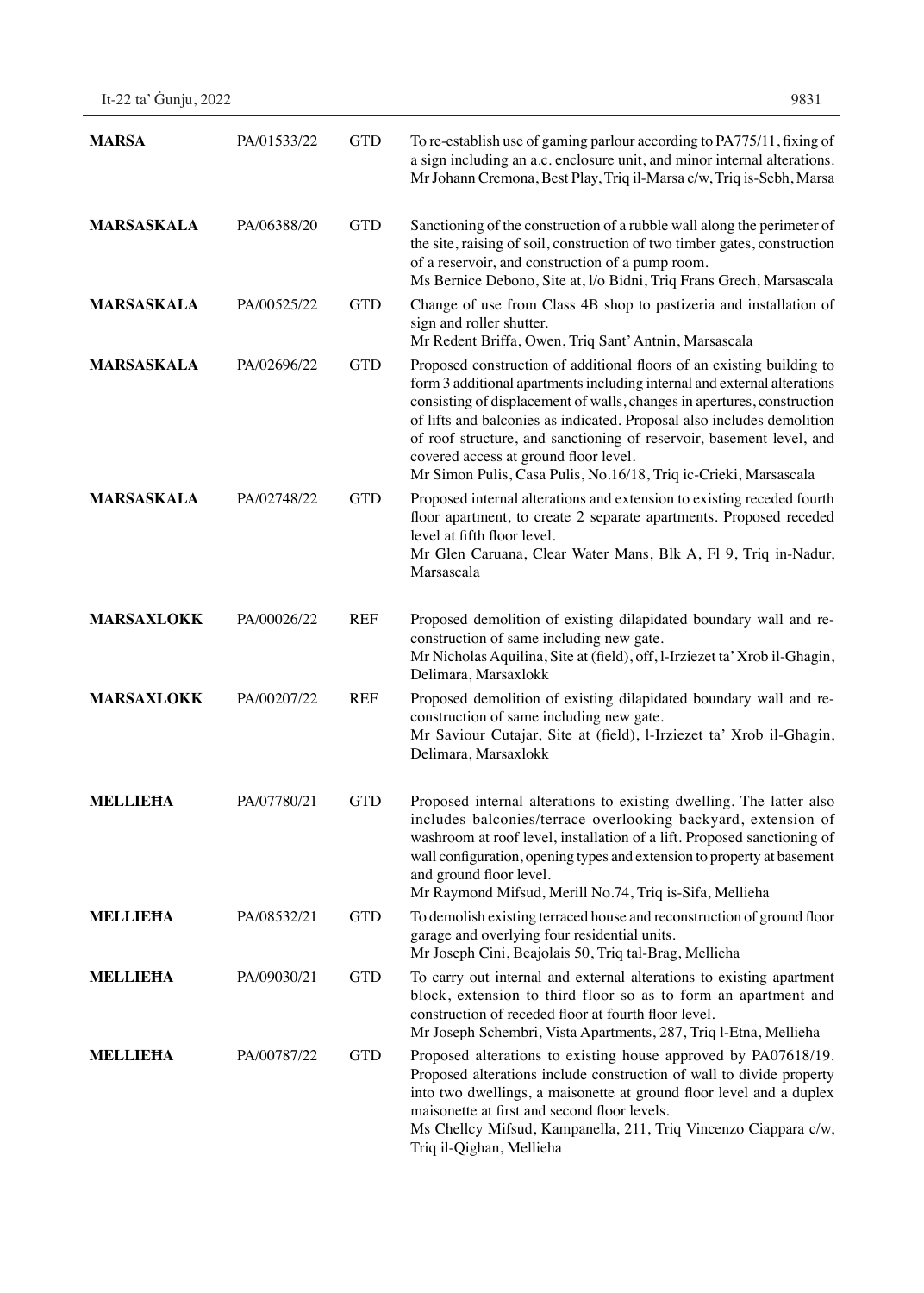| <b>MARSA</b>      | PA/01533/22 | <b>GTD</b> | To re-establish use of gaming parlour according to PA775/11, fixing of<br>a sign including an a.c. enclosure unit, and minor internal alterations.<br>Mr Johann Cremona, Best Play, Triq il-Marsa c/w, Triq is-Sebh, Marsa                                                                                                                                                                                                                                                                  |
|-------------------|-------------|------------|---------------------------------------------------------------------------------------------------------------------------------------------------------------------------------------------------------------------------------------------------------------------------------------------------------------------------------------------------------------------------------------------------------------------------------------------------------------------------------------------|
| <b>MARSASKALA</b> | PA/06388/20 | <b>GTD</b> | Sanctioning of the construction of a rubble wall along the perimeter of<br>the site, raising of soil, construction of two timber gates, construction<br>of a reservoir, and construction of a pump room.<br>Ms Bernice Debono, Site at, I/o Bidni, Triq Frans Grech, Marsascala                                                                                                                                                                                                             |
| <b>MARSASKALA</b> | PA/00525/22 | <b>GTD</b> | Change of use from Class 4B shop to pastizeria and installation of<br>sign and roller shutter.<br>Mr Redent Briffa, Owen, Triq Sant' Antnin, Marsascala                                                                                                                                                                                                                                                                                                                                     |
| <b>MARSASKALA</b> | PA/02696/22 | <b>GTD</b> | Proposed construction of additional floors of an existing building to<br>form 3 additional apartments including internal and external alterations<br>consisting of displacement of walls, changes in apertures, construction<br>of lifts and balconies as indicated. Proposal also includes demolition<br>of roof structure, and sanctioning of reservoir, basement level, and<br>covered access at ground floor level.<br>Mr Simon Pulis, Casa Pulis, No.16/18, Triq ic-Crieki, Marsascala |
| <b>MARSASKALA</b> | PA/02748/22 | <b>GTD</b> | Proposed internal alterations and extension to existing receded fourth<br>floor apartment, to create 2 separate apartments. Proposed receded<br>level at fifth floor level.<br>Mr Glen Caruana, Clear Water Mans, Blk A, Fl 9, Triq in-Nadur,<br>Marsascala                                                                                                                                                                                                                                 |
| <b>MARSAXLOKK</b> | PA/00026/22 | <b>REF</b> | Proposed demolition of existing dilapidated boundary wall and re-<br>construction of same including new gate.<br>Mr Nicholas Aquilina, Site at (field), off, l-Irziezet ta' Xrob il-Ghagin,<br>Delimara, Marsaxlokk                                                                                                                                                                                                                                                                         |
| <b>MARSAXLOKK</b> | PA/00207/22 | <b>REF</b> | Proposed demolition of existing dilapidated boundary wall and re-<br>construction of same including new gate.<br>Mr Saviour Cutajar, Site at (field), l-Irziezet ta' Xrob il-Ghagin,<br>Delimara, Marsaxlokk                                                                                                                                                                                                                                                                                |
| <b>MELLIEHA</b>   | PA/07780/21 | <b>GTD</b> | Proposed internal alterations to existing dwelling. The latter also<br>includes balconies/terrace overlooking backyard, extension of<br>washroom at roof level, installation of a lift. Proposed sanctioning of<br>wall configuration, opening types and extension to property at basement<br>and ground floor level.<br>Mr Raymond Mifsud, Merill No.74, Triq is-Sifa, Mellieha                                                                                                            |
| <b>MELLIEHA</b>   | PA/08532/21 | <b>GTD</b> | To demolish existing terraced house and reconstruction of ground floor<br>garage and overlying four residential units.<br>Mr Joseph Cini, Beajolais 50, Triq tal-Brag, Mellieha                                                                                                                                                                                                                                                                                                             |
| <b>MELLIEHA</b>   | PA/09030/21 | <b>GTD</b> | To carry out internal and external alterations to existing apartment<br>block, extension to third floor so as to form an apartment and<br>construction of receded floor at fourth floor level.<br>Mr Joseph Schembri, Vista Apartments, 287, Triq l-Etna, Mellieha                                                                                                                                                                                                                          |
| <b>MELLIEHA</b>   | PA/00787/22 | <b>GTD</b> | Proposed alterations to existing house approved by PA07618/19.<br>Proposed alterations include construction of wall to divide property<br>into two dwellings, a maisonette at ground floor level and a duplex<br>maisonette at first and second floor levels.<br>Ms Chellcy Mifsud, Kampanella, 211, Triq Vincenzo Ciappara c/w,<br>Triq il-Qighan, Mellieha                                                                                                                                |

It-22 ta' Ġunju, 2022 9831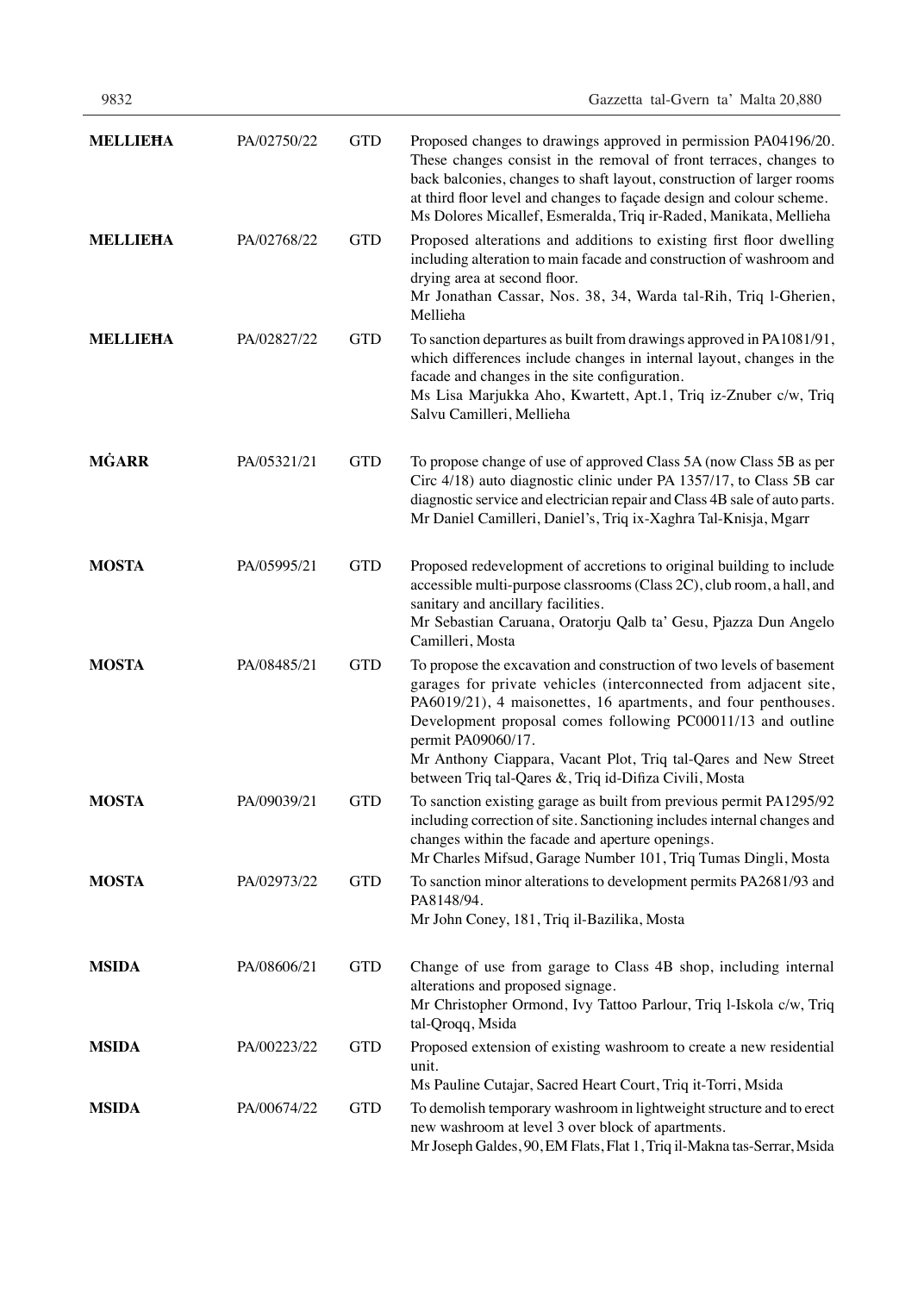| <b>MELLIEHA</b> | PA/02750/22 | <b>GTD</b> | Proposed changes to drawings approved in permission PA04196/20.<br>These changes consist in the removal of front terraces, changes to<br>back balconies, changes to shaft layout, construction of larger rooms<br>at third floor level and changes to façade design and colour scheme.<br>Ms Dolores Micallef, Esmeralda, Triq ir-Raded, Manikata, Mellieha                                                                  |
|-----------------|-------------|------------|------------------------------------------------------------------------------------------------------------------------------------------------------------------------------------------------------------------------------------------------------------------------------------------------------------------------------------------------------------------------------------------------------------------------------|
| <b>MELLIEHA</b> | PA/02768/22 | <b>GTD</b> | Proposed alterations and additions to existing first floor dwelling<br>including alteration to main facade and construction of washroom and<br>drying area at second floor.<br>Mr Jonathan Cassar, Nos. 38, 34, Warda tal-Rih, Triq l-Gherien,<br>Mellieha                                                                                                                                                                   |
| <b>MELLIEHA</b> | PA/02827/22 | <b>GTD</b> | To sanction departures as built from drawings approved in PA1081/91,<br>which differences include changes in internal layout, changes in the<br>facade and changes in the site configuration.<br>Ms Lisa Marjukka Aho, Kwartett, Apt.1, Triq iz-Znuber c/w, Triq<br>Salvu Camilleri, Mellieha                                                                                                                                |
| <b>MĠARR</b>    | PA/05321/21 | <b>GTD</b> | To propose change of use of approved Class 5A (now Class 5B as per<br>Circ 4/18) auto diagnostic clinic under PA 1357/17, to Class 5B car<br>diagnostic service and electrician repair and Class 4B sale of auto parts.<br>Mr Daniel Camilleri, Daniel's, Triq ix-Xaghra Tal-Knisja, Mgarr                                                                                                                                   |
| <b>MOSTA</b>    | PA/05995/21 | <b>GTD</b> | Proposed redevelopment of accretions to original building to include<br>accessible multi-purpose classrooms (Class 2C), club room, a hall, and<br>sanitary and ancillary facilities.<br>Mr Sebastian Caruana, Oratorju Qalb ta' Gesu, Pjazza Dun Angelo<br>Camilleri, Mosta                                                                                                                                                  |
| <b>MOSTA</b>    | PA/08485/21 | <b>GTD</b> | To propose the excavation and construction of two levels of basement<br>garages for private vehicles (interconnected from adjacent site,<br>PA6019/21), 4 maisonettes, 16 apartments, and four penthouses.<br>Development proposal comes following PC00011/13 and outline<br>permit PA09060/17.<br>Mr Anthony Ciappara, Vacant Plot, Triq tal-Qares and New Street<br>between Triq tal-Qares &, Triq id-Difiza Civili, Mosta |
| <b>MOSTA</b>    | PA/09039/21 | <b>GTD</b> | To sanction existing garage as built from previous permit PA1295/92<br>including correction of site. Sanctioning includes internal changes and<br>changes within the facade and aperture openings.<br>Mr Charles Mifsud, Garage Number 101, Triq Tumas Dingli, Mosta                                                                                                                                                         |
| <b>MOSTA</b>    | PA/02973/22 | <b>GTD</b> | To sanction minor alterations to development permits PA2681/93 and<br>PA8148/94.<br>Mr John Coney, 181, Triq il-Bazilika, Mosta                                                                                                                                                                                                                                                                                              |
| <b>MSIDA</b>    | PA/08606/21 | <b>GTD</b> | Change of use from garage to Class 4B shop, including internal<br>alterations and proposed signage.<br>Mr Christopher Ormond, Ivy Tattoo Parlour, Triq l-Iskola c/w, Triq<br>tal-Qroqq, Msida                                                                                                                                                                                                                                |
| <b>MSIDA</b>    | PA/00223/22 | <b>GTD</b> | Proposed extension of existing washroom to create a new residential<br>unit.<br>Ms Pauline Cutajar, Sacred Heart Court, Triq it-Torri, Msida                                                                                                                                                                                                                                                                                 |
| <b>MSIDA</b>    | PA/00674/22 | <b>GTD</b> | To demolish temporary washroom in lightweight structure and to erect<br>new washroom at level 3 over block of apartments.<br>Mr Joseph Galdes, 90, EM Flats, Flat 1, Triq il-Makna tas-Serrar, Msida                                                                                                                                                                                                                         |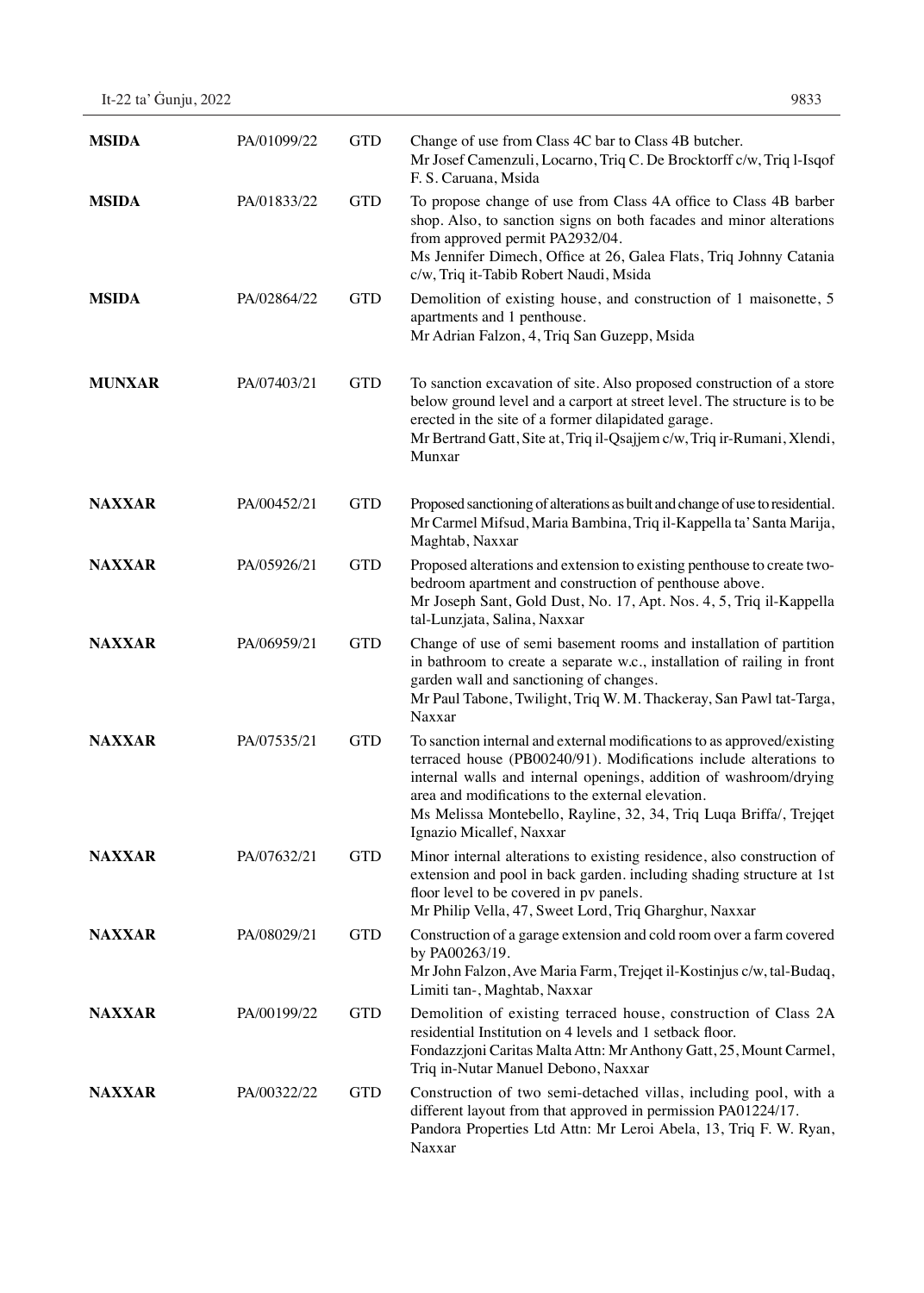| It-22 ta' Guniu, 2022 | 9833 |
|-----------------------|------|
|-----------------------|------|

| <b>MSIDA</b>  | PA/01099/22 | <b>GTD</b> | Change of use from Class 4C bar to Class 4B butcher.<br>Mr Josef Camenzuli, Locarno, Triq C. De Brocktorff c/w, Triq l-Isqof<br>F. S. Caruana, Msida                                                                                                                                                                                                                     |
|---------------|-------------|------------|--------------------------------------------------------------------------------------------------------------------------------------------------------------------------------------------------------------------------------------------------------------------------------------------------------------------------------------------------------------------------|
| <b>MSIDA</b>  | PA/01833/22 | <b>GTD</b> | To propose change of use from Class 4A office to Class 4B barber<br>shop. Also, to sanction signs on both facades and minor alterations<br>from approved permit PA2932/04.<br>Ms Jennifer Dimech, Office at 26, Galea Flats, Triq Johnny Catania<br>c/w, Triq it-Tabib Robert Naudi, Msida                                                                               |
| <b>MSIDA</b>  | PA/02864/22 | <b>GTD</b> | Demolition of existing house, and construction of 1 maisonette, 5<br>apartments and 1 penthouse.<br>Mr Adrian Falzon, 4, Triq San Guzepp, Msida                                                                                                                                                                                                                          |
| <b>MUNXAR</b> | PA/07403/21 | <b>GTD</b> | To sanction excavation of site. Also proposed construction of a store<br>below ground level and a carport at street level. The structure is to be<br>erected in the site of a former dilapidated garage.<br>Mr Bertrand Gatt, Site at, Triq il-Qsajjem c/w, Triq ir-Rumani, Xlendi,<br>Munxar                                                                            |
| <b>NAXXAR</b> | PA/00452/21 | <b>GTD</b> | Proposed sanctioning of alterations as built and change of use to residential.<br>Mr Carmel Mifsud, Maria Bambina, Triq il-Kappella ta' Santa Marija,<br>Maghtab, Naxxar                                                                                                                                                                                                 |
| <b>NAXXAR</b> | PA/05926/21 | <b>GTD</b> | Proposed alterations and extension to existing penthouse to create two-<br>bedroom apartment and construction of penthouse above.<br>Mr Joseph Sant, Gold Dust, No. 17, Apt. Nos. 4, 5, Triq il-Kappella<br>tal-Lunzjata, Salina, Naxxar                                                                                                                                 |
| <b>NAXXAR</b> | PA/06959/21 | <b>GTD</b> | Change of use of semi basement rooms and installation of partition<br>in bathroom to create a separate w.c., installation of railing in front<br>garden wall and sanctioning of changes.<br>Mr Paul Tabone, Twilight, Triq W. M. Thackeray, San Pawl tat-Targa,<br>Naxxar                                                                                                |
| <b>NAXXAR</b> | PA/07535/21 | <b>GTD</b> | To sanction internal and external modifications to as approved/existing<br>terraced house (PB00240/91). Modifications include alterations to<br>internal walls and internal openings, addition of washroom/drying<br>area and modifications to the external elevation.<br>Ms Melissa Montebello, Rayline, 32, 34, Triq Luqa Briffa/, Trejqet<br>Ignazio Micallef, Naxxar |
| <b>NAXXAR</b> | PA/07632/21 | <b>GTD</b> | Minor internal alterations to existing residence, also construction of<br>extension and pool in back garden. including shading structure at 1st<br>floor level to be covered in pv panels.<br>Mr Philip Vella, 47, Sweet Lord, Triq Gharghur, Naxxar                                                                                                                     |
| <b>NAXXAR</b> | PA/08029/21 | <b>GTD</b> | Construction of a garage extension and cold room over a farm covered<br>by PA00263/19.<br>Mr John Falzon, Ave Maria Farm, Trejqet il-Kostinjus c/w, tal-Budaq,<br>Limiti tan-, Maghtab, Naxxar                                                                                                                                                                           |
| <b>NAXXAR</b> | PA/00199/22 | <b>GTD</b> | Demolition of existing terraced house, construction of Class 2A<br>residential Institution on 4 levels and 1 setback floor.<br>Fondazzjoni Caritas Malta Attn: Mr Anthony Gatt, 25, Mount Carmel,<br>Triq in-Nutar Manuel Debono, Naxxar                                                                                                                                 |
| <b>NAXXAR</b> | PA/00322/22 | <b>GTD</b> | Construction of two semi-detached villas, including pool, with a<br>different layout from that approved in permission PA01224/17.<br>Pandora Properties Ltd Attn: Mr Leroi Abela, 13, Triq F. W. Ryan,<br>Naxxar                                                                                                                                                         |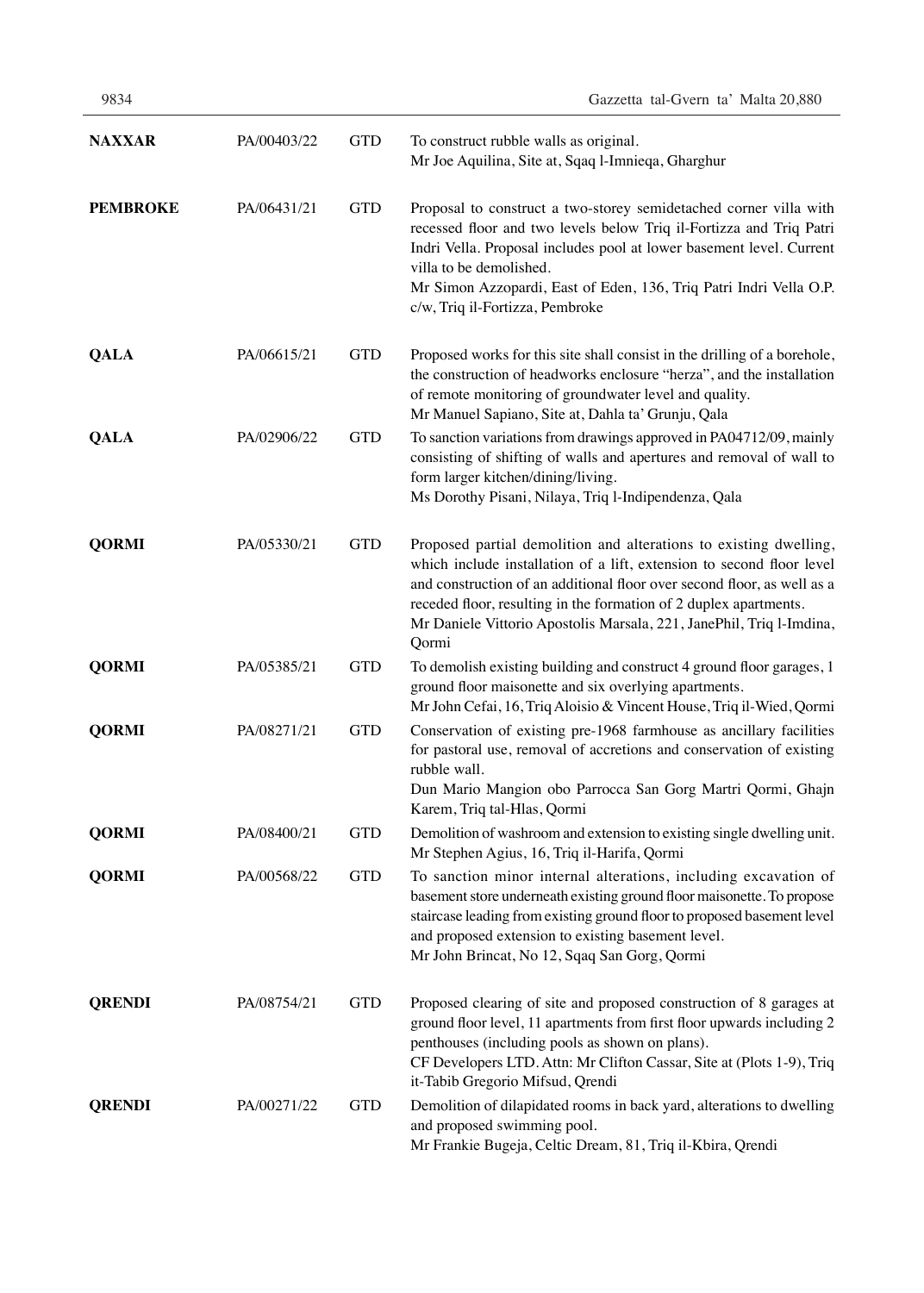| 9834            |             |            | Gazzetta tal-Gvern ta' Malta 20,880                                                                                                                                                                                                                                                                                                                                         |
|-----------------|-------------|------------|-----------------------------------------------------------------------------------------------------------------------------------------------------------------------------------------------------------------------------------------------------------------------------------------------------------------------------------------------------------------------------|
| <b>NAXXAR</b>   | PA/00403/22 | <b>GTD</b> | To construct rubble walls as original.<br>Mr Joe Aquilina, Site at, Sqaq l-Imnieqa, Gharghur                                                                                                                                                                                                                                                                                |
| <b>PEMBROKE</b> | PA/06431/21 | <b>GTD</b> | Proposal to construct a two-storey semidetached corner villa with<br>recessed floor and two levels below Triq il-Fortizza and Triq Patri<br>Indri Vella. Proposal includes pool at lower basement level. Current<br>villa to be demolished.<br>Mr Simon Azzopardi, East of Eden, 136, Triq Patri Indri Vella O.P.<br>c/w, Triq il-Fortizza, Pembroke                        |
| <b>QALA</b>     | PA/06615/21 | <b>GTD</b> | Proposed works for this site shall consist in the drilling of a borehole,<br>the construction of headworks enclosure "herza", and the installation<br>of remote monitoring of groundwater level and quality.<br>Mr Manuel Sapiano, Site at, Dahla ta' Grunju, Qala                                                                                                          |
| <b>QALA</b>     | PA/02906/22 | <b>GTD</b> | To sanction variations from drawings approved in PA04712/09, mainly<br>consisting of shifting of walls and apertures and removal of wall to<br>form larger kitchen/dining/living.<br>Ms Dorothy Pisani, Nilaya, Triq l-Indipendenza, Qala                                                                                                                                   |
| <b>QORMI</b>    | PA/05330/21 | <b>GTD</b> | Proposed partial demolition and alterations to existing dwelling,<br>which include installation of a lift, extension to second floor level<br>and construction of an additional floor over second floor, as well as a<br>receded floor, resulting in the formation of 2 duplex apartments.<br>Mr Daniele Vittorio Apostolis Marsala, 221, JanePhil, Triq l-Imdina,<br>Qormi |
| <b>QORMI</b>    | PA/05385/21 | <b>GTD</b> | To demolish existing building and construct 4 ground floor garages, 1<br>ground floor maisonette and six overlying apartments.<br>Mr John Cefai, 16, Triq Aloisio & Vincent House, Triq il-Wied, Qormi                                                                                                                                                                      |
| <b>QORMI</b>    | PA/08271/21 | <b>GTD</b> | Conservation of existing pre-1968 farmhouse as ancillary facilities<br>for pastoral use, removal of accretions and conservation of existing<br>rubble wall.<br>Dun Mario Mangion obo Parrocca San Gorg Martri Qormi, Ghajn<br>Karem, Triq tal-Hlas, Qormi                                                                                                                   |
| <b>QORMI</b>    | PA/08400/21 | <b>GTD</b> | Demolition of washroom and extension to existing single dwelling unit.<br>Mr Stephen Agius, 16, Triq il-Harifa, Qormi                                                                                                                                                                                                                                                       |
| <b>QORMI</b>    | PA/00568/22 | <b>GTD</b> | To sanction minor internal alterations, including excavation of<br>basement store underneath existing ground floor maisonette. To propose<br>staircase leading from existing ground floor to proposed basement level<br>and proposed extension to existing basement level.<br>Mr John Brincat, No 12, Sqaq San Gorg, Qormi                                                  |
| <b>QRENDI</b>   | PA/08754/21 | <b>GTD</b> | Proposed clearing of site and proposed construction of 8 garages at<br>ground floor level, 11 apartments from first floor upwards including 2<br>penthouses (including pools as shown on plans).<br>CF Developers LTD. Attn: Mr Clifton Cassar, Site at (Plots 1-9), Triq<br>it-Tabib Gregorio Mifsud, Qrendi                                                               |
| <b>QRENDI</b>   | PA/00271/22 | <b>GTD</b> | Demolition of dilapidated rooms in back yard, alterations to dwelling<br>and proposed swimming pool.<br>Mr Frankie Bugeja, Celtic Dream, 81, Triq il-Kbira, Qrendi                                                                                                                                                                                                          |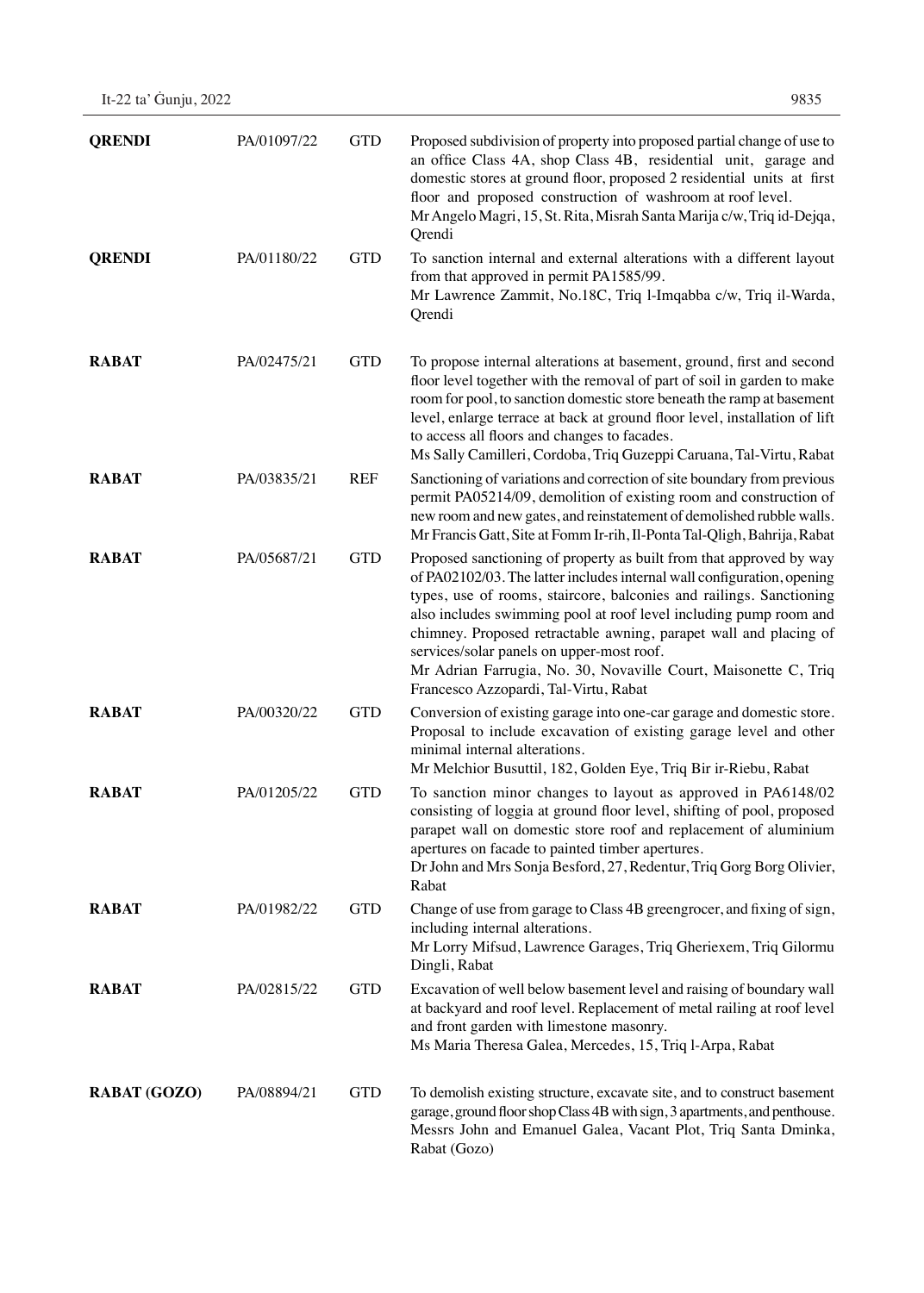| <b>QRENDI</b>       | PA/01097/22 | <b>GTD</b> | Proposed subdivision of property into proposed partial change of use to<br>an office Class 4A, shop Class 4B, residential unit, garage and<br>domestic stores at ground floor, proposed 2 residential units at first<br>floor and proposed construction of washroom at roof level.<br>Mr Angelo Magri, 15, St. Rita, Misrah Santa Marija c/w, Triq id-Dejqa,<br>Qrendi                                                                                                                                                   |
|---------------------|-------------|------------|--------------------------------------------------------------------------------------------------------------------------------------------------------------------------------------------------------------------------------------------------------------------------------------------------------------------------------------------------------------------------------------------------------------------------------------------------------------------------------------------------------------------------|
| <b>QRENDI</b>       | PA/01180/22 | <b>GTD</b> | To sanction internal and external alterations with a different layout<br>from that approved in permit PA1585/99.<br>Mr Lawrence Zammit, No.18C, Triq l-Imqabba c/w, Triq il-Warda,<br>Qrendi                                                                                                                                                                                                                                                                                                                             |
| <b>RABAT</b>        | PA/02475/21 | <b>GTD</b> | To propose internal alterations at basement, ground, first and second<br>floor level together with the removal of part of soil in garden to make<br>room for pool, to sanction domestic store beneath the ramp at basement<br>level, enlarge terrace at back at ground floor level, installation of lift<br>to access all floors and changes to facades.<br>Ms Sally Camilleri, Cordoba, Triq Guzeppi Caruana, Tal-Virtu, Rabat                                                                                          |
| <b>RABAT</b>        | PA/03835/21 | <b>REF</b> | Sanctioning of variations and correction of site boundary from previous<br>permit PA05214/09, demolition of existing room and construction of<br>new room and new gates, and reinstatement of demolished rubble walls.<br>Mr Francis Gatt, Site at Fomm Ir-rih, Il-Ponta Tal-Qligh, Bahrija, Rabat                                                                                                                                                                                                                       |
| <b>RABAT</b>        | PA/05687/21 | <b>GTD</b> | Proposed sanctioning of property as built from that approved by way<br>of PA02102/03. The latter includes internal wall configuration, opening<br>types, use of rooms, staircore, balconies and railings. Sanctioning<br>also includes swimming pool at roof level including pump room and<br>chimney. Proposed retractable awning, parapet wall and placing of<br>services/solar panels on upper-most roof.<br>Mr Adrian Farrugia, No. 30, Novaville Court, Maisonette C, Triq<br>Francesco Azzopardi, Tal-Virtu, Rabat |
| <b>RABAT</b>        | PA/00320/22 | <b>GTD</b> | Conversion of existing garage into one-car garage and domestic store.<br>Proposal to include excavation of existing garage level and other<br>minimal internal alterations.<br>Mr Melchior Busuttil, 182, Golden Eye, Triq Bir ir-Riebu, Rabat                                                                                                                                                                                                                                                                           |
| <b>RABAT</b>        | PA/01205/22 | <b>GTD</b> | To sanction minor changes to layout as approved in PA6148/02<br>consisting of loggia at ground floor level, shifting of pool, proposed<br>parapet wall on domestic store roof and replacement of aluminium<br>apertures on facade to painted timber apertures.<br>Dr John and Mrs Sonja Besford, 27, Redentur, Triq Gorg Borg Olivier,<br>Rabat                                                                                                                                                                          |
| <b>RABAT</b>        | PA/01982/22 | <b>GTD</b> | Change of use from garage to Class 4B greengrocer, and fixing of sign,<br>including internal alterations.<br>Mr Lorry Mifsud, Lawrence Garages, Triq Gheriexem, Triq Gilormu<br>Dingli, Rabat                                                                                                                                                                                                                                                                                                                            |
| <b>RABAT</b>        | PA/02815/22 | <b>GTD</b> | Excavation of well below basement level and raising of boundary wall<br>at backyard and roof level. Replacement of metal railing at roof level<br>and front garden with limestone masonry.<br>Ms Maria Theresa Galea, Mercedes, 15, Triq l-Arpa, Rabat                                                                                                                                                                                                                                                                   |
| <b>RABAT (GOZO)</b> | PA/08894/21 | <b>GTD</b> | To demolish existing structure, excavate site, and to construct basement<br>garage, ground floor shop Class 4B with sign, 3 apartments, and penthouse.<br>Messrs John and Emanuel Galea, Vacant Plot, Triq Santa Dminka,<br>Rabat (Gozo)                                                                                                                                                                                                                                                                                 |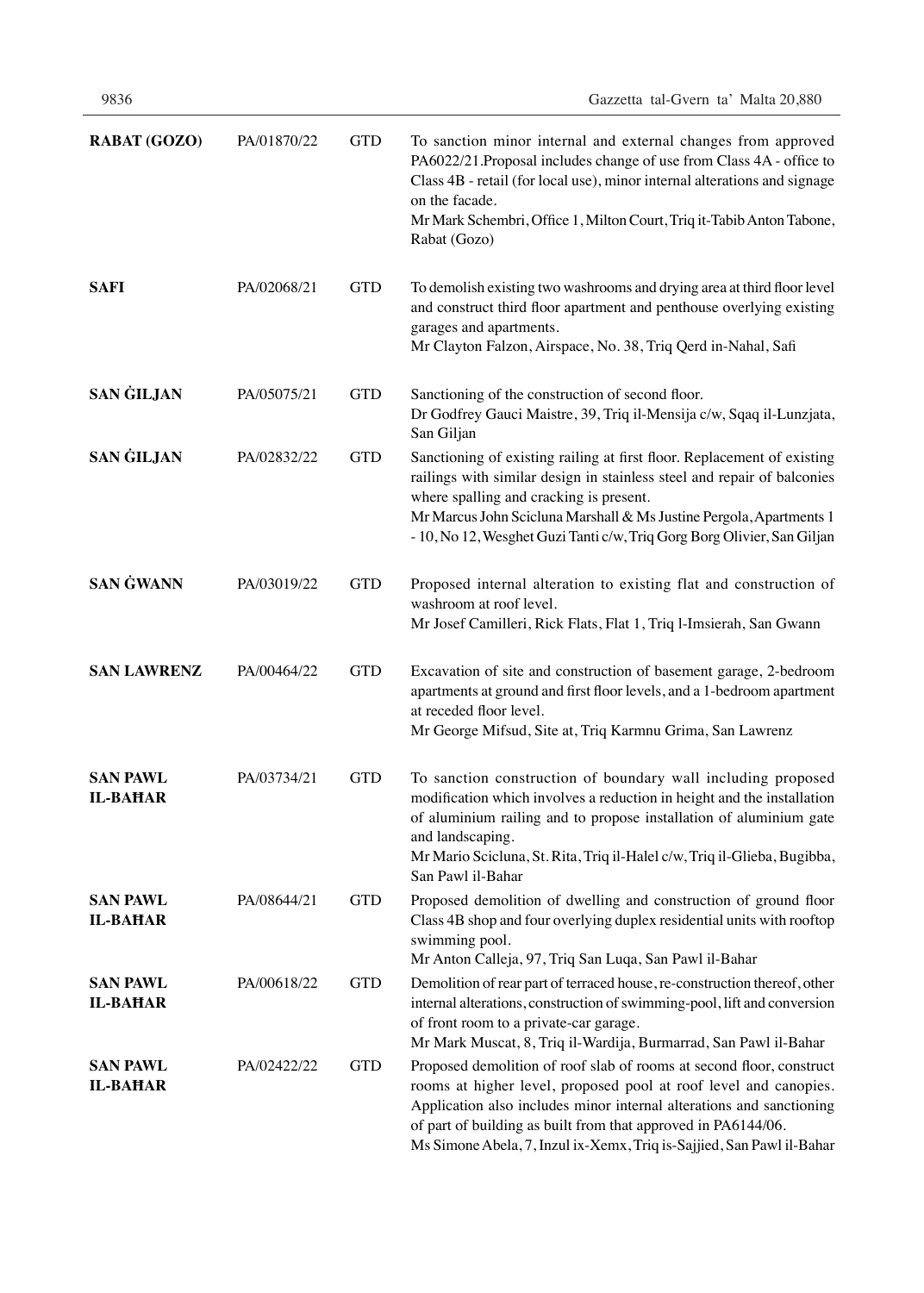| <b>RABAT (GOZO)</b>                | PA/01870/22 | <b>GTD</b> | To sanction minor internal and external changes from approved<br>PA6022/21.Proposal includes change of use from Class 4A - office to<br>Class 4B - retail (for local use), minor internal alterations and signage<br>on the facade.<br>Mr Mark Schembri, Office 1, Milton Court, Triq it-Tabib Anton Tabone,<br>Rabat (Gozo)                               |  |  |  |
|------------------------------------|-------------|------------|------------------------------------------------------------------------------------------------------------------------------------------------------------------------------------------------------------------------------------------------------------------------------------------------------------------------------------------------------------|--|--|--|
| <b>SAFI</b>                        | PA/02068/21 | <b>GTD</b> | To demolish existing two washrooms and drying area at third floor level<br>and construct third floor apartment and penthouse overlying existing<br>garages and apartments.<br>Mr Clayton Falzon, Airspace, No. 38, Triq Qerd in-Nahal, Safi                                                                                                                |  |  |  |
| <b>SAN GILJAN</b>                  | PA/05075/21 | <b>GTD</b> | Sanctioning of the construction of second floor.<br>Dr Godfrey Gauci Maistre, 39, Triq il-Mensija c/w, Sqaq il-Lunzjata,<br>San Giljan                                                                                                                                                                                                                     |  |  |  |
| <b>SAN GILJAN</b>                  | PA/02832/22 | <b>GTD</b> | Sanctioning of existing railing at first floor. Replacement of existing<br>railings with similar design in stainless steel and repair of balconies<br>where spalling and cracking is present.<br>Mr Marcus John Scicluna Marshall & Ms Justine Pergola, Apartments 1<br>- 10, No 12, Wesghet Guzi Tanti c/w, Triq Gorg Borg Olivier, San Giljan            |  |  |  |
| <b>SAN GWANN</b>                   | PA/03019/22 | <b>GTD</b> | Proposed internal alteration to existing flat and construction of<br>washroom at roof level.<br>Mr Josef Camilleri, Rick Flats, Flat 1, Triq l-Imsierah, San Gwann                                                                                                                                                                                         |  |  |  |
| <b>SAN LAWRENZ</b>                 | PA/00464/22 | <b>GTD</b> | Excavation of site and construction of basement garage, 2-bedroom<br>apartments at ground and first floor levels, and a 1-bedroom apartment<br>at receded floor level.<br>Mr George Mifsud, Site at, Triq Karmnu Grima, San Lawrenz                                                                                                                        |  |  |  |
| <b>SAN PAWL</b><br><b>IL-BAHAR</b> | PA/03734/21 | <b>GTD</b> | To sanction construction of boundary wall including proposed<br>modification which involves a reduction in height and the installation<br>of aluminium railing and to propose installation of aluminium gate<br>and landscaping.<br>Mr Mario Scicluna, St. Rita, Triq il-Halel c/w, Triq il-Glieba, Bugibba,<br>San Pawl il-Bahar                          |  |  |  |
| <b>SAN PAWL</b><br><b>IL-BAHAR</b> | PA/08644/21 | <b>GTD</b> | Proposed demolition of dwelling and construction of ground floor<br>Class 4B shop and four overlying duplex residential units with rooftop<br>swimming pool.<br>Mr Anton Calleja, 97, Triq San Luqa, San Pawl il-Bahar                                                                                                                                     |  |  |  |
| <b>SAN PAWL</b><br><b>IL-BAHAR</b> | PA/00618/22 | <b>GTD</b> | Demolition of rear part of terraced house, re-construction thereof, other<br>internal alterations, construction of swimming-pool, lift and conversion<br>of front room to a private-car garage.<br>Mr Mark Muscat, 8, Triq il-Wardija, Burmarrad, San Pawl il-Bahar                                                                                        |  |  |  |
| <b>SAN PAWL</b><br><b>IL-BAHAR</b> | PA/02422/22 | <b>GTD</b> | Proposed demolition of roof slab of rooms at second floor, construct<br>rooms at higher level, proposed pool at roof level and canopies.<br>Application also includes minor internal alterations and sanctioning<br>of part of building as built from that approved in PA6144/06.<br>Ms Simone Abela, 7, Inzul ix-Xemx, Triq is-Sajjied, San Pawl il-Bahar |  |  |  |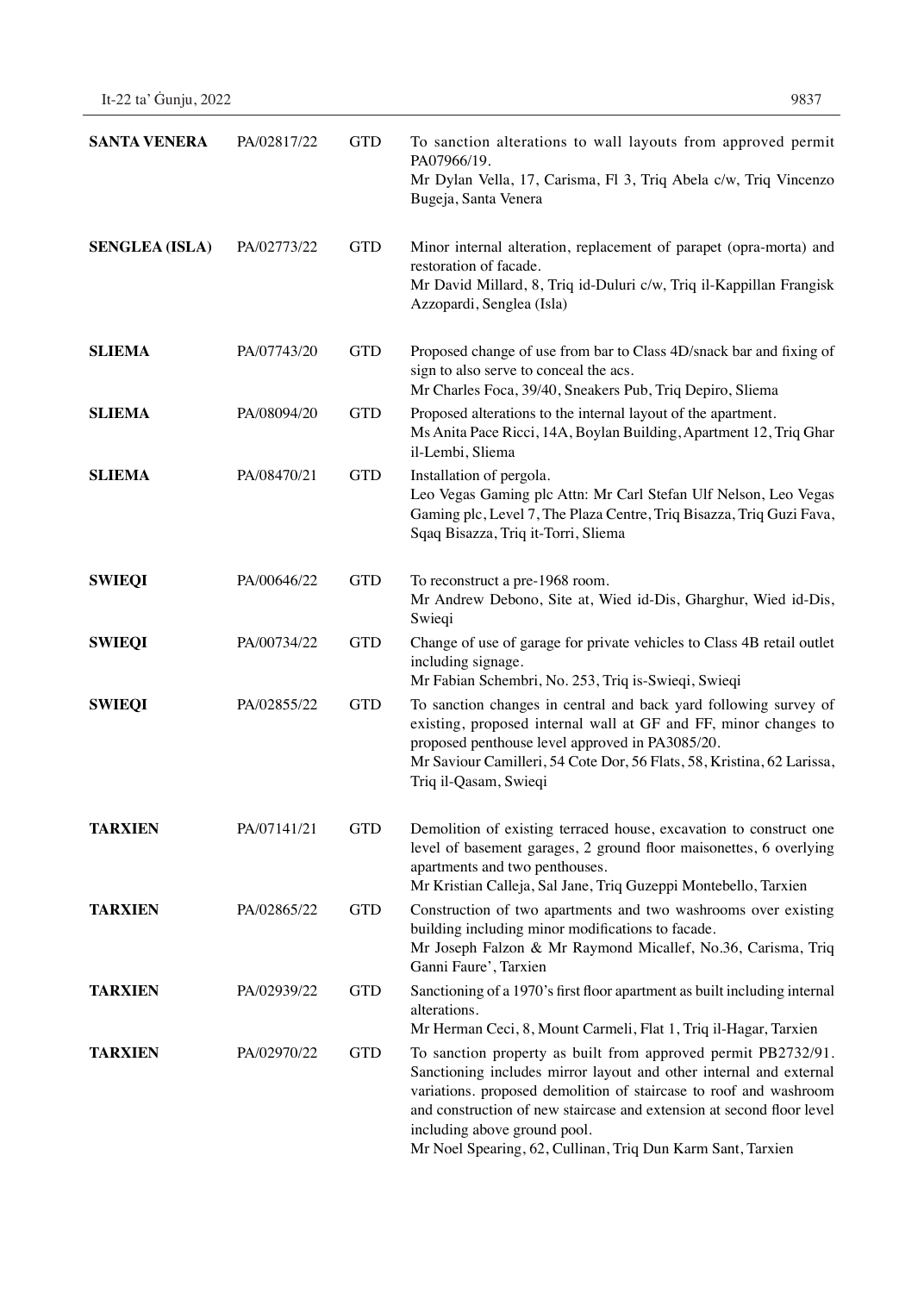| It-22 ta' Guniu, 2022 | 9837 |
|-----------------------|------|
|-----------------------|------|

| <b>SANTA VENERA</b>   | PA/02817/22 | <b>GTD</b> | To sanction alterations to wall layouts from approved permit<br>PA07966/19.<br>Mr Dylan Vella, 17, Carisma, Fl 3, Triq Abela c/w, Triq Vincenzo<br>Bugeja, Santa Venera                                                                                                                                                                                                          |  |  |  |
|-----------------------|-------------|------------|----------------------------------------------------------------------------------------------------------------------------------------------------------------------------------------------------------------------------------------------------------------------------------------------------------------------------------------------------------------------------------|--|--|--|
| <b>SENGLEA (ISLA)</b> | PA/02773/22 | <b>GTD</b> | Minor internal alteration, replacement of parapet (opra-morta) and<br>restoration of facade.<br>Mr David Millard, 8, Triq id-Duluri c/w, Triq il-Kappillan Frangisk<br>Azzopardi, Senglea (Isla)                                                                                                                                                                                 |  |  |  |
| <b>SLIEMA</b>         | PA/07743/20 | <b>GTD</b> | Proposed change of use from bar to Class 4D/snack bar and fixing of<br>sign to also serve to conceal the acs.<br>Mr Charles Foca, 39/40, Sneakers Pub, Triq Depiro, Sliema                                                                                                                                                                                                       |  |  |  |
| <b>SLIEMA</b>         | PA/08094/20 | <b>GTD</b> | Proposed alterations to the internal layout of the apartment.<br>Ms Anita Pace Ricci, 14A, Boylan Building, Apartment 12, Triq Ghar<br>il-Lembi, Sliema                                                                                                                                                                                                                          |  |  |  |
| <b>SLIEMA</b>         | PA/08470/21 | <b>GTD</b> | Installation of pergola.<br>Leo Vegas Gaming plc Attn: Mr Carl Stefan Ulf Nelson, Leo Vegas<br>Gaming plc, Level 7, The Plaza Centre, Triq Bisazza, Triq Guzi Fava,<br>Sqaq Bisazza, Triq it-Torri, Sliema                                                                                                                                                                       |  |  |  |
| <b>SWIEQI</b>         | PA/00646/22 | <b>GTD</b> | To reconstruct a pre-1968 room.<br>Mr Andrew Debono, Site at, Wied id-Dis, Gharghur, Wied id-Dis,<br>Swieqi                                                                                                                                                                                                                                                                      |  |  |  |
| <b>SWIEQI</b>         | PA/00734/22 | <b>GTD</b> | Change of use of garage for private vehicles to Class 4B retail outlet<br>including signage.<br>Mr Fabian Schembri, No. 253, Triq is-Swieqi, Swieqi                                                                                                                                                                                                                              |  |  |  |
| <b>SWIEQI</b>         | PA/02855/22 | <b>GTD</b> | To sanction changes in central and back yard following survey of<br>existing, proposed internal wall at GF and FF, minor changes to<br>proposed penthouse level approved in PA3085/20.<br>Mr Saviour Camilleri, 54 Cote Dor, 56 Flats, 58, Kristina, 62 Larissa,<br>Triq il-Qasam, Swieqi                                                                                        |  |  |  |
| <b>TARXIEN</b>        | PA/07141/21 | <b>GTD</b> | Demolition of existing terraced house, excavation to construct one<br>level of basement garages, 2 ground floor maisonettes, 6 overlying<br>apartments and two penthouses.<br>Mr Kristian Calleja, Sal Jane, Triq Guzeppi Montebello, Tarxien                                                                                                                                    |  |  |  |
| <b>TARXIEN</b>        | PA/02865/22 | <b>GTD</b> | Construction of two apartments and two washrooms over existing<br>building including minor modifications to facade.<br>Mr Joseph Falzon & Mr Raymond Micallef, No.36, Carisma, Triq<br>Ganni Faure', Tarxien                                                                                                                                                                     |  |  |  |
| <b>TARXIEN</b>        | PA/02939/22 | <b>GTD</b> | Sanctioning of a 1970's first floor apartment as built including internal<br>alterations.<br>Mr Herman Ceci, 8, Mount Carmeli, Flat 1, Triq il-Hagar, Tarxien                                                                                                                                                                                                                    |  |  |  |
| <b>TARXIEN</b>        | PA/02970/22 | <b>GTD</b> | To sanction property as built from approved permit PB2732/91.<br>Sanctioning includes mirror layout and other internal and external<br>variations. proposed demolition of staircase to roof and washroom<br>and construction of new staircase and extension at second floor level<br>including above ground pool.<br>Mr Noel Spearing, 62, Cullinan, Triq Dun Karm Sant, Tarxien |  |  |  |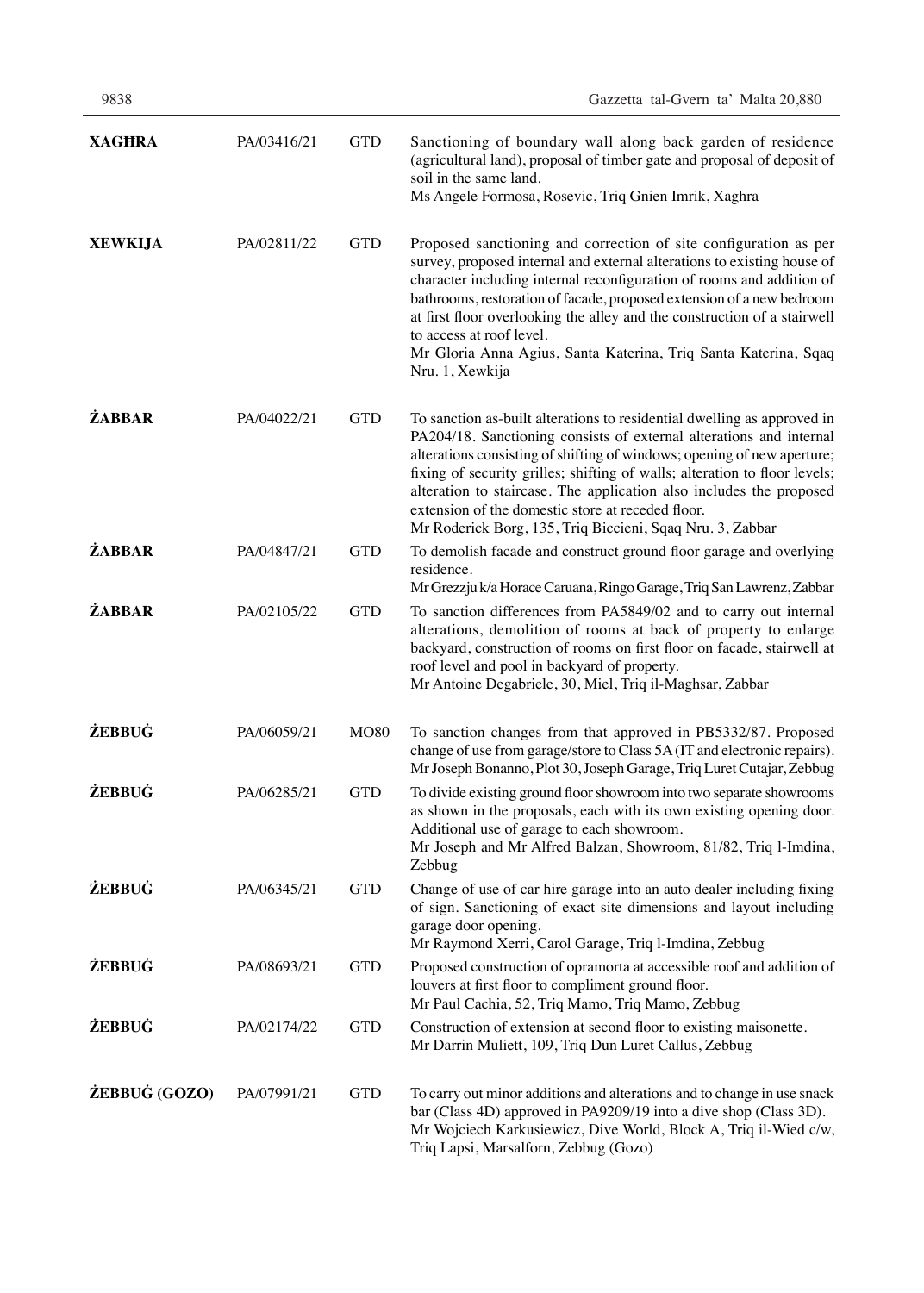| <b>XAGHRA</b>  | PA/03416/21 | <b>GTD</b>  | Sanctioning of boundary wall along back garden of residence<br>(agricultural land), proposal of timber gate and proposal of deposit of<br>soil in the same land.<br>Ms Angele Formosa, Rosevic, Triq Gnien Imrik, Xaghra                                                                                                                                                                                                                                                                         |
|----------------|-------------|-------------|--------------------------------------------------------------------------------------------------------------------------------------------------------------------------------------------------------------------------------------------------------------------------------------------------------------------------------------------------------------------------------------------------------------------------------------------------------------------------------------------------|
| <b>XEWKIJA</b> | PA/02811/22 | <b>GTD</b>  | Proposed sanctioning and correction of site configuration as per<br>survey, proposed internal and external alterations to existing house of<br>character including internal reconfiguration of rooms and addition of<br>bathrooms, restoration of facade, proposed extension of a new bedroom<br>at first floor overlooking the alley and the construction of a stairwell<br>to access at roof level.<br>Mr Gloria Anna Agius, Santa Katerina, Triq Santa Katerina, Sqaq<br>Nru. 1, Xewkija      |
| <b>ŻABBAR</b>  | PA/04022/21 | <b>GTD</b>  | To sanction as-built alterations to residential dwelling as approved in<br>PA204/18. Sanctioning consists of external alterations and internal<br>alterations consisting of shifting of windows; opening of new aperture;<br>fixing of security grilles; shifting of walls; alteration to floor levels;<br>alteration to staircase. The application also includes the proposed<br>extension of the domestic store at receded floor.<br>Mr Roderick Borg, 135, Triq Biccieni, Sqaq Nru. 3, Zabbar |
| <b>ŻABBAR</b>  | PA/04847/21 | <b>GTD</b>  | To demolish facade and construct ground floor garage and overlying<br>residence.<br>Mr Grezzju k/a Horace Caruana, Ringo Garage, Triq San Lawrenz, Zabbar                                                                                                                                                                                                                                                                                                                                        |
| <b>ŻABBAR</b>  | PA/02105/22 | <b>GTD</b>  | To sanction differences from PA5849/02 and to carry out internal<br>alterations, demolition of rooms at back of property to enlarge<br>backyard, construction of rooms on first floor on facade, stairwell at<br>roof level and pool in backyard of property.<br>Mr Antoine Degabriele, 30, Miel, Triq il-Maghsar, Zabbar                                                                                                                                                                        |
| <b>ŻEBBUĠ</b>  | PA/06059/21 | <b>MO80</b> | To sanction changes from that approved in PB5332/87. Proposed<br>change of use from garage/store to Class 5A (IT and electronic repairs).<br>Mr Joseph Bonanno, Plot 30, Joseph Garage, Triq Luret Cutajar, Zebbug                                                                                                                                                                                                                                                                               |
| <b>ŻEBBUĠ</b>  | PA/06285/21 | <b>GTD</b>  | To divide existing ground floor showroom into two separate showrooms<br>as shown in the proposals, each with its own existing opening door.<br>Additional use of garage to each showroom.<br>Mr Joseph and Mr Alfred Balzan, Showroom, 81/82, Triq l-Imdina,<br>Zebbug                                                                                                                                                                                                                           |
| <b>ŻEBBUG</b>  | PA/06345/21 | <b>GTD</b>  | Change of use of car hire garage into an auto dealer including fixing<br>of sign. Sanctioning of exact site dimensions and layout including<br>garage door opening.<br>Mr Raymond Xerri, Carol Garage, Triq l-Imdina, Zebbug                                                                                                                                                                                                                                                                     |
| <b>ŻEBBUĠ</b>  | PA/08693/21 | <b>GTD</b>  | Proposed construction of opramorta at accessible roof and addition of<br>louvers at first floor to compliment ground floor.<br>Mr Paul Cachia, 52, Triq Mamo, Triq Mamo, Zebbug                                                                                                                                                                                                                                                                                                                  |
| <b>ŻEBBUĠ</b>  | PA/02174/22 | <b>GTD</b>  | Construction of extension at second floor to existing maisonette.<br>Mr Darrin Muliett, 109, Triq Dun Luret Callus, Zebbug                                                                                                                                                                                                                                                                                                                                                                       |
| ŻEBBUĠ (GOZO)  | PA/07991/21 | <b>GTD</b>  | To carry out minor additions and alterations and to change in use snack<br>bar (Class 4D) approved in PA9209/19 into a dive shop (Class 3D).<br>Mr Wojciech Karkusiewicz, Dive World, Block A, Triq il-Wied c/w,<br>Triq Lapsi, Marsalforn, Zebbug (Gozo)                                                                                                                                                                                                                                        |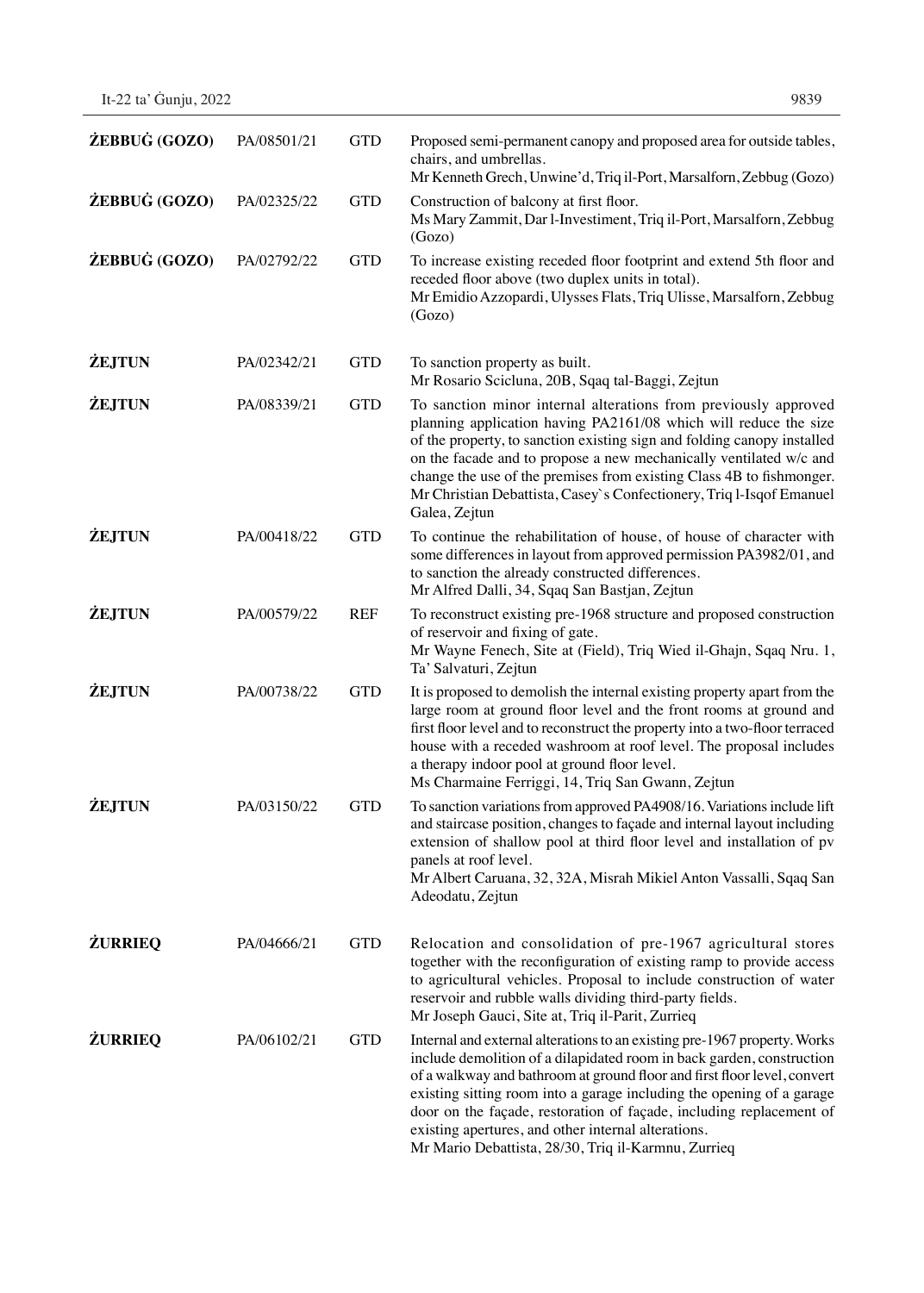| ŻEBBUĠ (GOZO)  | PA/08501/21 | <b>GTD</b> | Proposed semi-permanent canopy and proposed area for outside tables,<br>chairs, and umbrellas.<br>Mr Kenneth Grech, Unwine'd, Triq il-Port, Marsalforn, Zebbug (Gozo)                                                                                                                                                                                                                                                                                                                        |
|----------------|-------------|------------|----------------------------------------------------------------------------------------------------------------------------------------------------------------------------------------------------------------------------------------------------------------------------------------------------------------------------------------------------------------------------------------------------------------------------------------------------------------------------------------------|
| ŻEBBUĠ (GOZO)  | PA/02325/22 | <b>GTD</b> | Construction of balcony at first floor.<br>Ms Mary Zammit, Dar l-Investiment, Triq il-Port, Marsalforn, Zebbug<br>(Gozo)                                                                                                                                                                                                                                                                                                                                                                     |
| ŻEBBUĠ (GOZO)  | PA/02792/22 | <b>GTD</b> | To increase existing receded floor footprint and extend 5th floor and<br>receded floor above (two duplex units in total).<br>Mr Emidio Azzopardi, Ulysses Flats, Triq Ulisse, Marsalforn, Zebbug<br>(Gozo)                                                                                                                                                                                                                                                                                   |
| <b>ŻEJTUN</b>  | PA/02342/21 | <b>GTD</b> | To sanction property as built.<br>Mr Rosario Scicluna, 20B, Sqaq tal-Baggi, Zejtun                                                                                                                                                                                                                                                                                                                                                                                                           |
| <b>ŻEJTUN</b>  | PA/08339/21 | <b>GTD</b> | To sanction minor internal alterations from previously approved<br>planning application having PA2161/08 which will reduce the size<br>of the property, to sanction existing sign and folding canopy installed<br>on the facade and to propose a new mechanically ventilated w/c and<br>change the use of the premises from existing Class 4B to fishmonger.<br>Mr Christian Debattista, Casey's Confectionery, Triq l-Isqof Emanuel<br>Galea, Zejtun                                        |
| <b>ŻEJTUN</b>  | PA/00418/22 | <b>GTD</b> | To continue the rehabilitation of house, of house of character with<br>some differences in layout from approved permission PA3982/01, and<br>to sanction the already constructed differences.<br>Mr Alfred Dalli, 34, Sqaq San Bastjan, Zejtun                                                                                                                                                                                                                                               |
| <b>ŻEJTUN</b>  | PA/00579/22 | <b>REF</b> | To reconstruct existing pre-1968 structure and proposed construction<br>of reservoir and fixing of gate.<br>Mr Wayne Fenech, Site at (Field), Triq Wied il-Ghajn, Sqaq Nru. 1,<br>Ta' Salvaturi, Zejtun                                                                                                                                                                                                                                                                                      |
| <b>ŻEJTUN</b>  | PA/00738/22 | <b>GTD</b> | It is proposed to demolish the internal existing property apart from the<br>large room at ground floor level and the front rooms at ground and<br>first floor level and to reconstruct the property into a two-floor terraced<br>house with a receded washroom at roof level. The proposal includes<br>a therapy indoor pool at ground floor level.<br>Ms Charmaine Ferriggi, 14, Triq San Gwann, Zejtun                                                                                     |
| <b>ŻEJTUN</b>  | PA/03150/22 | <b>GTD</b> | To sanction variations from approved PA4908/16. Variations include lift<br>and staircase position, changes to façade and internal layout including<br>extension of shallow pool at third floor level and installation of pv<br>panels at roof level.<br>Mr Albert Caruana, 32, 32A, Misrah Mikiel Anton Vassalli, Sqaq San<br>Adeodatu, Zejtun                                                                                                                                               |
| <b>ŻURRIEQ</b> | PA/04666/21 | <b>GTD</b> | Relocation and consolidation of pre-1967 agricultural stores<br>together with the reconfiguration of existing ramp to provide access<br>to agricultural vehicles. Proposal to include construction of water<br>reservoir and rubble walls dividing third-party fields.<br>Mr Joseph Gauci, Site at, Triq il-Parit, Zurrieq                                                                                                                                                                   |
| <b>ŻURRIEQ</b> | PA/06102/21 | <b>GTD</b> | Internal and external alterations to an existing pre-1967 property. Works<br>include demolition of a dilapidated room in back garden, construction<br>of a walkway and bathroom at ground floor and first floor level, convert<br>existing sitting room into a garage including the opening of a garage<br>door on the façade, restoration of façade, including replacement of<br>existing apertures, and other internal alterations.<br>Mr Mario Debattista, 28/30, Triq il-Karmnu, Zurrieq |

It-22 ta' Ġunju, 2022 9839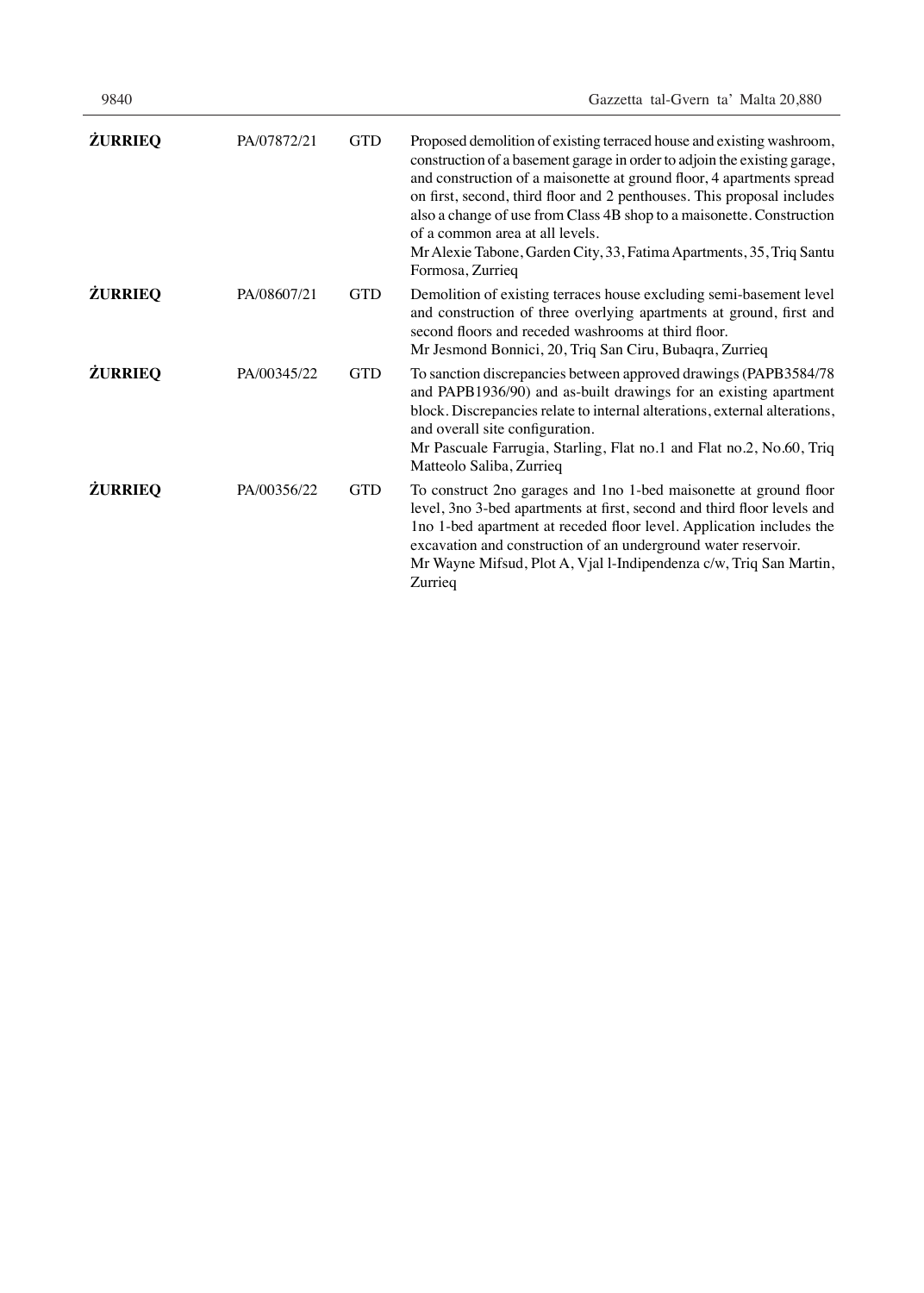| <b>ŻURRIEQ</b> | PA/07872/21 | <b>GTD</b> | Proposed demolition of existing terraced house and existing washroom,<br>construction of a basement garage in order to adjoin the existing garage,<br>and construction of a maisonette at ground floor, 4 apartments spread<br>on first, second, third floor and 2 penthouses. This proposal includes<br>also a change of use from Class 4B shop to a maisonette. Construction<br>of a common area at all levels.<br>Mr Alexie Tabone, Garden City, 33, Fatima Apartments, 35, Triq Santu<br>Formosa, Zurrieq |
|----------------|-------------|------------|---------------------------------------------------------------------------------------------------------------------------------------------------------------------------------------------------------------------------------------------------------------------------------------------------------------------------------------------------------------------------------------------------------------------------------------------------------------------------------------------------------------|
| <b>ŻURRIEQ</b> | PA/08607/21 | <b>GTD</b> | Demolition of existing terraces house excluding semi-basement level<br>and construction of three overlying apartments at ground, first and<br>second floors and receded washrooms at third floor.<br>Mr Jesmond Bonnici, 20, Triq San Ciru, Bubaqra, Zurrieq                                                                                                                                                                                                                                                  |
| <b>ŻURRIEQ</b> | PA/00345/22 | <b>GTD</b> | To sanction discrepancies between approved drawings (PAPB3584/78)<br>and PAPB1936/90) and as-built drawings for an existing apartment<br>block. Discrepancies relate to internal alterations, external alterations,<br>and overall site configuration.<br>Mr Pascuale Farrugia, Starling, Flat no.1 and Flat no.2, No.60, Triq<br>Matteolo Saliba, Zurrieq                                                                                                                                                    |
| <b>ŻURRIEQ</b> | PA/00356/22 | <b>GTD</b> | To construct 2no garages and 1no 1-bed maisonette at ground floor<br>level, 3no 3-bed apartments at first, second and third floor levels and<br>Ino 1-bed apartment at receded floor level. Application includes the<br>excavation and construction of an underground water reservoir.<br>Mr Wayne Mifsud, Plot A, Vjal l-Indipendenza c/w, Triq San Martin,<br>Zurrieq                                                                                                                                       |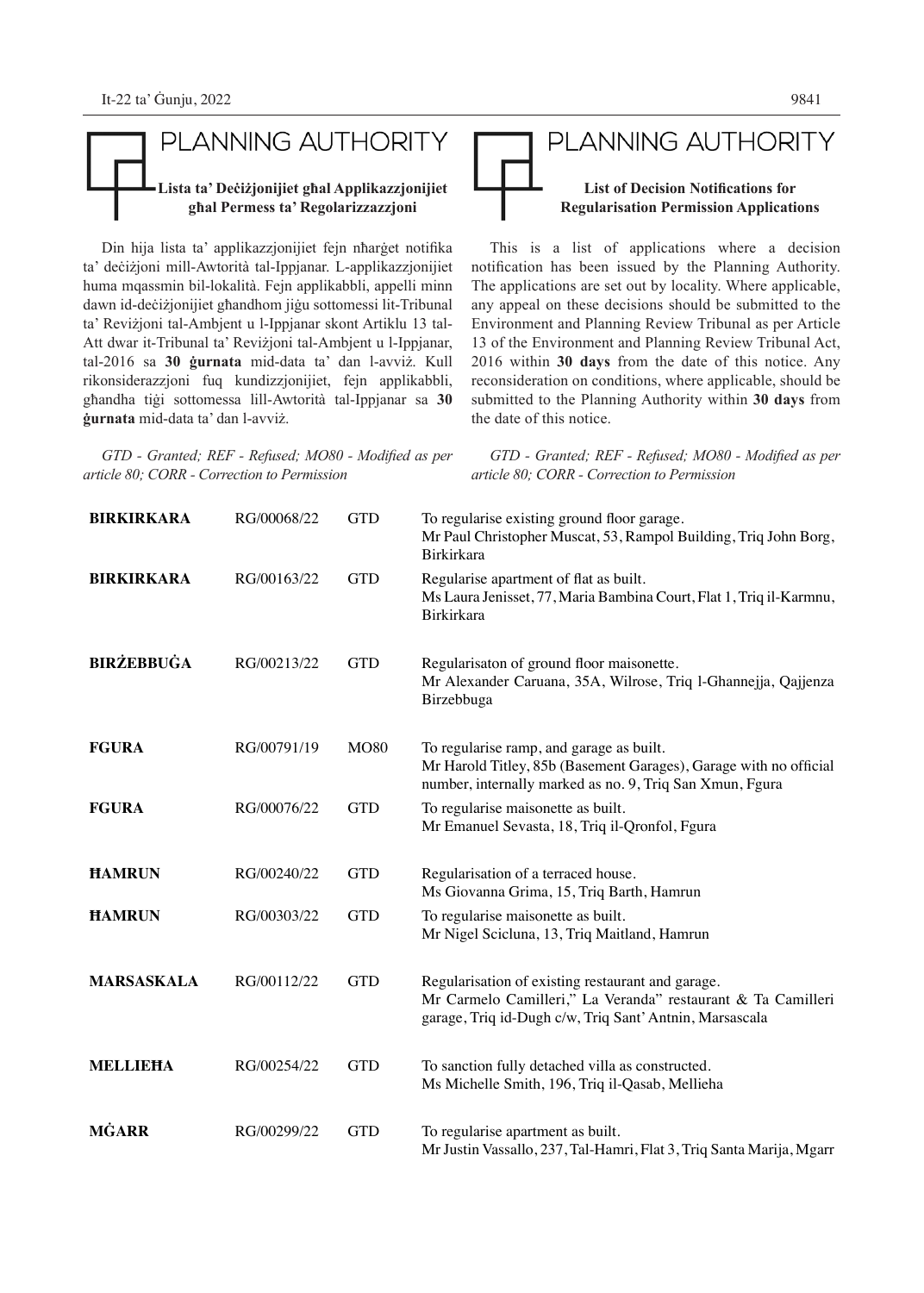# PLANNING AUTHORITY **Lista ta' Deċiżjonijiet għal Applikazzjonijiet għal Permess ta' Regolarizzazzjoni**

Din hija lista ta' applikazzjonijiet fejn nħarġet notifika ta' deċiżjoni mill-Awtorità tal-Ippjanar. L-applikazzjonijiet huma mqassmin bil-lokalità. Fejn applikabbli, appelli minn dawn id-deċiżjonijiet għandhom jiġu sottomessi lit-Tribunal ta' Reviżjoni tal-Ambjent u l-Ippjanar skont Artiklu 13 tal-Att dwar it-Tribunal ta' Reviżjoni tal-Ambjent u l-Ippjanar, tal-2016 sa **30 ġurnata** mid-data ta' dan l-avviż. Kull rikonsiderazzjoni fuq kundizzjonijiet, fejn applikabbli, għandha tiġi sottomessa lill-Awtorità tal-Ippjanar sa **30 ġurnata** mid-data ta' dan l-avviż.

*GTD - Granted; REF - Refused; MO80 - Modified as per article 80; CORR - Correction to Permission*

*GTD - Granted; REF - Refused; MO80 - Modified as per article 80; CORR - Correction to Permission*

| <b>BIRKIRKARA</b> | RG/00068/22 | <b>GTD</b>  | To regularise existing ground floor garage.<br>Mr Paul Christopher Muscat, 53, Rampol Building, Triq John Borg,<br>Birkirkara                                                |
|-------------------|-------------|-------------|------------------------------------------------------------------------------------------------------------------------------------------------------------------------------|
| <b>BIRKIRKARA</b> | RG/00163/22 | <b>GTD</b>  | Regularise apartment of flat as built.<br>Ms Laura Jenisset, 77, Maria Bambina Court, Flat 1, Triq il-Karmnu,<br><b>Birkirkara</b>                                           |
| <b>BIRŻEBBUĠA</b> | RG/00213/22 | <b>GTD</b>  | Regularisaton of ground floor maisonette.<br>Mr Alexander Caruana, 35A, Wilrose, Triq l-Ghannejja, Qajjenza<br>Birzebbuga                                                    |
| <b>FGURA</b>      | RG/00791/19 | <b>MO80</b> | To regularise ramp, and garage as built.<br>Mr Harold Titley, 85b (Basement Garages), Garage with no official<br>number, internally marked as no. 9, Triq San Xmun, Fgura    |
| <b>FGURA</b>      | RG/00076/22 | <b>GTD</b>  | To regularise maisonette as built.<br>Mr Emanuel Sevasta, 18, Triq il-Qronfol, Fgura                                                                                         |
| <b>HAMRUN</b>     | RG/00240/22 | <b>GTD</b>  | Regularisation of a terraced house.<br>Ms Giovanna Grima, 15, Triq Barth, Hamrun                                                                                             |
| <b>HAMRUN</b>     | RG/00303/22 | <b>GTD</b>  | To regularise maisonette as built.<br>Mr Nigel Scicluna, 13, Triq Maitland, Hamrun                                                                                           |
| <b>MARSASKALA</b> | RG/00112/22 | <b>GTD</b>  | Regularisation of existing restaurant and garage.<br>Mr Carmelo Camilleri," La Veranda" restaurant & Ta Camilleri<br>garage, Triq id-Dugh c/w, Triq Sant' Antnin, Marsascala |
| <b>MELLIEHA</b>   | RG/00254/22 | <b>GTD</b>  | To sanction fully detached villa as constructed.<br>Ms Michelle Smith, 196, Triq il-Qasab, Mellieha                                                                          |
| MĠARR             | RG/00299/22 | <b>GTD</b>  | To regularise apartment as built.<br>Mr Justin Vassallo, 237, Tal-Hamri, Flat 3, Triq Santa Marija, Mgarr                                                                    |

# PLANNING AUTHORITY **List of Decision Notifications for Regularisation Permission Applications**

This is a list of applications where a decision notification has been issued by the Planning Authority. The applications are set out by locality. Where applicable, any appeal on these decisions should be submitted to the Environment and Planning Review Tribunal as per Article 13 of the Environment and Planning Review Tribunal Act, 2016 within **30 days** from the date of this notice. Any reconsideration on conditions, where applicable, should be submitted to the Planning Authority within **30 days** from the date of this notice.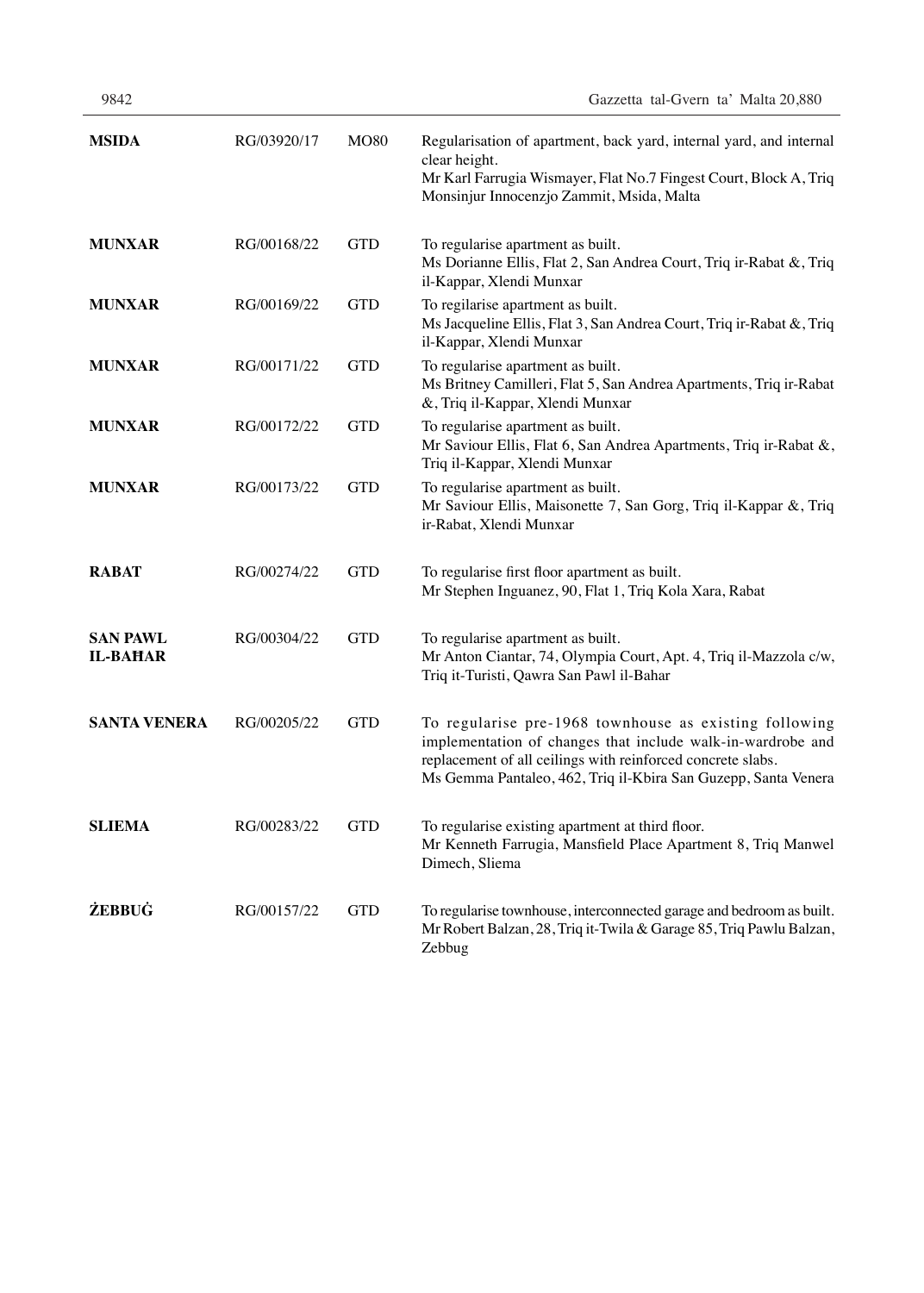| 9842 |  | Gazzetta tal-Gvern ta' Malta 20,880 |  |  |  |
|------|--|-------------------------------------|--|--|--|
|------|--|-------------------------------------|--|--|--|

| <b>MSIDA</b>                       | RG/03920/17 | <b>MO80</b> | Regularisation of apartment, back yard, internal yard, and internal<br>clear height.<br>Mr Karl Farrugia Wismayer, Flat No.7 Fingest Court, Block A, Triq<br>Monsinjur Innocenzjo Zammit, Msida, Malta                                                 |  |  |  |
|------------------------------------|-------------|-------------|--------------------------------------------------------------------------------------------------------------------------------------------------------------------------------------------------------------------------------------------------------|--|--|--|
| <b>MUNXAR</b>                      | RG/00168/22 | <b>GTD</b>  | To regularise apartment as built.<br>Ms Dorianne Ellis, Flat 2, San Andrea Court, Triq ir-Rabat &, Triq<br>il-Kappar, Xlendi Munxar                                                                                                                    |  |  |  |
| <b>MUNXAR</b>                      | RG/00169/22 | <b>GTD</b>  | To regilarise apartment as built.<br>Ms Jacqueline Ellis, Flat 3, San Andrea Court, Triq ir-Rabat &, Triq<br>il-Kappar, Xlendi Munxar                                                                                                                  |  |  |  |
| <b>MUNXAR</b>                      | RG/00171/22 | <b>GTD</b>  | To regularise apartment as built.<br>Ms Britney Camilleri, Flat 5, San Andrea Apartments, Triq ir-Rabat<br>&, Triq il-Kappar, Xlendi Munxar                                                                                                            |  |  |  |
| <b>MUNXAR</b>                      | RG/00172/22 | <b>GTD</b>  | To regularise apartment as built.<br>Mr Saviour Ellis, Flat 6, San Andrea Apartments, Triq ir-Rabat &,<br>Triq il-Kappar, Xlendi Munxar                                                                                                                |  |  |  |
| <b>MUNXAR</b>                      | RG/00173/22 | <b>GTD</b>  | To regularise apartment as built.<br>Mr Saviour Ellis, Maisonette 7, San Gorg, Triq il-Kappar &, Triq<br>ir-Rabat, Xlendi Munxar                                                                                                                       |  |  |  |
| <b>RABAT</b>                       | RG/00274/22 | <b>GTD</b>  | To regularise first floor apartment as built.<br>Mr Stephen Inguanez, 90, Flat 1, Triq Kola Xara, Rabat                                                                                                                                                |  |  |  |
| <b>SAN PAWL</b><br><b>IL-BAHAR</b> | RG/00304/22 | <b>GTD</b>  | To regularise apartment as built.<br>Mr Anton Ciantar, 74, Olympia Court, Apt. 4, Triq il-Mazzola c/w,<br>Triq it-Turisti, Qawra San Pawl il-Bahar                                                                                                     |  |  |  |
| <b>SANTA VENERA</b>                | RG/00205/22 | <b>GTD</b>  | To regularise pre-1968 townhouse as existing following<br>implementation of changes that include walk-in-wardrobe and<br>replacement of all ceilings with reinforced concrete slabs.<br>Ms Gemma Pantaleo, 462, Triq il-Kbira San Guzepp, Santa Venera |  |  |  |
| <b>SLIEMA</b>                      | RG/00283/22 | <b>GTD</b>  | To regularise existing apartment at third floor.<br>Mr Kenneth Farrugia, Mansfield Place Apartment 8, Triq Manwel<br>Dimech, Sliema                                                                                                                    |  |  |  |
| <b>ŻEBBUĠ</b>                      | RG/00157/22 | <b>GTD</b>  | To regularise townhouse, interconnected garage and bedroom as built.<br>Mr Robert Balzan, 28, Triq it-Twila & Garage 85, Triq Pawlu Balzan,<br>Zebbug                                                                                                  |  |  |  |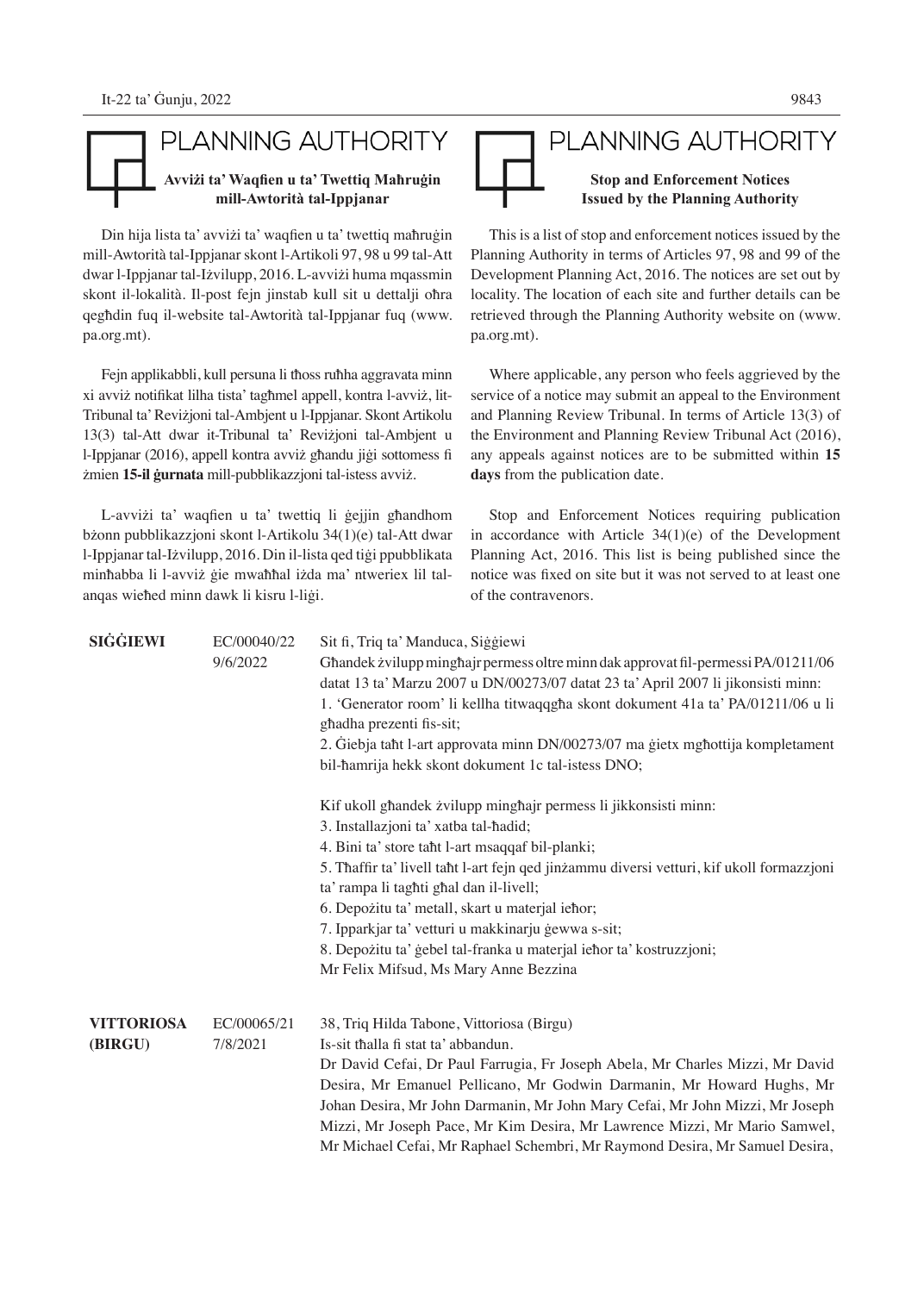#### PLANNING AUTHORITY **Avviżi ta' Waqfien u ta' Twettiq Maħruġin mill-Awtorità tal-Ippjanar**

Din hija lista ta' avviżi ta' waqfien u ta' twettiq maħruġin mill-Awtorità tal-Ippjanar skont l-Artikoli 97, 98 u 99 tal-Att dwar l-Ippjanar tal-Iżvilupp, 2016. L-avviżi huma mqassmin skont il-lokalità. Il-post fejn jinstab kull sit u dettalji oħra qegħdin fuq il-website tal-Awtorità tal-Ippjanar fuq (www. pa.org.mt).

Fejn applikabbli, kull persuna li tħoss ruħha aggravata minn xi avviż notifikat lilha tista' tagħmel appell, kontra l-avviż, lit-Tribunal ta' Reviżjoni tal-Ambjent u l-Ippjanar. Skont Artikolu 13(3) tal-Att dwar it-Tribunal ta' Reviżjoni tal-Ambjent u l-Ippjanar (2016), appell kontra avviż għandu jiġi sottomess fi żmien **15-il ġurnata** mill-pubblikazzjoni tal-istess avviż.

L-avviżi ta' waqfien u ta' twettiq li ġejjin għandhom bżonn pubblikazzjoni skont l-Artikolu 34(1)(e) tal-Att dwar l-Ippjanar tal-Iżvilupp, 2016. Din il-lista qed tiġi ppubblikata minħabba li l-avviż ġie mwaħħal iżda ma' ntweriex lil talanqas wieħed minn dawk li kisru l-liġi.

#### PLANNING AUTHORITY **Stop and Enforcement Notices Issued by the Planning Authority**

This is a list of stop and enforcement notices issued by the Planning Authority in terms of Articles 97, 98 and 99 of the Development Planning Act, 2016. The notices are set out by locality. The location of each site and further details can be retrieved through the Planning Authority website on (www. pa.org.mt).

Where applicable, any person who feels aggrieved by the service of a notice may submit an appeal to the Environment and Planning Review Tribunal. In terms of Article 13(3) of the Environment and Planning Review Tribunal Act (2016), any appeals against notices are to be submitted within **15 days** from the publication date.

Stop and Enforcement Notices requiring publication in accordance with Article 34(1)(e) of the Development Planning Act, 2016. This list is being published since the notice was fixed on site but it was not served to at least one of the contravenors.

| <b>SIGGIEWI</b>              | EC/00040/22<br>9/6/2022 | Sit fi, Triq ta' Manduca, Siggiewi<br>Ghandek żvilupp minghajr permess oltre minn dak approvat fil-permessi PA/01211/06<br>datat 13 ta' Marzu 2007 u DN/00273/07 datat 23 ta' April 2007 li jikonsisti minn:<br>1. 'Generator room' li kellha titwaqqgha skont dokument 41a ta' PA/01211/06 u li<br>ghadha prezenti fis-sit;<br>2. Giebja taht l-art approvata minn DN/00273/07 ma gietx mghottija kompletament<br>bil-hamrija hekk skont dokument 1c tal-istess DNO;                                                         |
|------------------------------|-------------------------|-------------------------------------------------------------------------------------------------------------------------------------------------------------------------------------------------------------------------------------------------------------------------------------------------------------------------------------------------------------------------------------------------------------------------------------------------------------------------------------------------------------------------------|
|                              |                         | Kif ukoll ghandek zvilupp minghajr permess li jikkonsisti minn:<br>3. Installazjoni ta' xatba tal-hadid;<br>4. Bini ta' store taht l-art msaqqaf bil-planki;<br>5. Thaffir ta' livell tant l-art fejn qed jinzammu diversi vetturi, kif ukoll formazzjoni<br>ta' rampa li taghti ghal dan il-livell;<br>6. Depozitu ta' metall, skart u materjal iehor;<br>7. Ipparkjar ta' vetturi u makkinarju gewwa s-sit;<br>8. Depozitu ta' gebel tal-franka u materjal iehor ta' kostruzzjoni;<br>Mr Felix Mifsud, Ms Mary Anne Bezzina |
| <b>VITTORIOSA</b><br>(BIRGU) | EC/00065/21<br>7/8/2021 | 38, Triq Hilda Tabone, Vittoriosa (Birgu)<br>Is-sit thalla fi stat ta' abbandun.<br>Dr David Cefai, Dr Paul Farrugia, Fr Joseph Abela, Mr Charles Mizzi, Mr David<br>Desira, Mr Emanuel Pellicano, Mr Godwin Darmanin, Mr Howard Hughs, Mr<br>Johan Desira, Mr John Darmanin, Mr John Mary Cefai, Mr John Mizzi, Mr Joseph<br>Mizzi, Mr Joseph Pace, Mr Kim Desira, Mr Lawrence Mizzi, Mr Mario Samwel,<br>Mr Michael Cefai, Mr Raphael Schembri, Mr Raymond Desira, Mr Samuel Desira,                                        |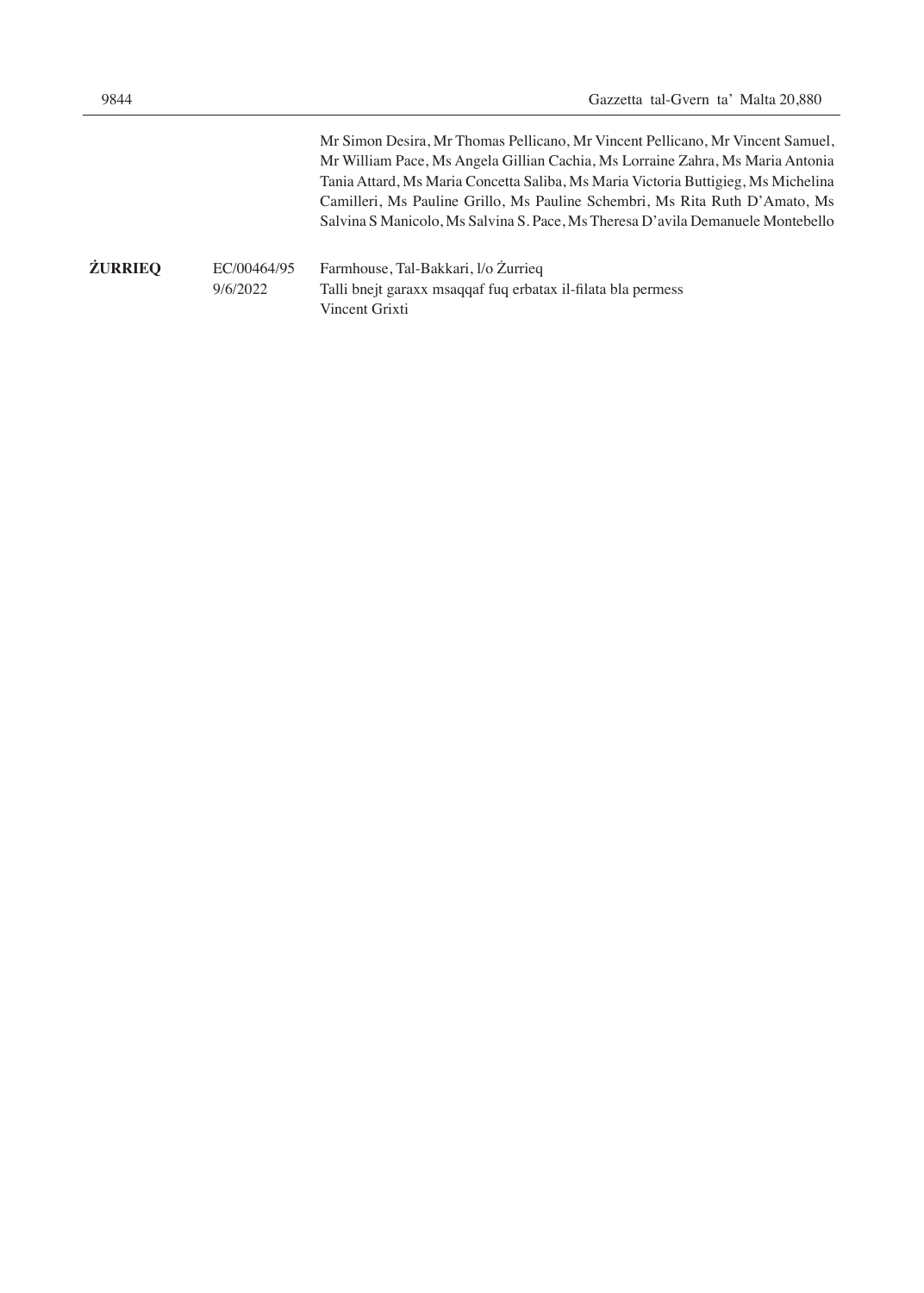|                |                         | Mr Simon Desira, Mr Thomas Pellicano, Mr Vincent Pellicano, Mr Vincent Samuel,<br>Mr William Pace, Ms Angela Gillian Cachia, Ms Lorraine Zahra, Ms Maria Antonia<br>Tania Attard, Ms Maria Concetta Saliba, Ms Maria Victoria Buttigieg, Ms Michelina<br>Camilleri, Ms Pauline Grillo, Ms Pauline Schembri, Ms Rita Ruth D'Amato, Ms<br>Salvina S Manicolo, Ms Salvina S. Pace, Ms Theresa D'avila Demanuele Montebello |
|----------------|-------------------------|-------------------------------------------------------------------------------------------------------------------------------------------------------------------------------------------------------------------------------------------------------------------------------------------------------------------------------------------------------------------------------------------------------------------------|
| <b>ŻURRIEQ</b> | EC/00464/95<br>9/6/2022 | Farmhouse, Tal-Bakkari, l/o Żurrieg<br>Talli bnejt garaxx msaqqaf fuq erbatax il-filata bla permess<br>Vincent Grixti                                                                                                                                                                                                                                                                                                   |